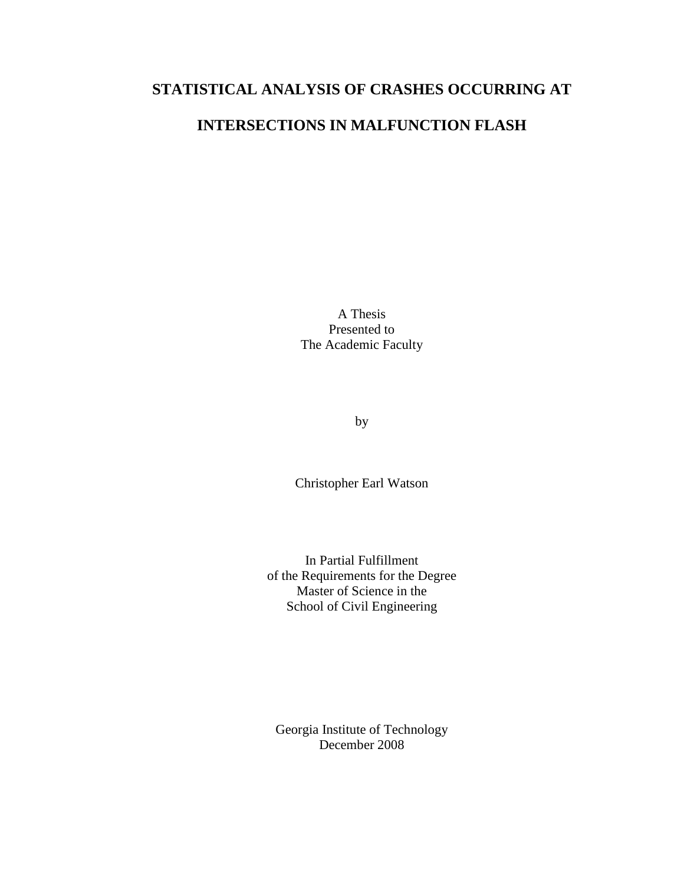# **STATISTICAL ANALYSIS OF CRASHES OCCURRING AT**

# **INTERSECTIONS IN MALFUNCTION FLASH**

A Thesis Presented to The Academic Faculty

by

Christopher Earl Watson

In Partial Fulfillment of the Requirements for the Degree Master of Science in the School of Civil Engineering

Georgia Institute of Technology December 2008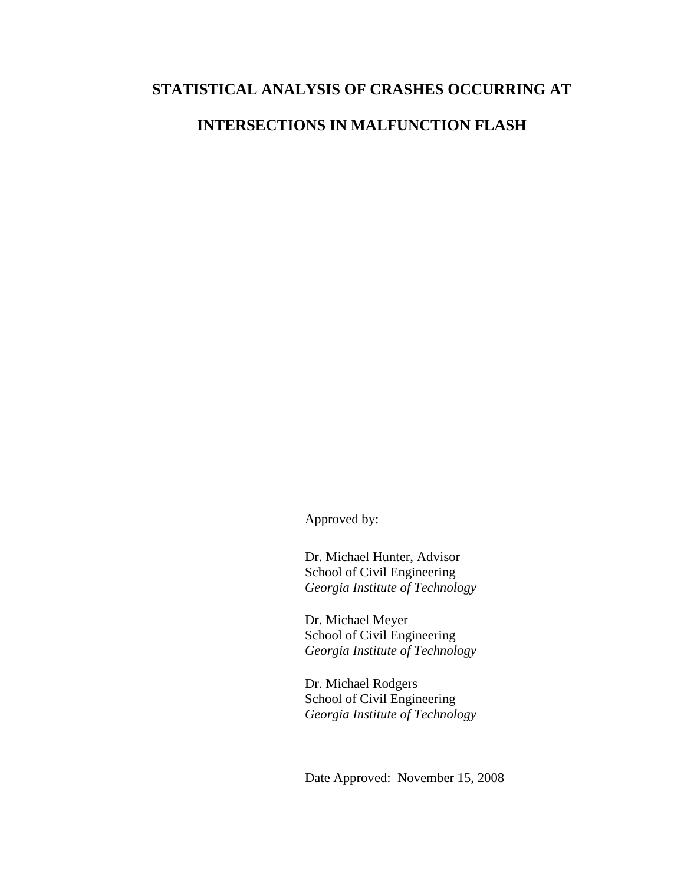# **STATISTICAL ANALYSIS OF CRASHES OCCURRING AT**

# **INTERSECTIONS IN MALFUNCTION FLASH**

Approved by:

Dr. Michael Hunter, Advisor School of Civil Engineering *Georgia Institute of Technology* 

Dr. Michael Meyer School of Civil Engineering *Georgia Institute of Technology*

Dr. Michael Rodgers School of Civil Engineering *Georgia Institute of Technology*

Date Approved: November 15, 2008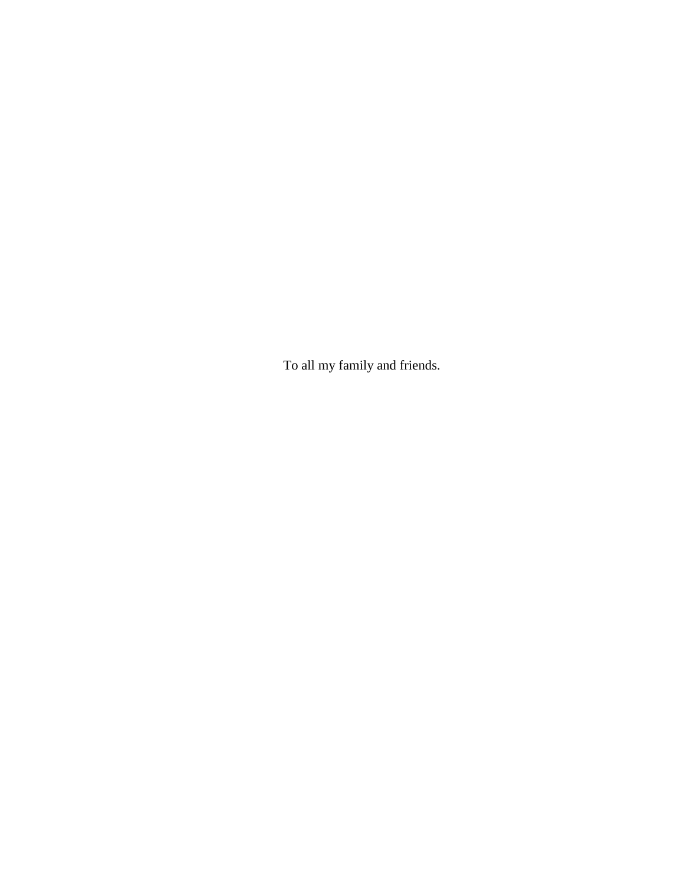To all my family and friends.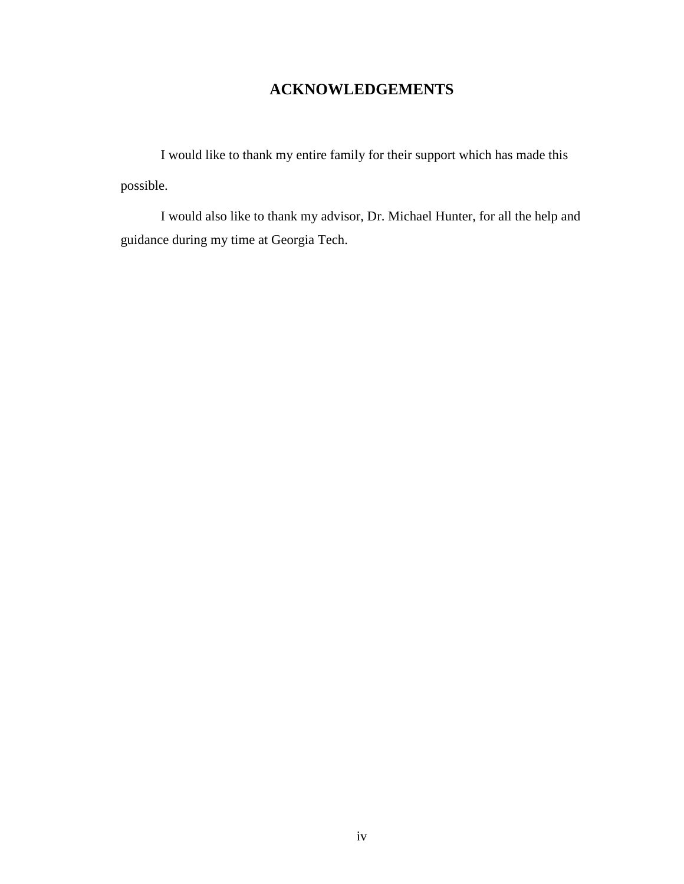# **ACKNOWLEDGEMENTS**

 I would like to thank my entire family for their support which has made this possible.

 I would also like to thank my advisor, Dr. Michael Hunter, for all the help and guidance during my time at Georgia Tech.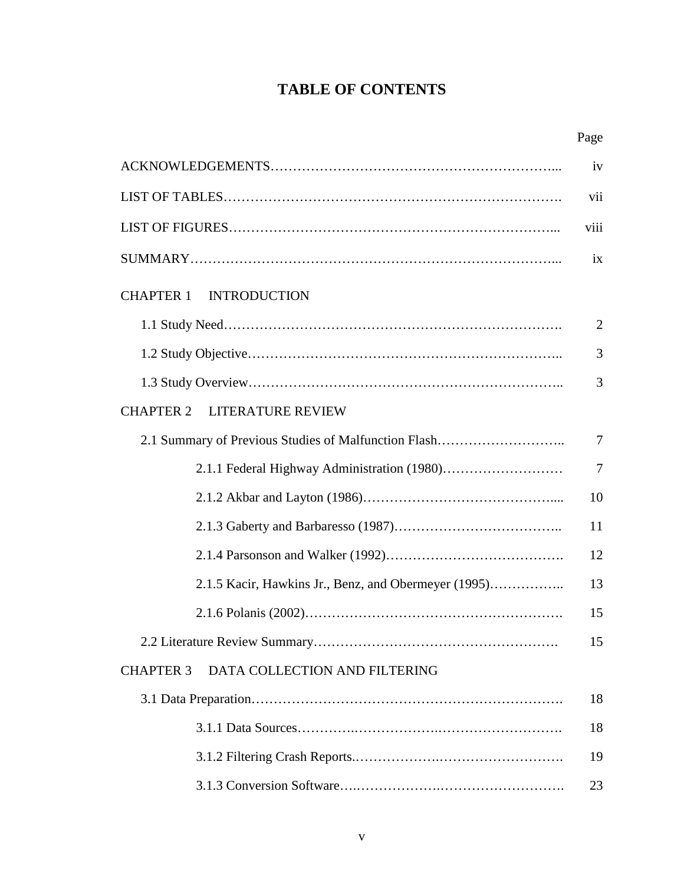# **TABLE OF CONTENTS**

|                                                      | iv             |
|------------------------------------------------------|----------------|
|                                                      | vii            |
|                                                      | viii           |
|                                                      | ix             |
| <b>INTRODUCTION</b><br><b>CHAPTER 1</b>              |                |
|                                                      | $\overline{2}$ |
|                                                      | 3              |
|                                                      | 3              |
| <b>CHAPTER 2</b><br><b>LITERATURE REVIEW</b>         |                |
| 2.1 Summary of Previous Studies of Malfunction Flash |                |
|                                                      | 7              |
|                                                      | 10             |
|                                                      | 11             |
|                                                      | 12             |
| 2.1.5 Kacir, Hawkins Jr., Benz, and Obermeyer (1995) | 13             |
|                                                      | 15             |
|                                                      |                |
| DATA COLLECTION AND FILTERING<br><b>CHAPTER 3</b>    |                |
|                                                      |                |
|                                                      | 18             |
|                                                      | 19             |
|                                                      | 23             |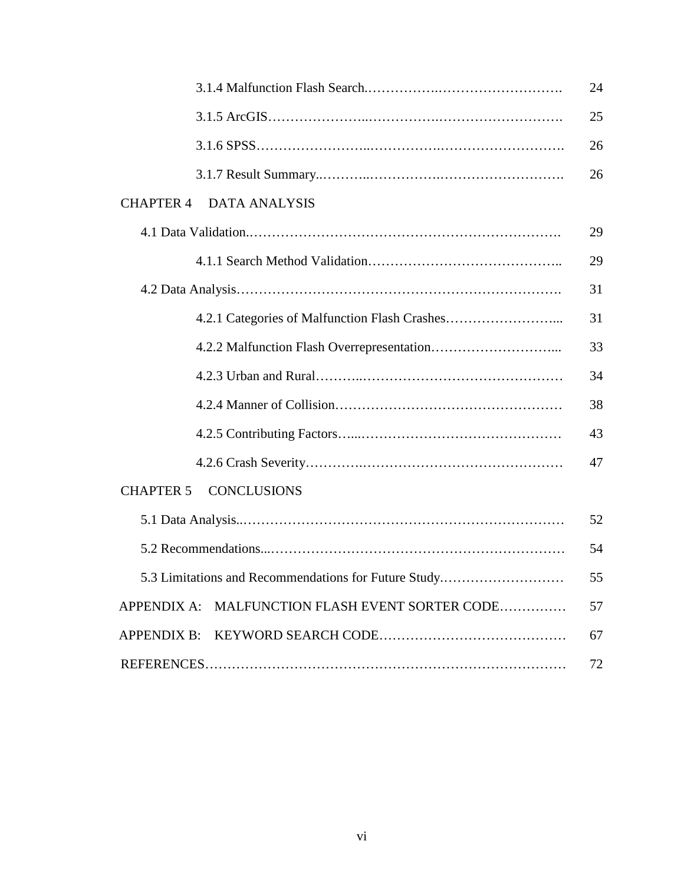|                                                      | 24 |
|------------------------------------------------------|----|
|                                                      | 25 |
|                                                      | 26 |
|                                                      | 26 |
| <b>CHAPTER 4</b><br><b>DATA ANALYSIS</b>             |    |
|                                                      | 29 |
|                                                      | 29 |
|                                                      |    |
|                                                      | 31 |
|                                                      | 33 |
|                                                      | 34 |
|                                                      | 38 |
|                                                      | 43 |
|                                                      | 47 |
| <b>CONCLUSIONS</b><br><b>CHAPTER 5</b>               |    |
|                                                      | 52 |
|                                                      | 54 |
| 5.3 Limitations and Recommendations for Future Study | 55 |
| APPENDIX A: MALFUNCTION FLASH EVENT SORTER CODE      | 57 |
|                                                      | 67 |
|                                                      | 72 |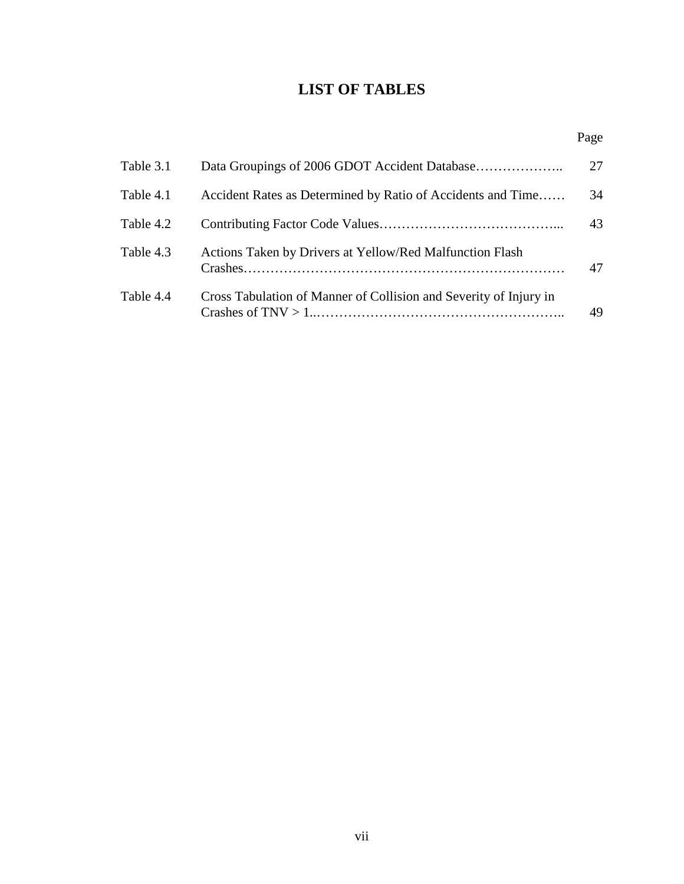# **LIST OF TABLES**

|           |                                                                   | Page |
|-----------|-------------------------------------------------------------------|------|
| Table 3.1 |                                                                   | 27   |
| Table 4.1 | Accident Rates as Determined by Ratio of Accidents and Time       | 34   |
| Table 4.2 |                                                                   | 43   |
| Table 4.3 | Actions Taken by Drivers at Yellow/Red Malfunction Flash          | 47   |
| Table 4.4 | Cross Tabulation of Manner of Collision and Severity of Injury in | 49   |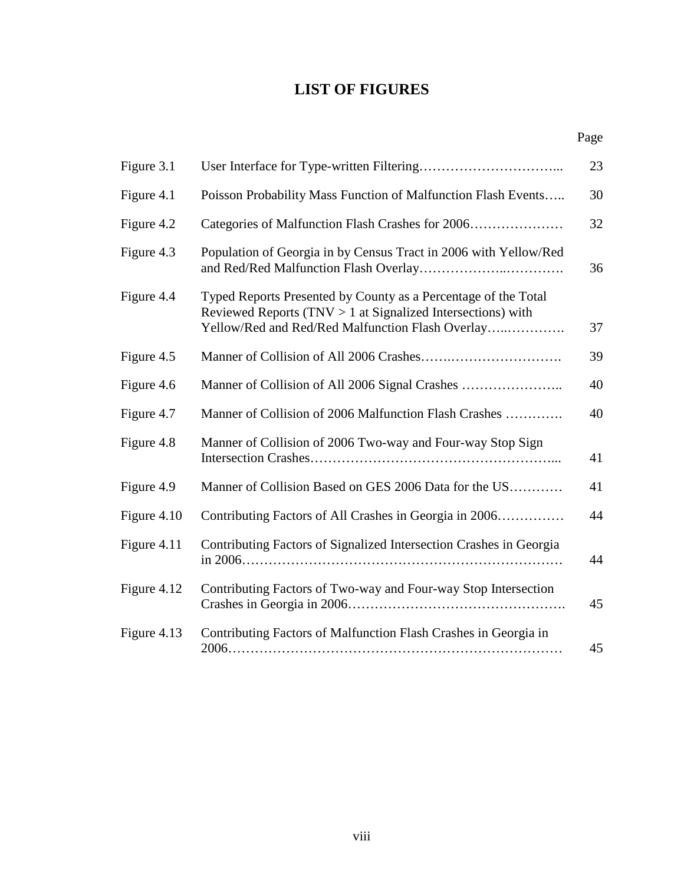# **LIST OF FIGURES**

Page

| Figure 3.1  |                                                                                                                                                                                     | 23 |
|-------------|-------------------------------------------------------------------------------------------------------------------------------------------------------------------------------------|----|
| Figure 4.1  | Poisson Probability Mass Function of Malfunction Flash Events                                                                                                                       | 30 |
| Figure 4.2  | Categories of Malfunction Flash Crashes for 2006                                                                                                                                    | 32 |
| Figure 4.3  | Population of Georgia in by Census Tract in 2006 with Yellow/Red                                                                                                                    | 36 |
| Figure 4.4  | Typed Reports Presented by County as a Percentage of the Total<br>Reviewed Reports (TNV $> 1$ at Signalized Intersections) with<br>Yellow/Red and Red/Red Malfunction Flash Overlay | 37 |
| Figure 4.5  |                                                                                                                                                                                     | 39 |
| Figure 4.6  |                                                                                                                                                                                     | 40 |
| Figure 4.7  | Manner of Collision of 2006 Malfunction Flash Crashes                                                                                                                               | 40 |
| Figure 4.8  | Manner of Collision of 2006 Two-way and Four-way Stop Sign                                                                                                                          | 41 |
| Figure 4.9  | Manner of Collision Based on GES 2006 Data for the US                                                                                                                               | 41 |
| Figure 4.10 | Contributing Factors of All Crashes in Georgia in 2006                                                                                                                              | 44 |
| Figure 4.11 | Contributing Factors of Signalized Intersection Crashes in Georgia                                                                                                                  | 44 |
| Figure 4.12 | Contributing Factors of Two-way and Four-way Stop Intersection                                                                                                                      | 45 |
| Figure 4.13 | Contributing Factors of Malfunction Flash Crashes in Georgia in                                                                                                                     | 45 |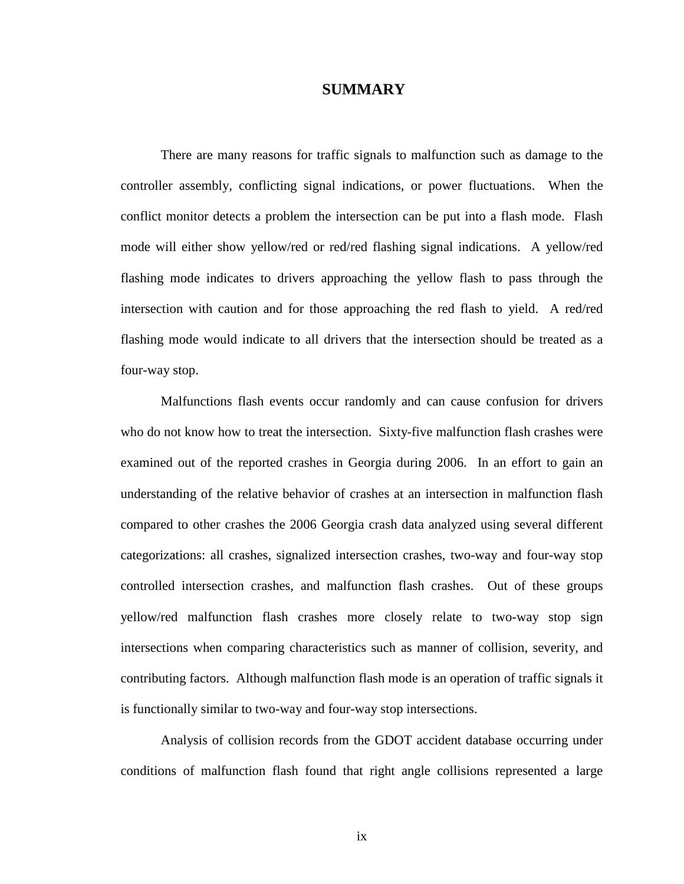# **SUMMARY**

There are many reasons for traffic signals to malfunction such as damage to the controller assembly, conflicting signal indications, or power fluctuations. When the conflict monitor detects a problem the intersection can be put into a flash mode. Flash mode will either show yellow/red or red/red flashing signal indications. A yellow/red flashing mode indicates to drivers approaching the yellow flash to pass through the intersection with caution and for those approaching the red flash to yield. A red/red flashing mode would indicate to all drivers that the intersection should be treated as a four-way stop.

 Malfunctions flash events occur randomly and can cause confusion for drivers who do not know how to treat the intersection. Sixty-five malfunction flash crashes were examined out of the reported crashes in Georgia during 2006. In an effort to gain an understanding of the relative behavior of crashes at an intersection in malfunction flash compared to other crashes the 2006 Georgia crash data analyzed using several different categorizations: all crashes, signalized intersection crashes, two-way and four-way stop controlled intersection crashes, and malfunction flash crashes. Out of these groups yellow/red malfunction flash crashes more closely relate to two-way stop sign intersections when comparing characteristics such as manner of collision, severity, and contributing factors. Although malfunction flash mode is an operation of traffic signals it is functionally similar to two-way and four-way stop intersections.

 Analysis of collision records from the GDOT accident database occurring under conditions of malfunction flash found that right angle collisions represented a large

ix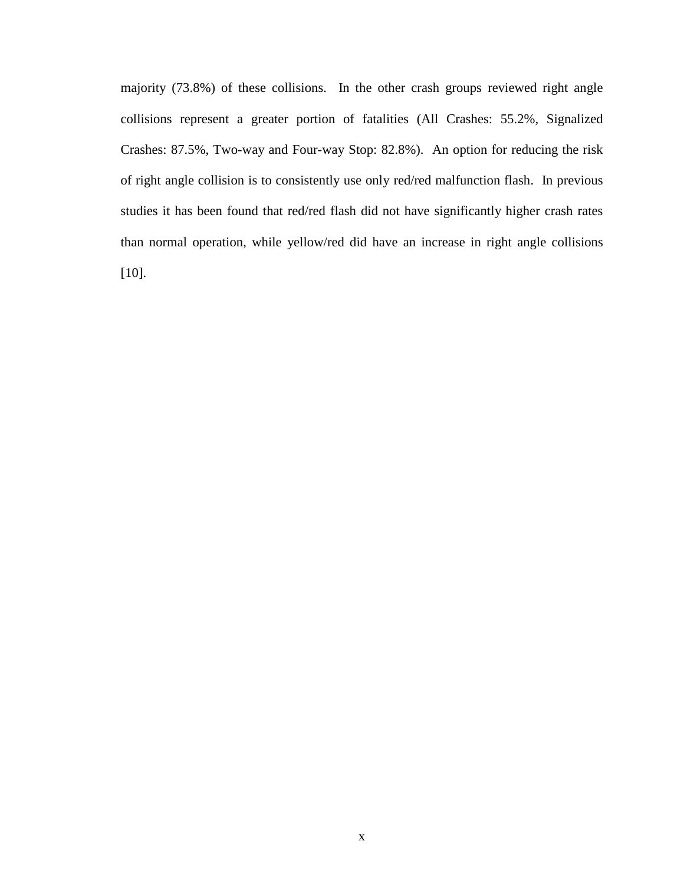majority (73.8%) of these collisions. In the other crash groups reviewed right angle collisions represent a greater portion of fatalities (All Crashes: 55.2%, Signalized Crashes: 87.5%, Two-way and Four-way Stop: 82.8%). An option for reducing the risk of right angle collision is to consistently use only red/red malfunction flash. In previous studies it has been found that red/red flash did not have significantly higher crash rates than normal operation, while yellow/red did have an increase in right angle collisions [10].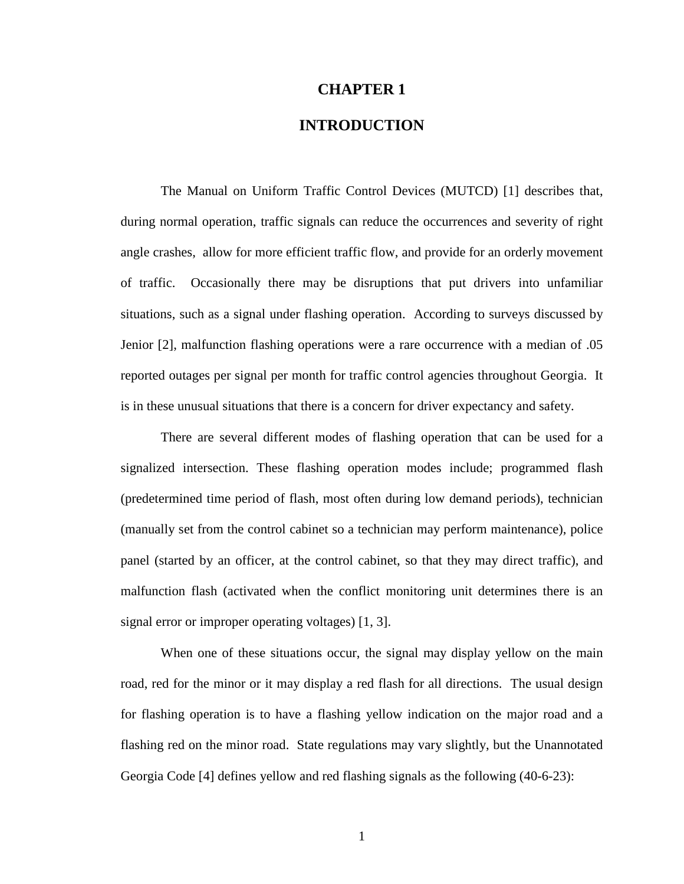# **CHAPTER 1**

# **INTRODUCTION**

 The Manual on Uniform Traffic Control Devices (MUTCD) [1] describes that, during normal operation, traffic signals can reduce the occurrences and severity of right angle crashes, allow for more efficient traffic flow, and provide for an orderly movement of traffic. Occasionally there may be disruptions that put drivers into unfamiliar situations, such as a signal under flashing operation. According to surveys discussed by Jenior [2], malfunction flashing operations were a rare occurrence with a median of .05 reported outages per signal per month for traffic control agencies throughout Georgia. It is in these unusual situations that there is a concern for driver expectancy and safety.

 There are several different modes of flashing operation that can be used for a signalized intersection. These flashing operation modes include; programmed flash (predetermined time period of flash, most often during low demand periods), technician (manually set from the control cabinet so a technician may perform maintenance), police panel (started by an officer, at the control cabinet, so that they may direct traffic), and malfunction flash (activated when the conflict monitoring unit determines there is an signal error or improper operating voltages) [1, 3].

When one of these situations occur, the signal may display yellow on the main road, red for the minor or it may display a red flash for all directions. The usual design for flashing operation is to have a flashing yellow indication on the major road and a flashing red on the minor road. State regulations may vary slightly, but the Unannotated Georgia Code [4] defines yellow and red flashing signals as the following (40-6-23):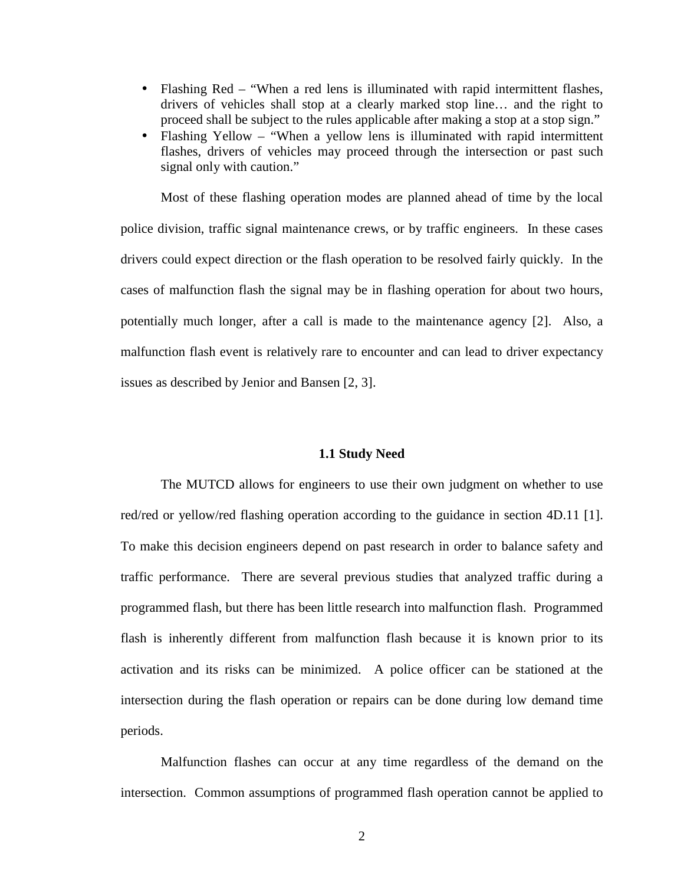- Flashing Red "When a red lens is illuminated with rapid intermittent flashes, drivers of vehicles shall stop at a clearly marked stop line… and the right to proceed shall be subject to the rules applicable after making a stop at a stop sign."
- Flashing Yellow "When a yellow lens is illuminated with rapid intermittent flashes, drivers of vehicles may proceed through the intersection or past such signal only with caution."

 Most of these flashing operation modes are planned ahead of time by the local police division, traffic signal maintenance crews, or by traffic engineers. In these cases drivers could expect direction or the flash operation to be resolved fairly quickly. In the cases of malfunction flash the signal may be in flashing operation for about two hours, potentially much longer, after a call is made to the maintenance agency [2]. Also, a malfunction flash event is relatively rare to encounter and can lead to driver expectancy issues as described by Jenior and Bansen [2, 3].

## **1.1 Study Need**

 The MUTCD allows for engineers to use their own judgment on whether to use red/red or yellow/red flashing operation according to the guidance in section 4D.11 [1]. To make this decision engineers depend on past research in order to balance safety and traffic performance. There are several previous studies that analyzed traffic during a programmed flash, but there has been little research into malfunction flash. Programmed flash is inherently different from malfunction flash because it is known prior to its activation and its risks can be minimized. A police officer can be stationed at the intersection during the flash operation or repairs can be done during low demand time periods.

 Malfunction flashes can occur at any time regardless of the demand on the intersection. Common assumptions of programmed flash operation cannot be applied to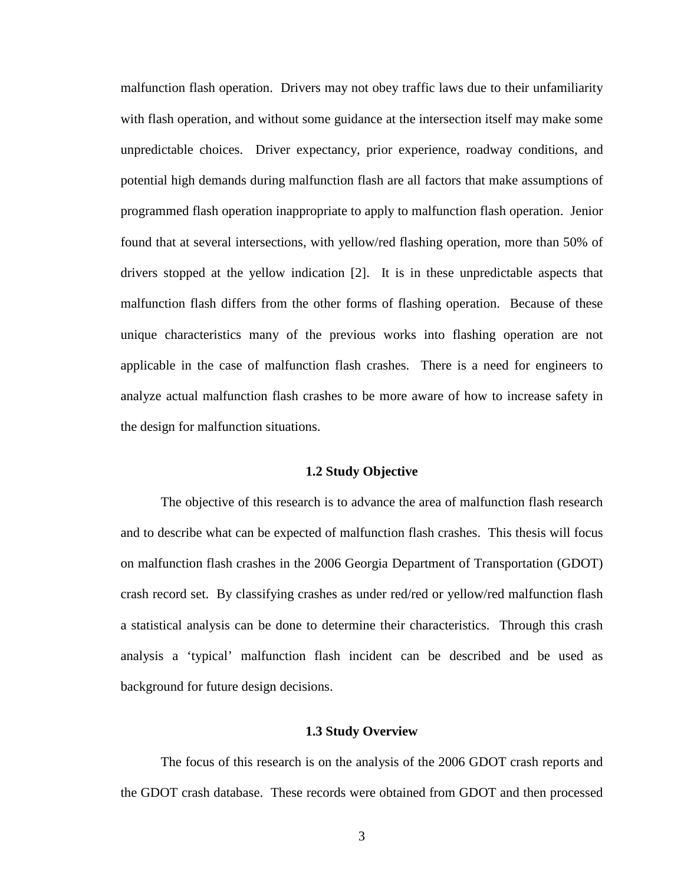malfunction flash operation. Drivers may not obey traffic laws due to their unfamiliarity with flash operation, and without some guidance at the intersection itself may make some unpredictable choices. Driver expectancy, prior experience, roadway conditions, and potential high demands during malfunction flash are all factors that make assumptions of programmed flash operation inappropriate to apply to malfunction flash operation. Jenior found that at several intersections, with yellow/red flashing operation, more than 50% of drivers stopped at the yellow indication [2]. It is in these unpredictable aspects that malfunction flash differs from the other forms of flashing operation. Because of these unique characteristics many of the previous works into flashing operation are not applicable in the case of malfunction flash crashes. There is a need for engineers to analyze actual malfunction flash crashes to be more aware of how to increase safety in the design for malfunction situations.

#### **1.2 Study Objective**

 The objective of this research is to advance the area of malfunction flash research and to describe what can be expected of malfunction flash crashes. This thesis will focus on malfunction flash crashes in the 2006 Georgia Department of Transportation (GDOT) crash record set. By classifying crashes as under red/red or yellow/red malfunction flash a statistical analysis can be done to determine their characteristics. Through this crash analysis a 'typical' malfunction flash incident can be described and be used as background for future design decisions.

#### **1.3 Study Overview**

 The focus of this research is on the analysis of the 2006 GDOT crash reports and the GDOT crash database. These records were obtained from GDOT and then processed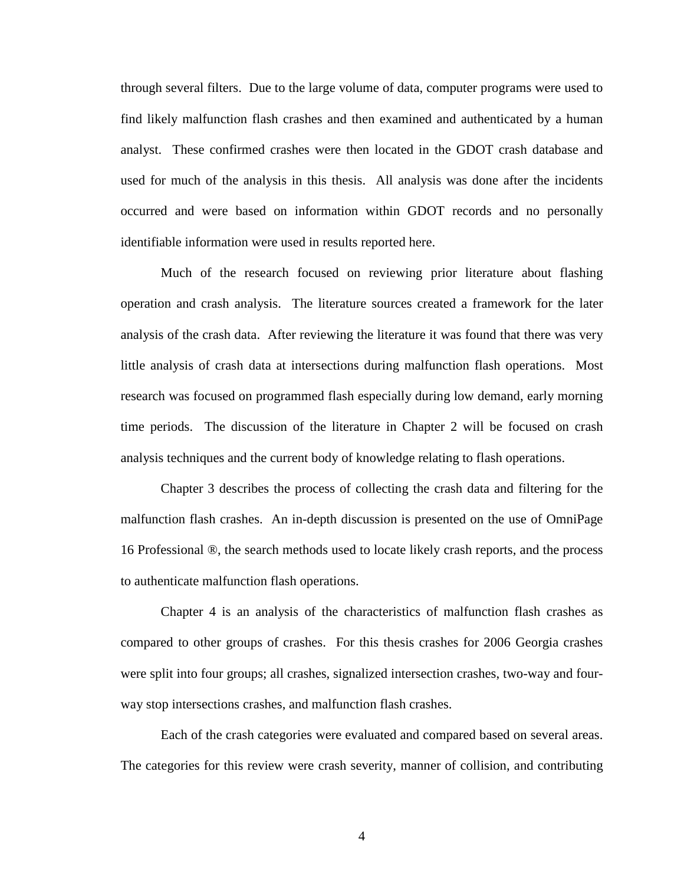through several filters. Due to the large volume of data, computer programs were used to find likely malfunction flash crashes and then examined and authenticated by a human analyst. These confirmed crashes were then located in the GDOT crash database and used for much of the analysis in this thesis. All analysis was done after the incidents occurred and were based on information within GDOT records and no personally identifiable information were used in results reported here.

 Much of the research focused on reviewing prior literature about flashing operation and crash analysis. The literature sources created a framework for the later analysis of the crash data. After reviewing the literature it was found that there was very little analysis of crash data at intersections during malfunction flash operations. Most research was focused on programmed flash especially during low demand, early morning time periods. The discussion of the literature in Chapter 2 will be focused on crash analysis techniques and the current body of knowledge relating to flash operations.

 Chapter 3 describes the process of collecting the crash data and filtering for the malfunction flash crashes. An in-depth discussion is presented on the use of OmniPage 16 Professional ®, the search methods used to locate likely crash reports, and the process to authenticate malfunction flash operations.

 Chapter 4 is an analysis of the characteristics of malfunction flash crashes as compared to other groups of crashes. For this thesis crashes for 2006 Georgia crashes were split into four groups; all crashes, signalized intersection crashes, two-way and fourway stop intersections crashes, and malfunction flash crashes.

 Each of the crash categories were evaluated and compared based on several areas. The categories for this review were crash severity, manner of collision, and contributing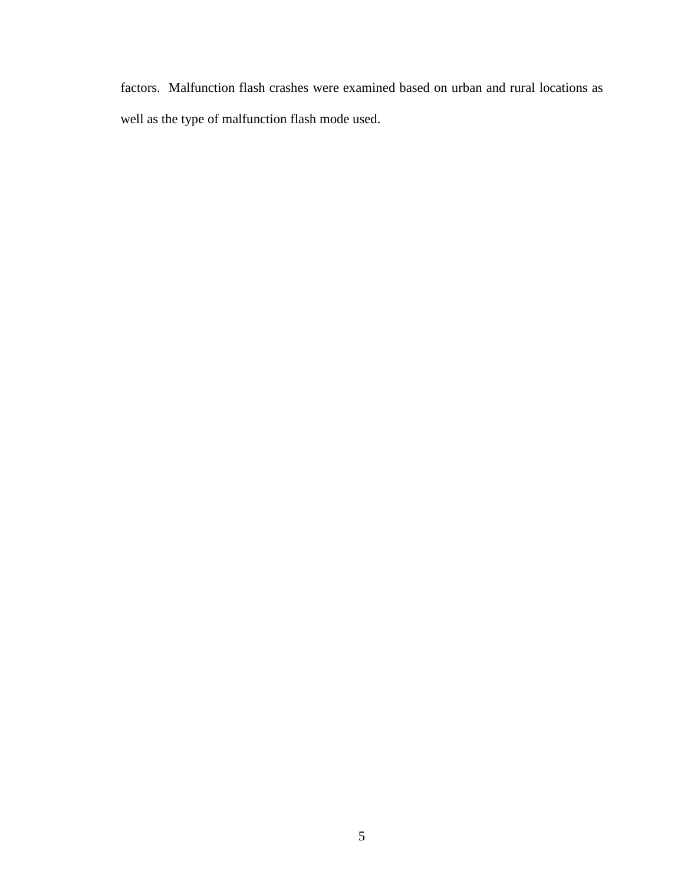factors. Malfunction flash crashes were examined based on urban and rural locations as well as the type of malfunction flash mode used.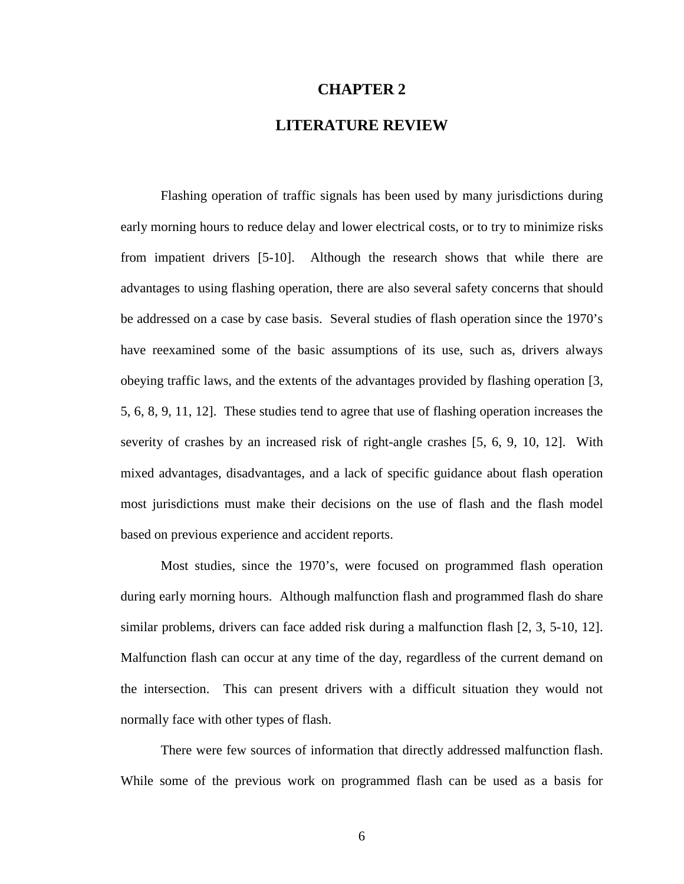## **CHAPTER 2**

# **LITERATURE REVIEW**

 Flashing operation of traffic signals has been used by many jurisdictions during early morning hours to reduce delay and lower electrical costs, or to try to minimize risks from impatient drivers [5-10]. Although the research shows that while there are advantages to using flashing operation, there are also several safety concerns that should be addressed on a case by case basis. Several studies of flash operation since the 1970's have reexamined some of the basic assumptions of its use, such as, drivers always obeying traffic laws, and the extents of the advantages provided by flashing operation [3, 5, 6, 8, 9, 11, 12]. These studies tend to agree that use of flashing operation increases the severity of crashes by an increased risk of right-angle crashes [5, 6, 9, 10, 12]. With mixed advantages, disadvantages, and a lack of specific guidance about flash operation most jurisdictions must make their decisions on the use of flash and the flash model based on previous experience and accident reports.

 Most studies, since the 1970's, were focused on programmed flash operation during early morning hours. Although malfunction flash and programmed flash do share similar problems, drivers can face added risk during a malfunction flash [2, 3, 5-10, 12]. Malfunction flash can occur at any time of the day, regardless of the current demand on the intersection. This can present drivers with a difficult situation they would not normally face with other types of flash.

 There were few sources of information that directly addressed malfunction flash. While some of the previous work on programmed flash can be used as a basis for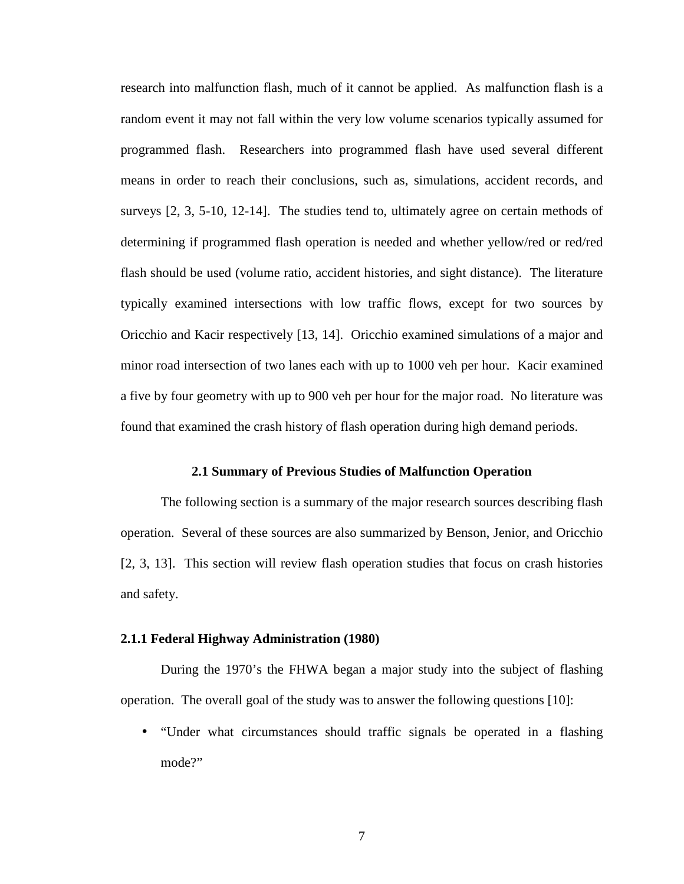research into malfunction flash, much of it cannot be applied. As malfunction flash is a random event it may not fall within the very low volume scenarios typically assumed for programmed flash. Researchers into programmed flash have used several different means in order to reach their conclusions, such as, simulations, accident records, and surveys [2, 3, 5-10, 12-14]. The studies tend to, ultimately agree on certain methods of determining if programmed flash operation is needed and whether yellow/red or red/red flash should be used (volume ratio, accident histories, and sight distance). The literature typically examined intersections with low traffic flows, except for two sources by Oricchio and Kacir respectively [13, 14]. Oricchio examined simulations of a major and minor road intersection of two lanes each with up to 1000 veh per hour. Kacir examined a five by four geometry with up to 900 veh per hour for the major road. No literature was found that examined the crash history of flash operation during high demand periods.

#### **2.1 Summary of Previous Studies of Malfunction Operation**

 The following section is a summary of the major research sources describing flash operation. Several of these sources are also summarized by Benson, Jenior, and Oricchio [2, 3, 13]. This section will review flash operation studies that focus on crash histories and safety.

### **2.1.1 Federal Highway Administration (1980)**

 During the 1970's the FHWA began a major study into the subject of flashing operation. The overall goal of the study was to answer the following questions [10]:

• "Under what circumstances should traffic signals be operated in a flashing mode?"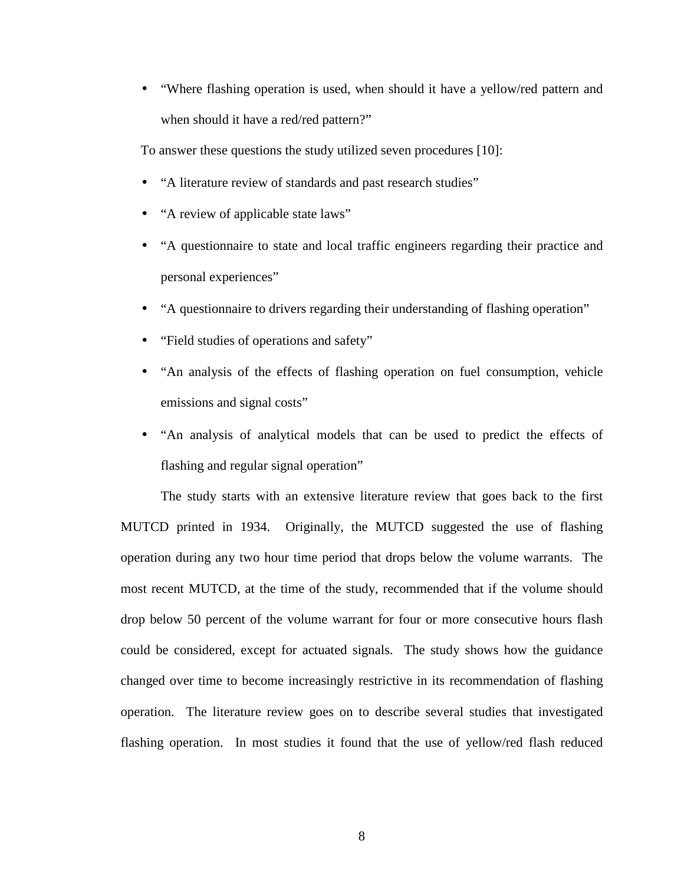• "Where flashing operation is used, when should it have a yellow/red pattern and when should it have a red/red pattern?"

To answer these questions the study utilized seven procedures [10]:

- "A literature review of standards and past research studies"
- "A review of applicable state laws"
- "A questionnaire to state and local traffic engineers regarding their practice and personal experiences"
- "A questionnaire to drivers regarding their understanding of flashing operation"
- "Field studies of operations and safety"
- "An analysis of the effects of flashing operation on fuel consumption, vehicle emissions and signal costs"
- "An analysis of analytical models that can be used to predict the effects of flashing and regular signal operation"

 The study starts with an extensive literature review that goes back to the first MUTCD printed in 1934. Originally, the MUTCD suggested the use of flashing operation during any two hour time period that drops below the volume warrants. The most recent MUTCD, at the time of the study, recommended that if the volume should drop below 50 percent of the volume warrant for four or more consecutive hours flash could be considered, except for actuated signals. The study shows how the guidance changed over time to become increasingly restrictive in its recommendation of flashing operation. The literature review goes on to describe several studies that investigated flashing operation. In most studies it found that the use of yellow/red flash reduced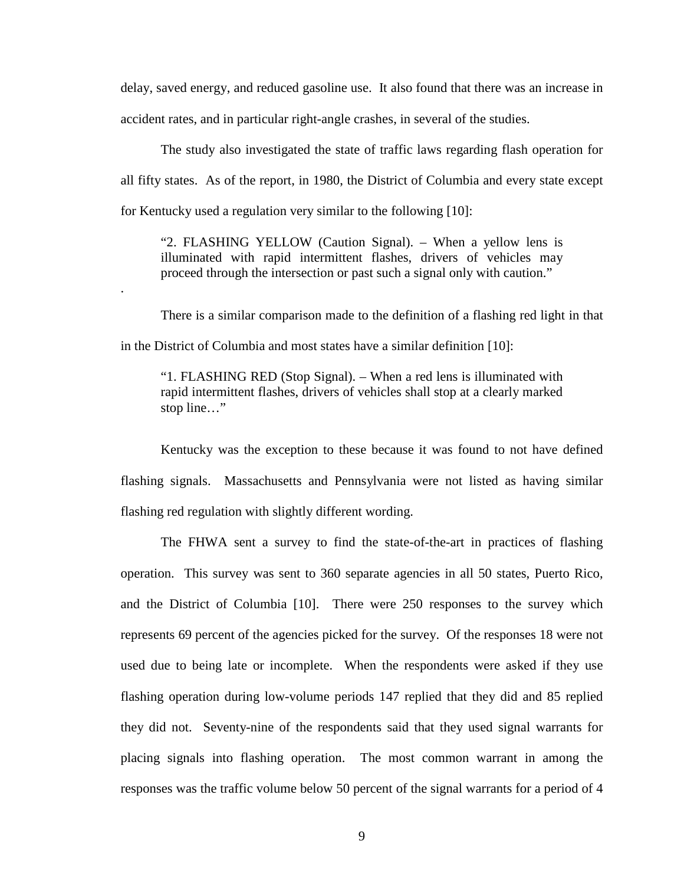delay, saved energy, and reduced gasoline use. It also found that there was an increase in accident rates, and in particular right-angle crashes, in several of the studies.

 The study also investigated the state of traffic laws regarding flash operation for all fifty states. As of the report, in 1980, the District of Columbia and every state except for Kentucky used a regulation very similar to the following [10]:

"2. FLASHING YELLOW (Caution Signal). – When a yellow lens is illuminated with rapid intermittent flashes, drivers of vehicles may proceed through the intersection or past such a signal only with caution."

.

 There is a similar comparison made to the definition of a flashing red light in that in the District of Columbia and most states have a similar definition [10]:

"1. FLASHING RED (Stop Signal). – When a red lens is illuminated with rapid intermittent flashes, drivers of vehicles shall stop at a clearly marked stop line…"

 Kentucky was the exception to these because it was found to not have defined flashing signals. Massachusetts and Pennsylvania were not listed as having similar flashing red regulation with slightly different wording.

 The FHWA sent a survey to find the state-of-the-art in practices of flashing operation. This survey was sent to 360 separate agencies in all 50 states, Puerto Rico, and the District of Columbia [10]. There were 250 responses to the survey which represents 69 percent of the agencies picked for the survey. Of the responses 18 were not used due to being late or incomplete. When the respondents were asked if they use flashing operation during low-volume periods 147 replied that they did and 85 replied they did not. Seventy-nine of the respondents said that they used signal warrants for placing signals into flashing operation. The most common warrant in among the responses was the traffic volume below 50 percent of the signal warrants for a period of 4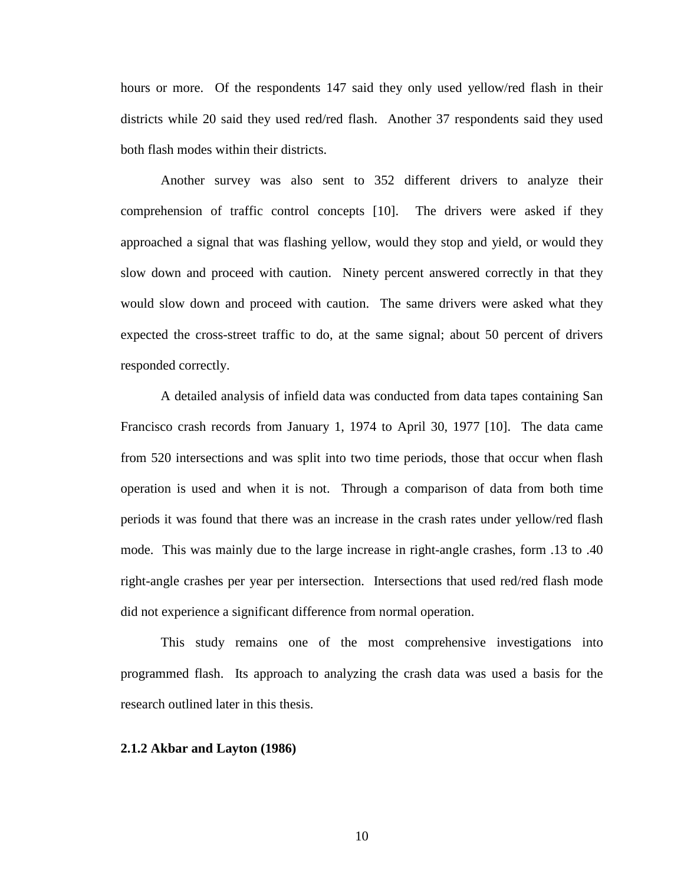hours or more. Of the respondents 147 said they only used yellow/red flash in their districts while 20 said they used red/red flash. Another 37 respondents said they used both flash modes within their districts.

 Another survey was also sent to 352 different drivers to analyze their comprehension of traffic control concepts [10]. The drivers were asked if they approached a signal that was flashing yellow, would they stop and yield, or would they slow down and proceed with caution. Ninety percent answered correctly in that they would slow down and proceed with caution. The same drivers were asked what they expected the cross-street traffic to do, at the same signal; about 50 percent of drivers responded correctly.

 A detailed analysis of infield data was conducted from data tapes containing San Francisco crash records from January 1, 1974 to April 30, 1977 [10]. The data came from 520 intersections and was split into two time periods, those that occur when flash operation is used and when it is not. Through a comparison of data from both time periods it was found that there was an increase in the crash rates under yellow/red flash mode. This was mainly due to the large increase in right-angle crashes, form .13 to .40 right-angle crashes per year per intersection. Intersections that used red/red flash mode did not experience a significant difference from normal operation.

 This study remains one of the most comprehensive investigations into programmed flash. Its approach to analyzing the crash data was used a basis for the research outlined later in this thesis.

# **2.1.2 Akbar and Layton (1986)**

10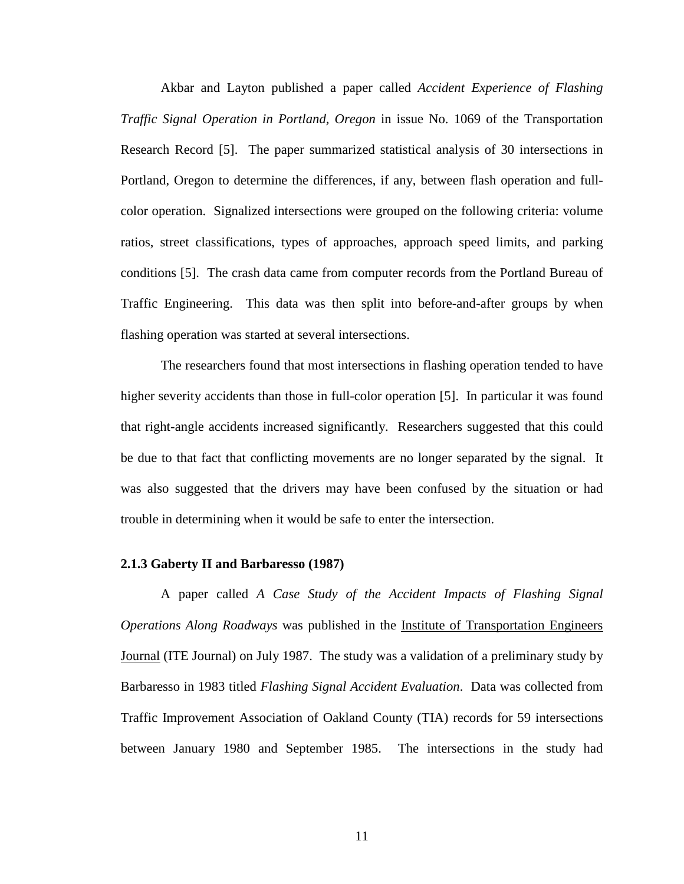Akbar and Layton published a paper called *Accident Experience of Flashing Traffic Signal Operation in Portland, Oregon* in issue No. 1069 of the Transportation Research Record [5]. The paper summarized statistical analysis of 30 intersections in Portland, Oregon to determine the differences, if any, between flash operation and fullcolor operation. Signalized intersections were grouped on the following criteria: volume ratios, street classifications, types of approaches, approach speed limits, and parking conditions [5]. The crash data came from computer records from the Portland Bureau of Traffic Engineering. This data was then split into before-and-after groups by when flashing operation was started at several intersections.

 The researchers found that most intersections in flashing operation tended to have higher severity accidents than those in full-color operation [5]. In particular it was found that right-angle accidents increased significantly. Researchers suggested that this could be due to that fact that conflicting movements are no longer separated by the signal. It was also suggested that the drivers may have been confused by the situation or had trouble in determining when it would be safe to enter the intersection.

#### **2.1.3 Gaberty II and Barbaresso (1987)**

 A paper called *A Case Study of the Accident Impacts of Flashing Signal Operations Along Roadways* was published in the Institute of Transportation Engineers Journal (ITE Journal) on July 1987. The study was a validation of a preliminary study by Barbaresso in 1983 titled *Flashing Signal Accident Evaluation*. Data was collected from Traffic Improvement Association of Oakland County (TIA) records for 59 intersections between January 1980 and September 1985. The intersections in the study had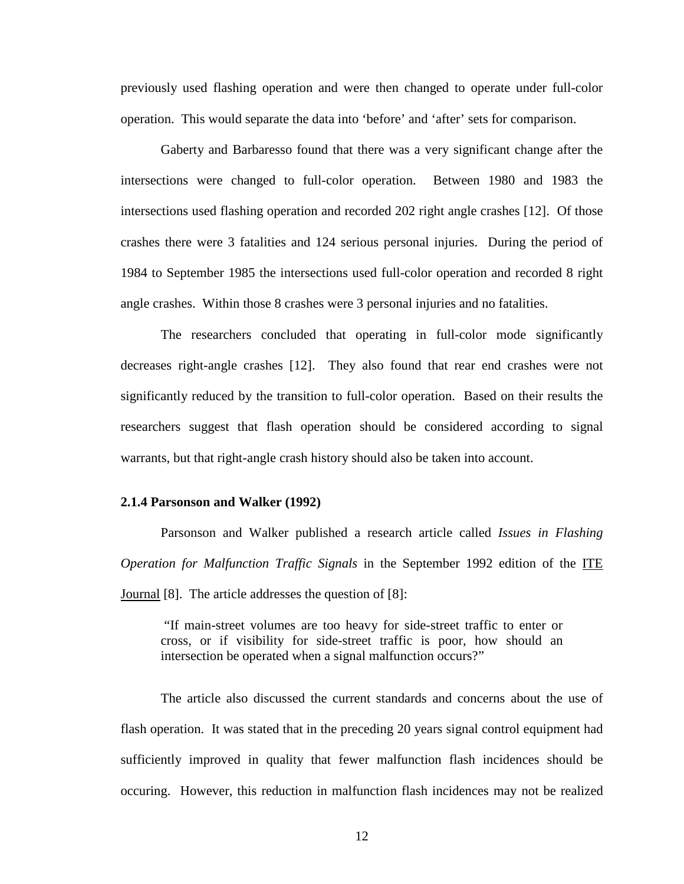previously used flashing operation and were then changed to operate under full-color operation. This would separate the data into 'before' and 'after' sets for comparison.

 Gaberty and Barbaresso found that there was a very significant change after the intersections were changed to full-color operation. Between 1980 and 1983 the intersections used flashing operation and recorded 202 right angle crashes [12]. Of those crashes there were 3 fatalities and 124 serious personal injuries. During the period of 1984 to September 1985 the intersections used full-color operation and recorded 8 right angle crashes. Within those 8 crashes were 3 personal injuries and no fatalities.

 The researchers concluded that operating in full-color mode significantly decreases right-angle crashes [12]. They also found that rear end crashes were not significantly reduced by the transition to full-color operation. Based on their results the researchers suggest that flash operation should be considered according to signal warrants, but that right-angle crash history should also be taken into account.

### **2.1.4 Parsonson and Walker (1992)**

 Parsonson and Walker published a research article called *Issues in Flashing Operation for Malfunction Traffic Signals* in the September 1992 edition of the ITE Journal [8]. The article addresses the question of [8]:

 "If main-street volumes are too heavy for side-street traffic to enter or cross, or if visibility for side-street traffic is poor, how should an intersection be operated when a signal malfunction occurs?"

 The article also discussed the current standards and concerns about the use of flash operation. It was stated that in the preceding 20 years signal control equipment had sufficiently improved in quality that fewer malfunction flash incidences should be occuring. However, this reduction in malfunction flash incidences may not be realized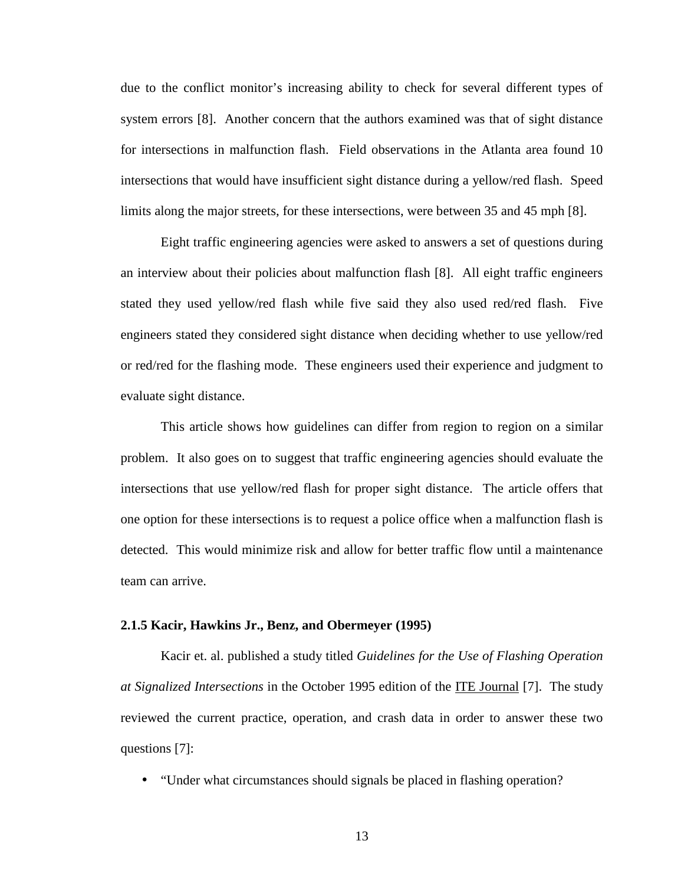due to the conflict monitor's increasing ability to check for several different types of system errors [8]. Another concern that the authors examined was that of sight distance for intersections in malfunction flash. Field observations in the Atlanta area found 10 intersections that would have insufficient sight distance during a yellow/red flash. Speed limits along the major streets, for these intersections, were between 35 and 45 mph [8].

 Eight traffic engineering agencies were asked to answers a set of questions during an interview about their policies about malfunction flash [8]. All eight traffic engineers stated they used yellow/red flash while five said they also used red/red flash. Five engineers stated they considered sight distance when deciding whether to use yellow/red or red/red for the flashing mode. These engineers used their experience and judgment to evaluate sight distance.

 This article shows how guidelines can differ from region to region on a similar problem. It also goes on to suggest that traffic engineering agencies should evaluate the intersections that use yellow/red flash for proper sight distance. The article offers that one option for these intersections is to request a police office when a malfunction flash is detected. This would minimize risk and allow for better traffic flow until a maintenance team can arrive.

### **2.1.5 Kacir, Hawkins Jr., Benz, and Obermeyer (1995)**

 Kacir et. al. published a study titled *Guidelines for the Use of Flashing Operation at Signalized Intersections* in the October 1995 edition of the ITE Journal [7]. The study reviewed the current practice, operation, and crash data in order to answer these two questions [7]:

• "Under what circumstances should signals be placed in flashing operation?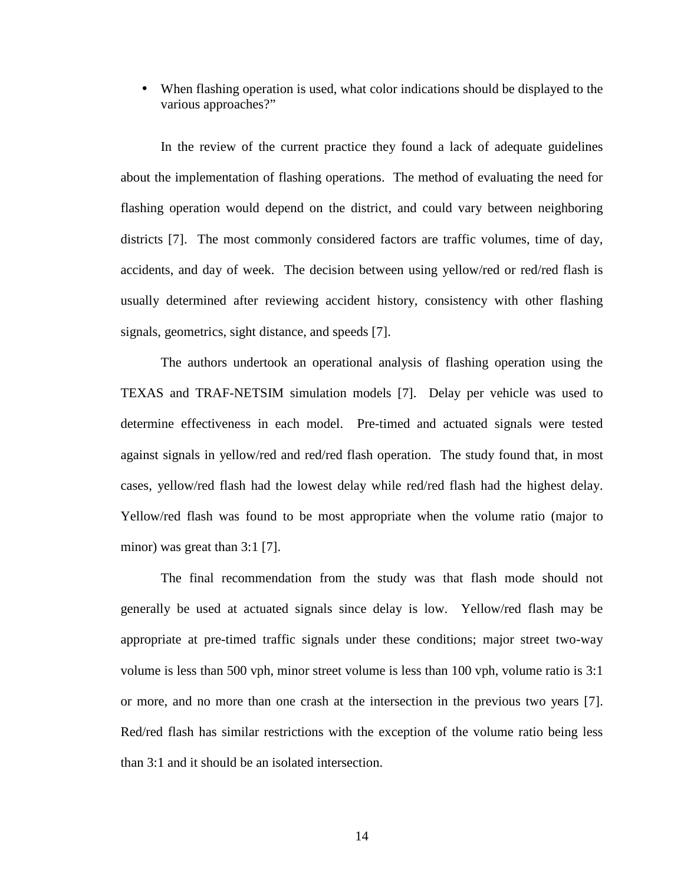• When flashing operation is used, what color indications should be displayed to the various approaches?"

 In the review of the current practice they found a lack of adequate guidelines about the implementation of flashing operations. The method of evaluating the need for flashing operation would depend on the district, and could vary between neighboring districts [7]. The most commonly considered factors are traffic volumes, time of day, accidents, and day of week. The decision between using yellow/red or red/red flash is usually determined after reviewing accident history, consistency with other flashing signals, geometrics, sight distance, and speeds [7].

 The authors undertook an operational analysis of flashing operation using the TEXAS and TRAF-NETSIM simulation models [7]. Delay per vehicle was used to determine effectiveness in each model. Pre-timed and actuated signals were tested against signals in yellow/red and red/red flash operation. The study found that, in most cases, yellow/red flash had the lowest delay while red/red flash had the highest delay. Yellow/red flash was found to be most appropriate when the volume ratio (major to minor) was great than 3:1 [7].

 The final recommendation from the study was that flash mode should not generally be used at actuated signals since delay is low. Yellow/red flash may be appropriate at pre-timed traffic signals under these conditions; major street two-way volume is less than 500 vph, minor street volume is less than 100 vph, volume ratio is 3:1 or more, and no more than one crash at the intersection in the previous two years [7]. Red/red flash has similar restrictions with the exception of the volume ratio being less than 3:1 and it should be an isolated intersection.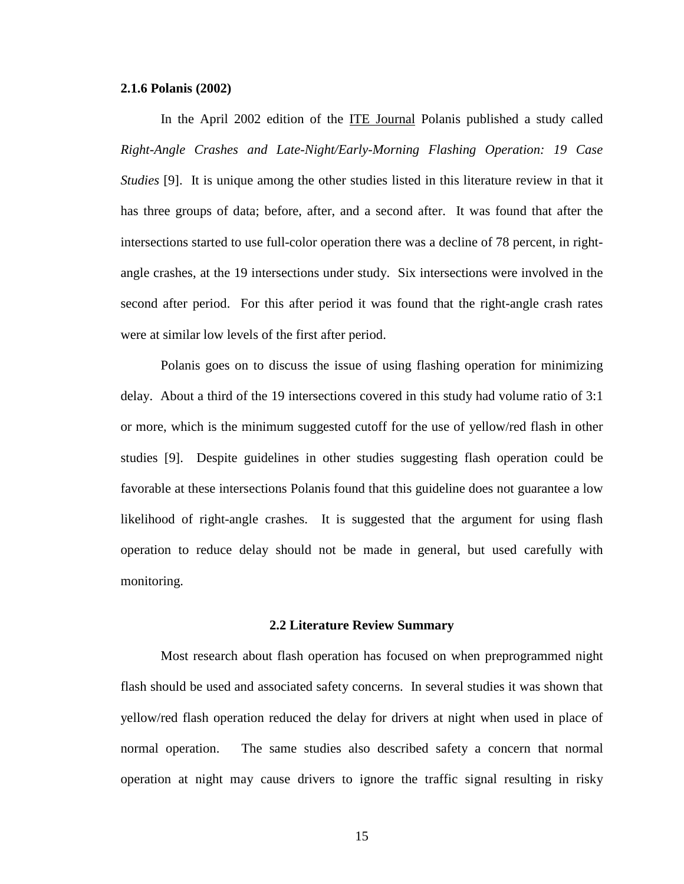### **2.1.6 Polanis (2002)**

 In the April 2002 edition of the ITE Journal Polanis published a study called *Right-Angle Crashes and Late-Night/Early-Morning Flashing Operation: 19 Case Studies* [9]. It is unique among the other studies listed in this literature review in that it has three groups of data; before, after, and a second after. It was found that after the intersections started to use full-color operation there was a decline of 78 percent, in rightangle crashes, at the 19 intersections under study. Six intersections were involved in the second after period. For this after period it was found that the right-angle crash rates were at similar low levels of the first after period.

 Polanis goes on to discuss the issue of using flashing operation for minimizing delay. About a third of the 19 intersections covered in this study had volume ratio of 3:1 or more, which is the minimum suggested cutoff for the use of yellow/red flash in other studies [9]. Despite guidelines in other studies suggesting flash operation could be favorable at these intersections Polanis found that this guideline does not guarantee a low likelihood of right-angle crashes. It is suggested that the argument for using flash operation to reduce delay should not be made in general, but used carefully with monitoring.

#### **2.2 Literature Review Summary**

Most research about flash operation has focused on when preprogrammed night flash should be used and associated safety concerns. In several studies it was shown that yellow/red flash operation reduced the delay for drivers at night when used in place of normal operation. The same studies also described safety a concern that normal operation at night may cause drivers to ignore the traffic signal resulting in risky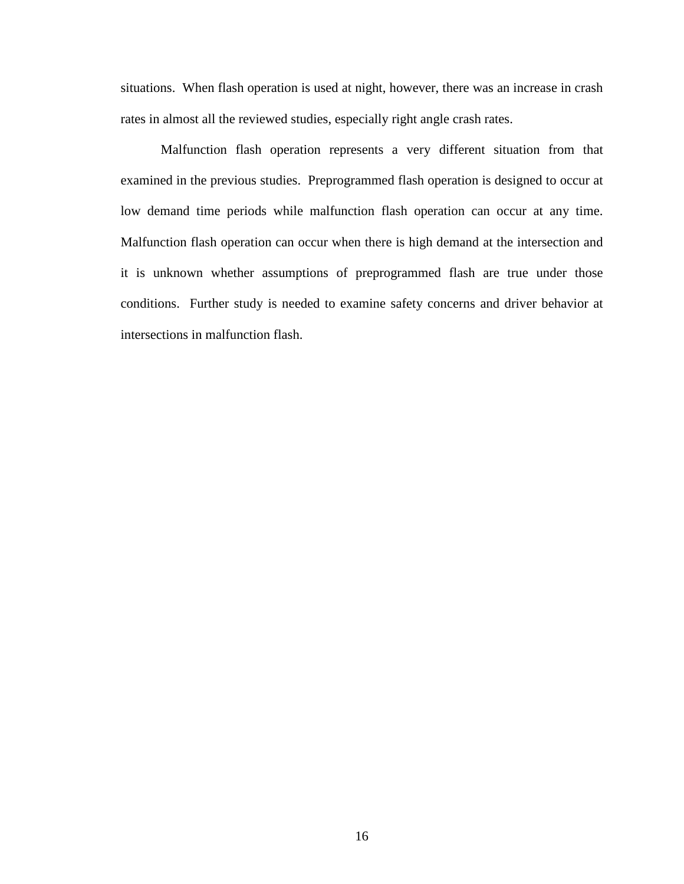situations. When flash operation is used at night, however, there was an increase in crash rates in almost all the reviewed studies, especially right angle crash rates.

 Malfunction flash operation represents a very different situation from that examined in the previous studies. Preprogrammed flash operation is designed to occur at low demand time periods while malfunction flash operation can occur at any time. Malfunction flash operation can occur when there is high demand at the intersection and it is unknown whether assumptions of preprogrammed flash are true under those conditions. Further study is needed to examine safety concerns and driver behavior at intersections in malfunction flash.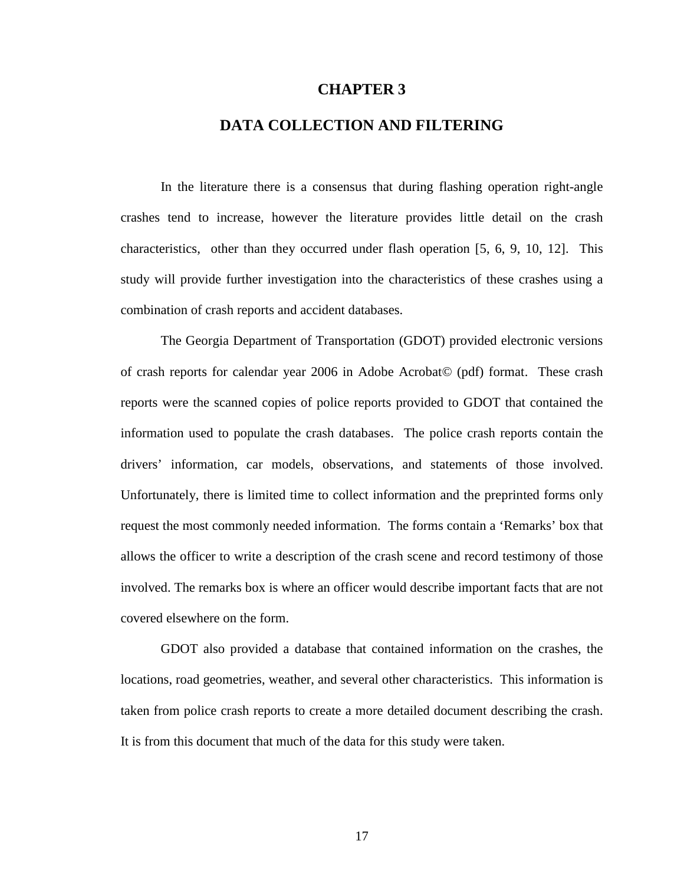## **CHAPTER 3**

# **DATA COLLECTION AND FILTERING**

 In the literature there is a consensus that during flashing operation right-angle crashes tend to increase, however the literature provides little detail on the crash characteristics, other than they occurred under flash operation [5, 6, 9, 10, 12]. This study will provide further investigation into the characteristics of these crashes using a combination of crash reports and accident databases.

 The Georgia Department of Transportation (GDOT) provided electronic versions of crash reports for calendar year 2006 in Adobe Acrobat© (pdf) format. These crash reports were the scanned copies of police reports provided to GDOT that contained the information used to populate the crash databases. The police crash reports contain the drivers' information, car models, observations, and statements of those involved. Unfortunately, there is limited time to collect information and the preprinted forms only request the most commonly needed information. The forms contain a 'Remarks' box that allows the officer to write a description of the crash scene and record testimony of those involved. The remarks box is where an officer would describe important facts that are not covered elsewhere on the form.

 GDOT also provided a database that contained information on the crashes, the locations, road geometries, weather, and several other characteristics. This information is taken from police crash reports to create a more detailed document describing the crash. It is from this document that much of the data for this study were taken.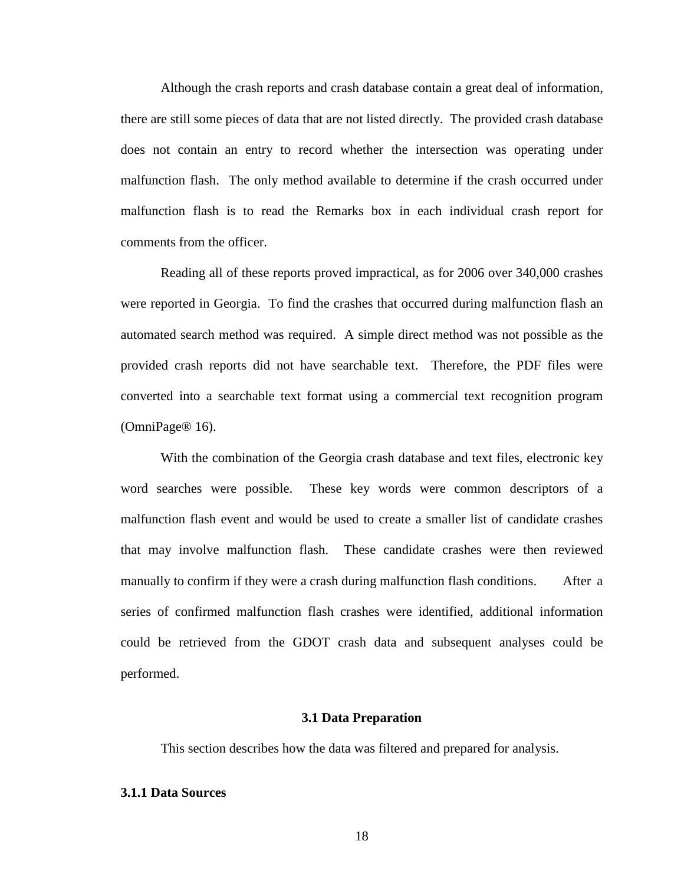Although the crash reports and crash database contain a great deal of information, there are still some pieces of data that are not listed directly. The provided crash database does not contain an entry to record whether the intersection was operating under malfunction flash. The only method available to determine if the crash occurred under malfunction flash is to read the Remarks box in each individual crash report for comments from the officer.

 Reading all of these reports proved impractical, as for 2006 over 340,000 crashes were reported in Georgia. To find the crashes that occurred during malfunction flash an automated search method was required. A simple direct method was not possible as the provided crash reports did not have searchable text. Therefore, the PDF files were converted into a searchable text format using a commercial text recognition program (OmniPage® 16).

 With the combination of the Georgia crash database and text files, electronic key word searches were possible. These key words were common descriptors of a malfunction flash event and would be used to create a smaller list of candidate crashes that may involve malfunction flash. These candidate crashes were then reviewed manually to confirm if they were a crash during malfunction flash conditions. After a series of confirmed malfunction flash crashes were identified, additional information could be retrieved from the GDOT crash data and subsequent analyses could be performed.

# **3.1 Data Preparation**

This section describes how the data was filtered and prepared for analysis.

### **3.1.1 Data Sources**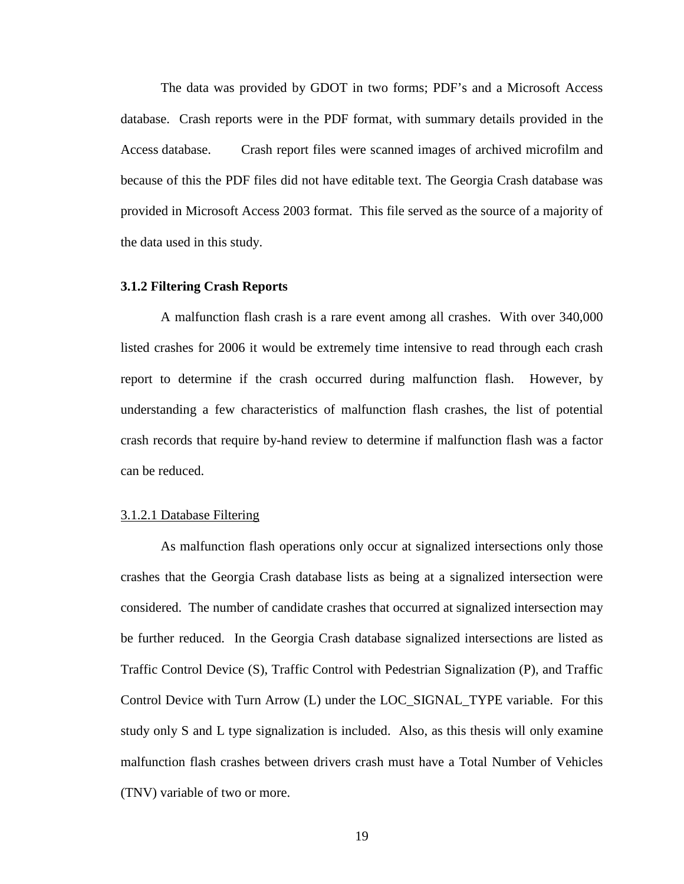The data was provided by GDOT in two forms; PDF's and a Microsoft Access database. Crash reports were in the PDF format, with summary details provided in the Access database. Crash report files were scanned images of archived microfilm and because of this the PDF files did not have editable text. The Georgia Crash database was provided in Microsoft Access 2003 format. This file served as the source of a majority of the data used in this study.

#### **3.1.2 Filtering Crash Reports**

 A malfunction flash crash is a rare event among all crashes. With over 340,000 listed crashes for 2006 it would be extremely time intensive to read through each crash report to determine if the crash occurred during malfunction flash. However, by understanding a few characteristics of malfunction flash crashes, the list of potential crash records that require by-hand review to determine if malfunction flash was a factor can be reduced.

### 3.1.2.1 Database Filtering

 As malfunction flash operations only occur at signalized intersections only those crashes that the Georgia Crash database lists as being at a signalized intersection were considered. The number of candidate crashes that occurred at signalized intersection may be further reduced. In the Georgia Crash database signalized intersections are listed as Traffic Control Device (S), Traffic Control with Pedestrian Signalization (P), and Traffic Control Device with Turn Arrow (L) under the LOC\_SIGNAL\_TYPE variable. For this study only S and L type signalization is included. Also, as this thesis will only examine malfunction flash crashes between drivers crash must have a Total Number of Vehicles (TNV) variable of two or more.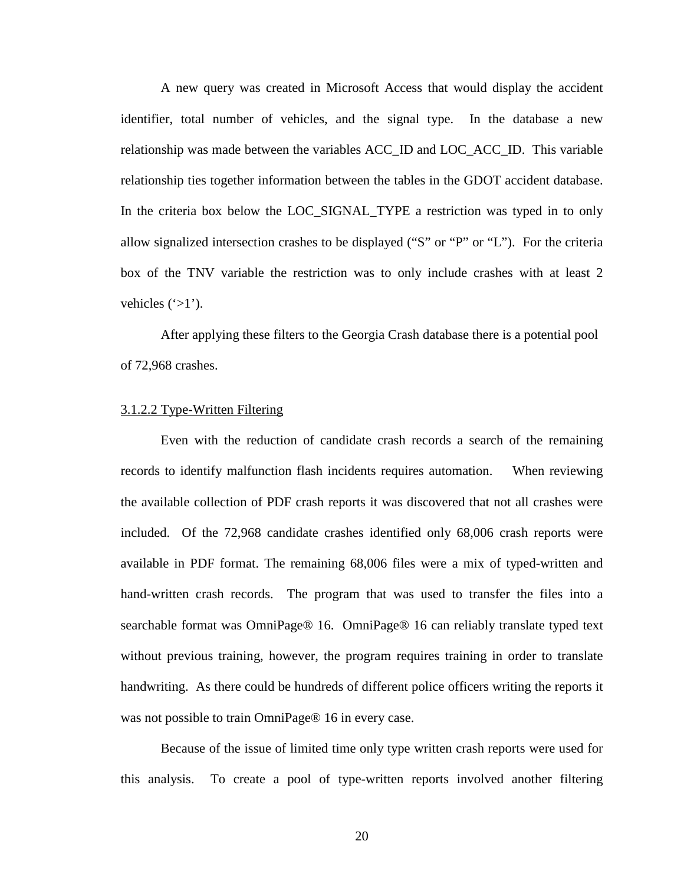A new query was created in Microsoft Access that would display the accident identifier, total number of vehicles, and the signal type. In the database a new relationship was made between the variables ACC\_ID and LOC\_ACC\_ID. This variable relationship ties together information between the tables in the GDOT accident database. In the criteria box below the LOC\_SIGNAL\_TYPE a restriction was typed in to only allow signalized intersection crashes to be displayed ("S" or "P" or "L"). For the criteria box of the TNV variable the restriction was to only include crashes with at least 2 vehicles  $(\geq 1')$ .

 After applying these filters to the Georgia Crash database there is a potential pool of 72,968 crashes.

#### 3.1.2.2 Type-Written Filtering

 Even with the reduction of candidate crash records a search of the remaining records to identify malfunction flash incidents requires automation. When reviewing the available collection of PDF crash reports it was discovered that not all crashes were included. Of the 72,968 candidate crashes identified only 68,006 crash reports were available in PDF format. The remaining 68,006 files were a mix of typed-written and hand-written crash records. The program that was used to transfer the files into a searchable format was OmniPage® 16. OmniPage® 16 can reliably translate typed text without previous training, however, the program requires training in order to translate handwriting. As there could be hundreds of different police officers writing the reports it was not possible to train OmniPage® 16 in every case.

 Because of the issue of limited time only type written crash reports were used for this analysis. To create a pool of type-written reports involved another filtering

20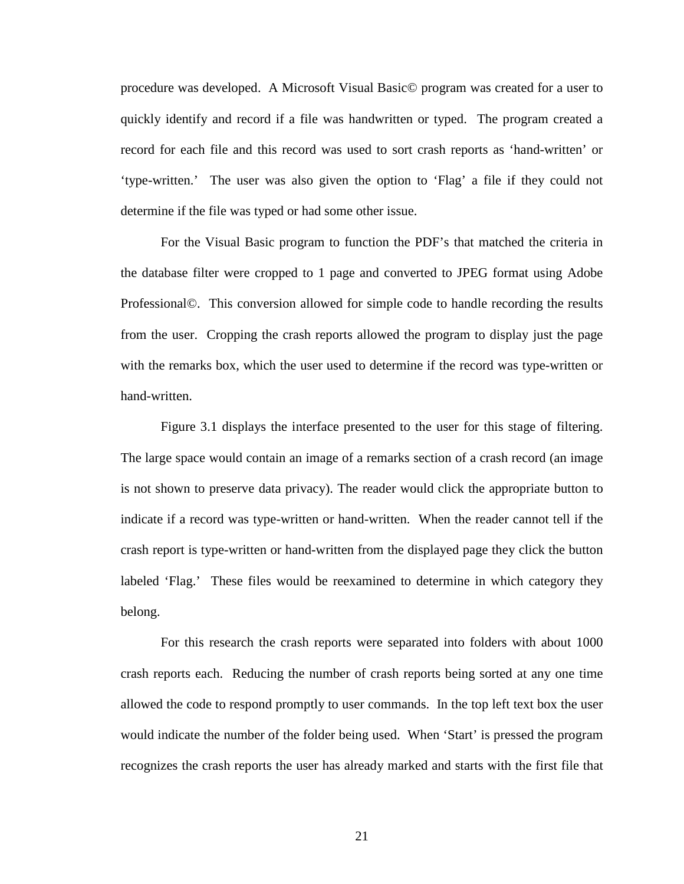procedure was developed. A Microsoft Visual Basic© program was created for a user to quickly identify and record if a file was handwritten or typed. The program created a record for each file and this record was used to sort crash reports as 'hand-written' or 'type-written.' The user was also given the option to 'Flag' a file if they could not determine if the file was typed or had some other issue.

 For the Visual Basic program to function the PDF's that matched the criteria in the database filter were cropped to 1 page and converted to JPEG format using Adobe Professional©. This conversion allowed for simple code to handle recording the results from the user. Cropping the crash reports allowed the program to display just the page with the remarks box, which the user used to determine if the record was type-written or hand-written.

 Figure 3.1 displays the interface presented to the user for this stage of filtering. The large space would contain an image of a remarks section of a crash record (an image is not shown to preserve data privacy). The reader would click the appropriate button to indicate if a record was type-written or hand-written. When the reader cannot tell if the crash report is type-written or hand-written from the displayed page they click the button labeled 'Flag.' These files would be reexamined to determine in which category they belong.

For this research the crash reports were separated into folders with about 1000 crash reports each. Reducing the number of crash reports being sorted at any one time allowed the code to respond promptly to user commands. In the top left text box the user would indicate the number of the folder being used. When 'Start' is pressed the program recognizes the crash reports the user has already marked and starts with the first file that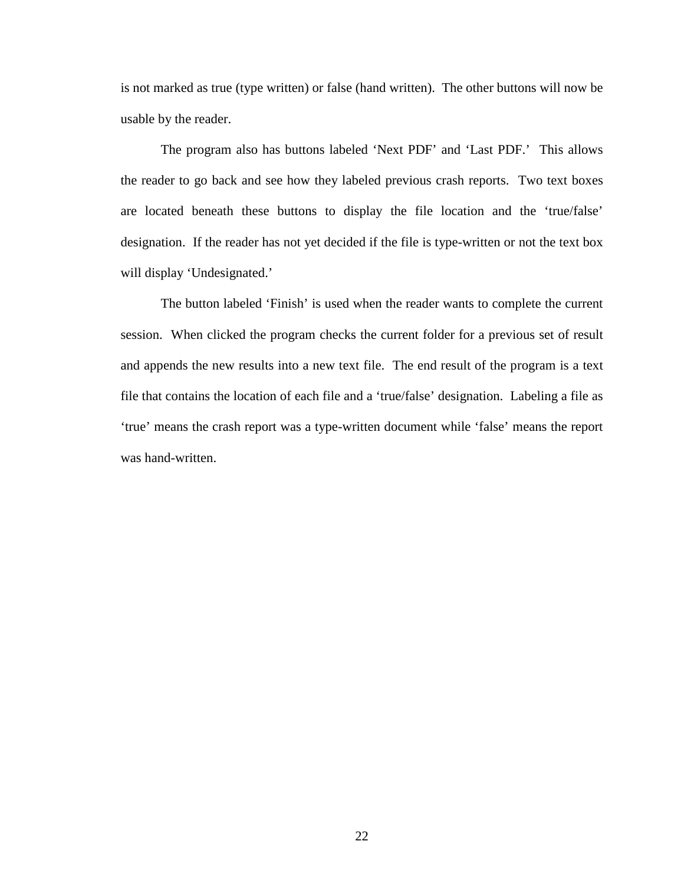is not marked as true (type written) or false (hand written). The other buttons will now be usable by the reader.

 The program also has buttons labeled 'Next PDF' and 'Last PDF.' This allows the reader to go back and see how they labeled previous crash reports. Two text boxes are located beneath these buttons to display the file location and the 'true/false' designation. If the reader has not yet decided if the file is type-written or not the text box will display 'Undesignated.'

 The button labeled 'Finish' is used when the reader wants to complete the current session. When clicked the program checks the current folder for a previous set of result and appends the new results into a new text file. The end result of the program is a text file that contains the location of each file and a 'true/false' designation. Labeling a file as 'true' means the crash report was a type-written document while 'false' means the report was hand-written.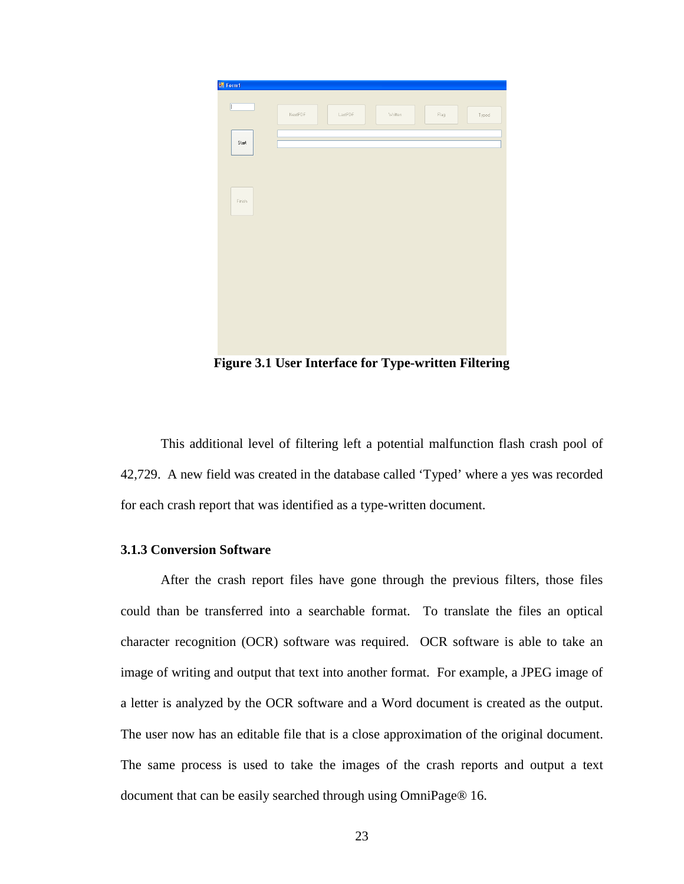

**Figure 3.1 User Interface for Type-written Filtering** 

 This additional level of filtering left a potential malfunction flash crash pool of 42,729. A new field was created in the database called 'Typed' where a yes was recorded for each crash report that was identified as a type-written document.

# **3.1.3 Conversion Software**

 After the crash report files have gone through the previous filters, those files could than be transferred into a searchable format. To translate the files an optical character recognition (OCR) software was required. OCR software is able to take an image of writing and output that text into another format. For example, a JPEG image of a letter is analyzed by the OCR software and a Word document is created as the output. The user now has an editable file that is a close approximation of the original document. The same process is used to take the images of the crash reports and output a text document that can be easily searched through using OmniPage® 16.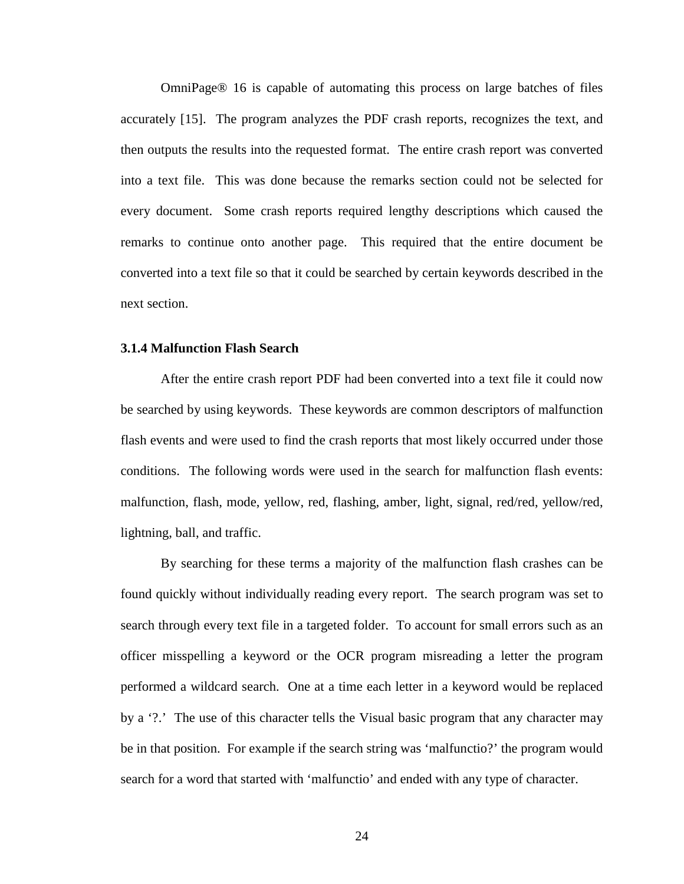OmniPage® 16 is capable of automating this process on large batches of files accurately [15]. The program analyzes the PDF crash reports, recognizes the text, and then outputs the results into the requested format. The entire crash report was converted into a text file. This was done because the remarks section could not be selected for every document. Some crash reports required lengthy descriptions which caused the remarks to continue onto another page. This required that the entire document be converted into a text file so that it could be searched by certain keywords described in the next section.

#### **3.1.4 Malfunction Flash Search**

 After the entire crash report PDF had been converted into a text file it could now be searched by using keywords. These keywords are common descriptors of malfunction flash events and were used to find the crash reports that most likely occurred under those conditions. The following words were used in the search for malfunction flash events: malfunction, flash, mode, yellow, red, flashing, amber, light, signal, red/red, yellow/red, lightning, ball, and traffic.

 By searching for these terms a majority of the malfunction flash crashes can be found quickly without individually reading every report. The search program was set to search through every text file in a targeted folder. To account for small errors such as an officer misspelling a keyword or the OCR program misreading a letter the program performed a wildcard search. One at a time each letter in a keyword would be replaced by a '?.' The use of this character tells the Visual basic program that any character may be in that position. For example if the search string was 'malfunctio?' the program would search for a word that started with 'malfunctio' and ended with any type of character.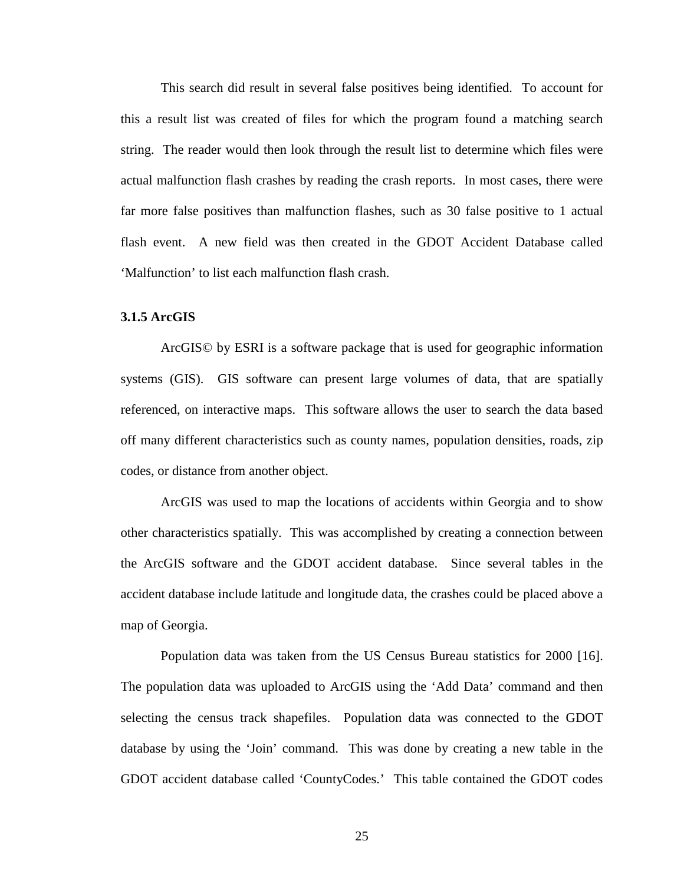This search did result in several false positives being identified. To account for this a result list was created of files for which the program found a matching search string. The reader would then look through the result list to determine which files were actual malfunction flash crashes by reading the crash reports. In most cases, there were far more false positives than malfunction flashes, such as 30 false positive to 1 actual flash event. A new field was then created in the GDOT Accident Database called 'Malfunction' to list each malfunction flash crash.

### **3.1.5 ArcGIS**

 ArcGIS© by ESRI is a software package that is used for geographic information systems (GIS). GIS software can present large volumes of data, that are spatially referenced, on interactive maps. This software allows the user to search the data based off many different characteristics such as county names, population densities, roads, zip codes, or distance from another object.

 ArcGIS was used to map the locations of accidents within Georgia and to show other characteristics spatially. This was accomplished by creating a connection between the ArcGIS software and the GDOT accident database. Since several tables in the accident database include latitude and longitude data, the crashes could be placed above a map of Georgia.

 Population data was taken from the US Census Bureau statistics for 2000 [16]. The population data was uploaded to ArcGIS using the 'Add Data' command and then selecting the census track shapefiles. Population data was connected to the GDOT database by using the 'Join' command. This was done by creating a new table in the GDOT accident database called 'CountyCodes.' This table contained the GDOT codes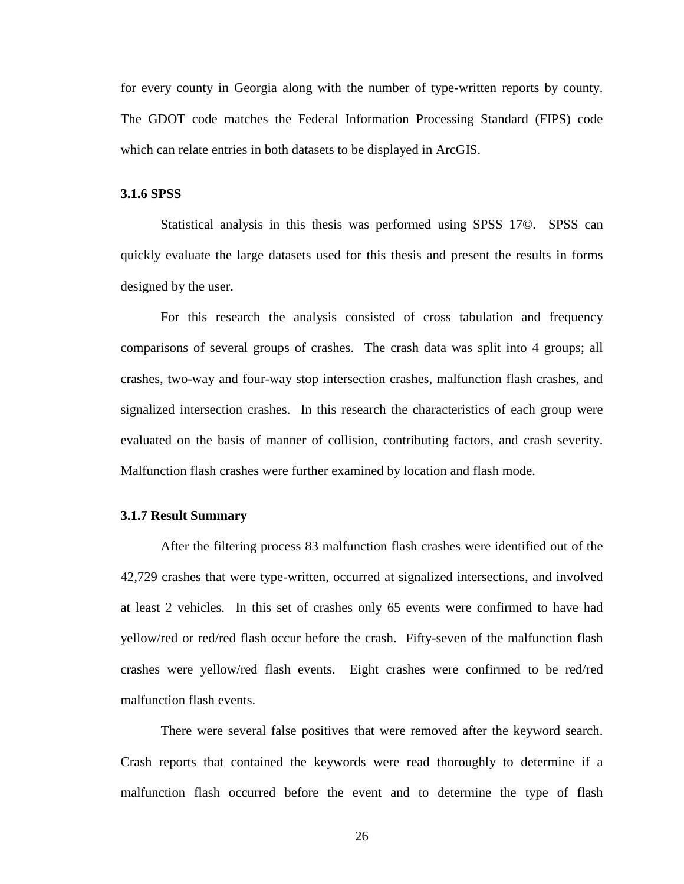for every county in Georgia along with the number of type-written reports by county. The GDOT code matches the Federal Information Processing Standard (FIPS) code which can relate entries in both datasets to be displayed in ArcGIS.

#### **3.1.6 SPSS**

 Statistical analysis in this thesis was performed using SPSS 17©. SPSS can quickly evaluate the large datasets used for this thesis and present the results in forms designed by the user.

 For this research the analysis consisted of cross tabulation and frequency comparisons of several groups of crashes. The crash data was split into 4 groups; all crashes, two-way and four-way stop intersection crashes, malfunction flash crashes, and signalized intersection crashes. In this research the characteristics of each group were evaluated on the basis of manner of collision, contributing factors, and crash severity. Malfunction flash crashes were further examined by location and flash mode.

# **3.1.7 Result Summary**

 After the filtering process 83 malfunction flash crashes were identified out of the 42,729 crashes that were type-written, occurred at signalized intersections, and involved at least 2 vehicles. In this set of crashes only 65 events were confirmed to have had yellow/red or red/red flash occur before the crash. Fifty-seven of the malfunction flash crashes were yellow/red flash events. Eight crashes were confirmed to be red/red malfunction flash events.

 There were several false positives that were removed after the keyword search. Crash reports that contained the keywords were read thoroughly to determine if a malfunction flash occurred before the event and to determine the type of flash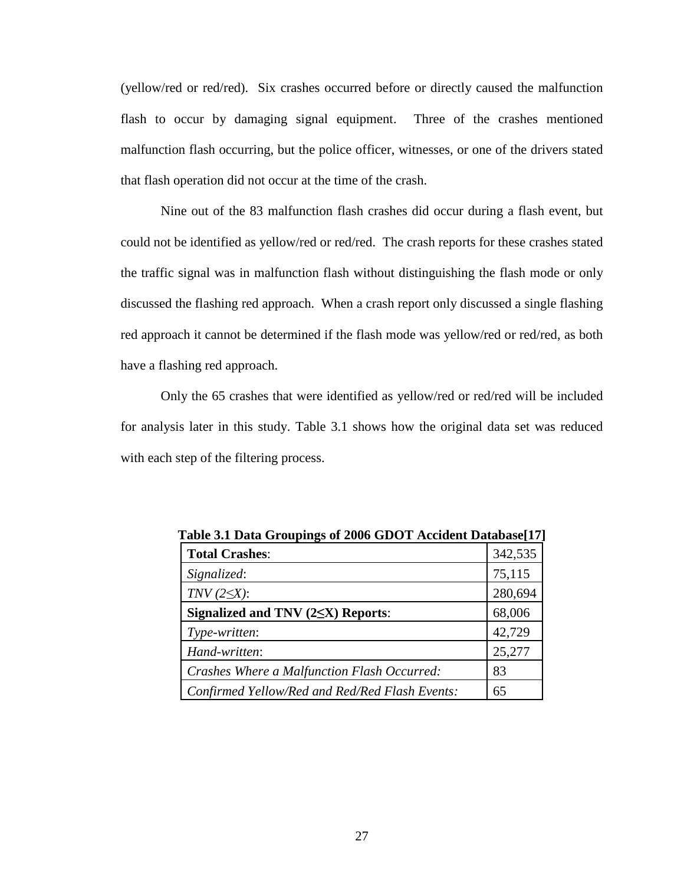(yellow/red or red/red). Six crashes occurred before or directly caused the malfunction flash to occur by damaging signal equipment. Three of the crashes mentioned malfunction flash occurring, but the police officer, witnesses, or one of the drivers stated that flash operation did not occur at the time of the crash.

 Nine out of the 83 malfunction flash crashes did occur during a flash event, but could not be identified as yellow/red or red/red. The crash reports for these crashes stated the traffic signal was in malfunction flash without distinguishing the flash mode or only discussed the flashing red approach. When a crash report only discussed a single flashing red approach it cannot be determined if the flash mode was yellow/red or red/red, as both have a flashing red approach.

 Only the 65 crashes that were identified as yellow/red or red/red will be included for analysis later in this study. Table 3.1 shows how the original data set was reduced with each step of the filtering process.

| Table 3.1 Data Groupings of 2006 GDOT Accident Database [17] |         |
|--------------------------------------------------------------|---------|
| <b>Total Crashes:</b>                                        | 342,535 |
| Signalized:                                                  | 75,115  |
| $TNV(2\leq X)$ :                                             | 280,694 |
| Signalized and TNV $(2\leq X)$ Reports:                      | 68,006  |
| Type-written:                                                | 42,729  |
| Hand-written:                                                | 25,277  |
| Crashes Where a Malfunction Flash Occurred:                  | 83      |
| Confirmed Yellow/Red and Red/Red Flash Events:               | 65      |

**Table 3.1 Data Groupings of 2006 GDOT Accident Database[17]**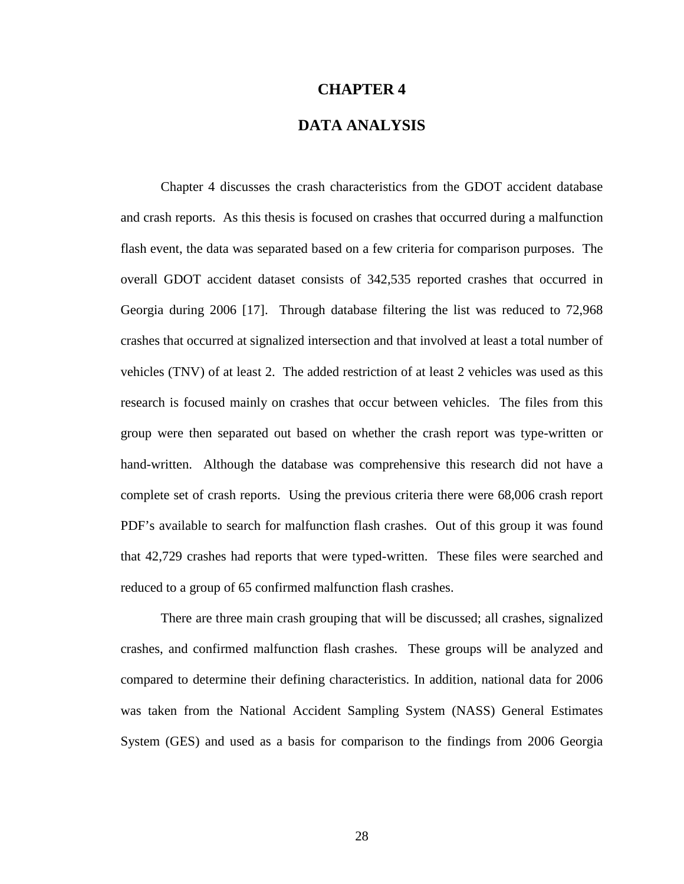## **CHAPTER 4**

## **DATA ANALYSIS**

 Chapter 4 discusses the crash characteristics from the GDOT accident database and crash reports. As this thesis is focused on crashes that occurred during a malfunction flash event, the data was separated based on a few criteria for comparison purposes. The overall GDOT accident dataset consists of 342,535 reported crashes that occurred in Georgia during 2006 [17]. Through database filtering the list was reduced to 72,968 crashes that occurred at signalized intersection and that involved at least a total number of vehicles (TNV) of at least 2. The added restriction of at least 2 vehicles was used as this research is focused mainly on crashes that occur between vehicles. The files from this group were then separated out based on whether the crash report was type-written or hand-written. Although the database was comprehensive this research did not have a complete set of crash reports. Using the previous criteria there were 68,006 crash report PDF's available to search for malfunction flash crashes. Out of this group it was found that 42,729 crashes had reports that were typed-written. These files were searched and reduced to a group of 65 confirmed malfunction flash crashes.

 There are three main crash grouping that will be discussed; all crashes, signalized crashes, and confirmed malfunction flash crashes. These groups will be analyzed and compared to determine their defining characteristics. In addition, national data for 2006 was taken from the National Accident Sampling System (NASS) General Estimates System (GES) and used as a basis for comparison to the findings from 2006 Georgia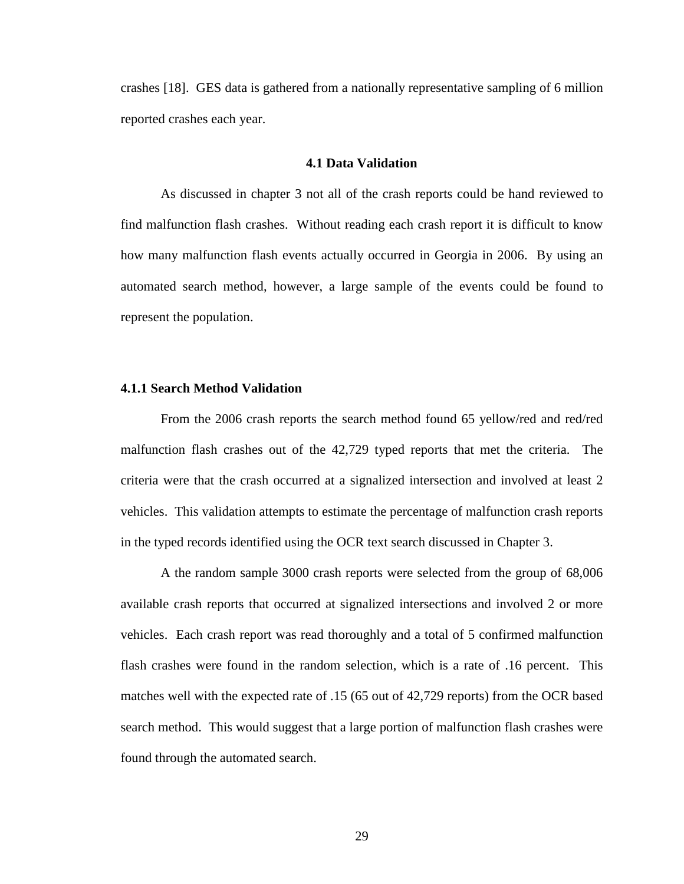crashes [18]. GES data is gathered from a nationally representative sampling of 6 million reported crashes each year.

#### **4.1 Data Validation**

 As discussed in chapter 3 not all of the crash reports could be hand reviewed to find malfunction flash crashes. Without reading each crash report it is difficult to know how many malfunction flash events actually occurred in Georgia in 2006. By using an automated search method, however, a large sample of the events could be found to represent the population.

## **4.1.1 Search Method Validation**

 From the 2006 crash reports the search method found 65 yellow/red and red/red malfunction flash crashes out of the 42,729 typed reports that met the criteria. The criteria were that the crash occurred at a signalized intersection and involved at least 2 vehicles. This validation attempts to estimate the percentage of malfunction crash reports in the typed records identified using the OCR text search discussed in Chapter 3.

A the random sample 3000 crash reports were selected from the group of 68,006 available crash reports that occurred at signalized intersections and involved 2 or more vehicles. Each crash report was read thoroughly and a total of 5 confirmed malfunction flash crashes were found in the random selection, which is a rate of .16 percent. This matches well with the expected rate of .15 (65 out of 42,729 reports) from the OCR based search method. This would suggest that a large portion of malfunction flash crashes were found through the automated search.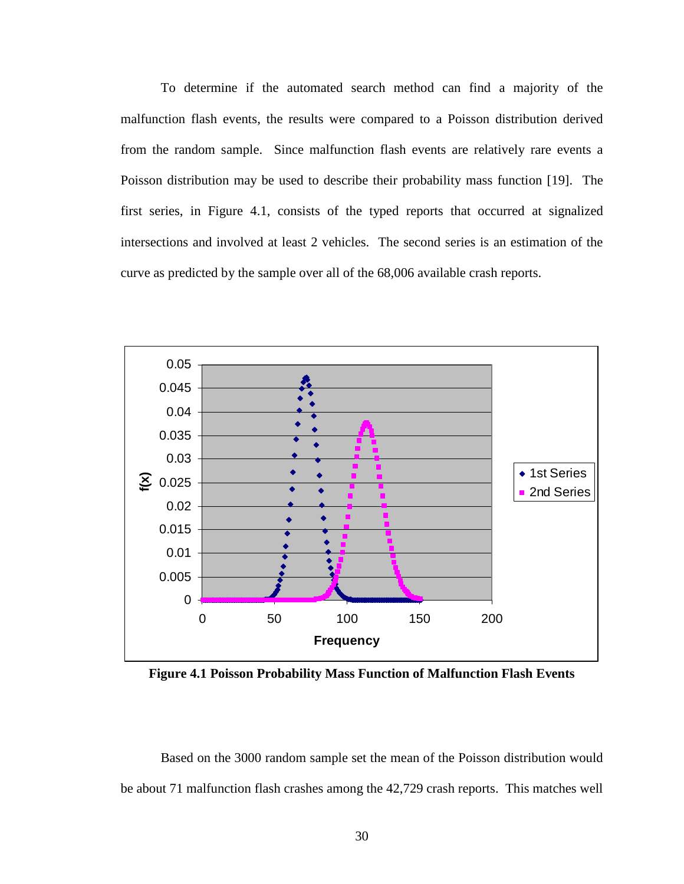To determine if the automated search method can find a majority of the malfunction flash events, the results were compared to a Poisson distribution derived from the random sample. Since malfunction flash events are relatively rare events a Poisson distribution may be used to describe their probability mass function [19]. The first series, in Figure 4.1, consists of the typed reports that occurred at signalized intersections and involved at least 2 vehicles. The second series is an estimation of the curve as predicted by the sample over all of the 68,006 available crash reports.



**Figure 4.1 Poisson Probability Mass Function of Malfunction Flash Events** 

 Based on the 3000 random sample set the mean of the Poisson distribution would be about 71 malfunction flash crashes among the 42,729 crash reports. This matches well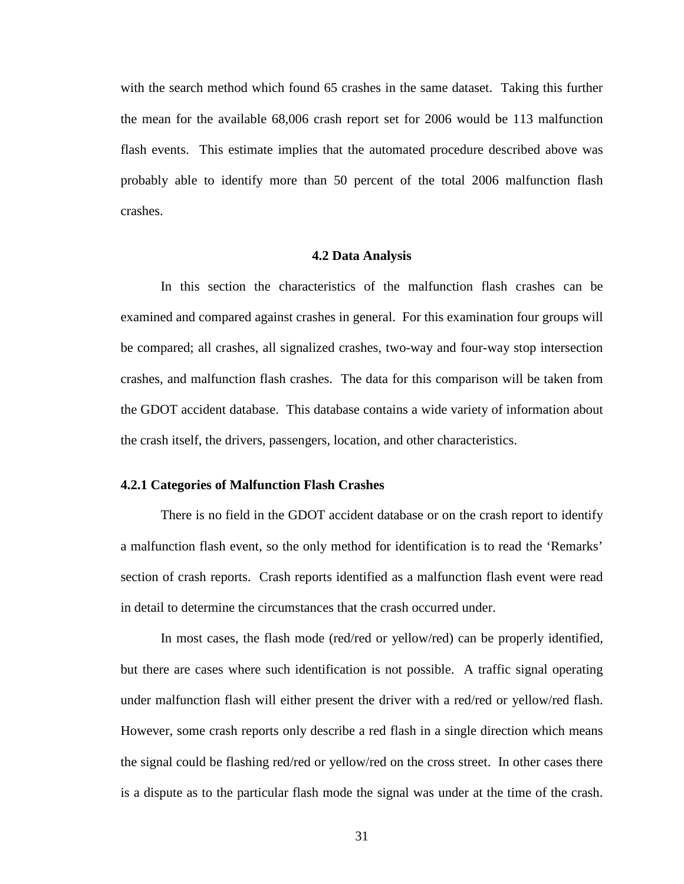with the search method which found 65 crashes in the same dataset. Taking this further the mean for the available 68,006 crash report set for 2006 would be 113 malfunction flash events. This estimate implies that the automated procedure described above was probably able to identify more than 50 percent of the total 2006 malfunction flash crashes.

#### **4.2 Data Analysis**

 In this section the characteristics of the malfunction flash crashes can be examined and compared against crashes in general. For this examination four groups will be compared; all crashes, all signalized crashes, two-way and four-way stop intersection crashes, and malfunction flash crashes. The data for this comparison will be taken from the GDOT accident database. This database contains a wide variety of information about the crash itself, the drivers, passengers, location, and other characteristics.

## **4.2.1 Categories of Malfunction Flash Crashes**

There is no field in the GDOT accident database or on the crash report to identify a malfunction flash event, so the only method for identification is to read the 'Remarks' section of crash reports. Crash reports identified as a malfunction flash event were read in detail to determine the circumstances that the crash occurred under.

 In most cases, the flash mode (red/red or yellow/red) can be properly identified, but there are cases where such identification is not possible. A traffic signal operating under malfunction flash will either present the driver with a red/red or yellow/red flash. However, some crash reports only describe a red flash in a single direction which means the signal could be flashing red/red or yellow/red on the cross street. In other cases there is a dispute as to the particular flash mode the signal was under at the time of the crash.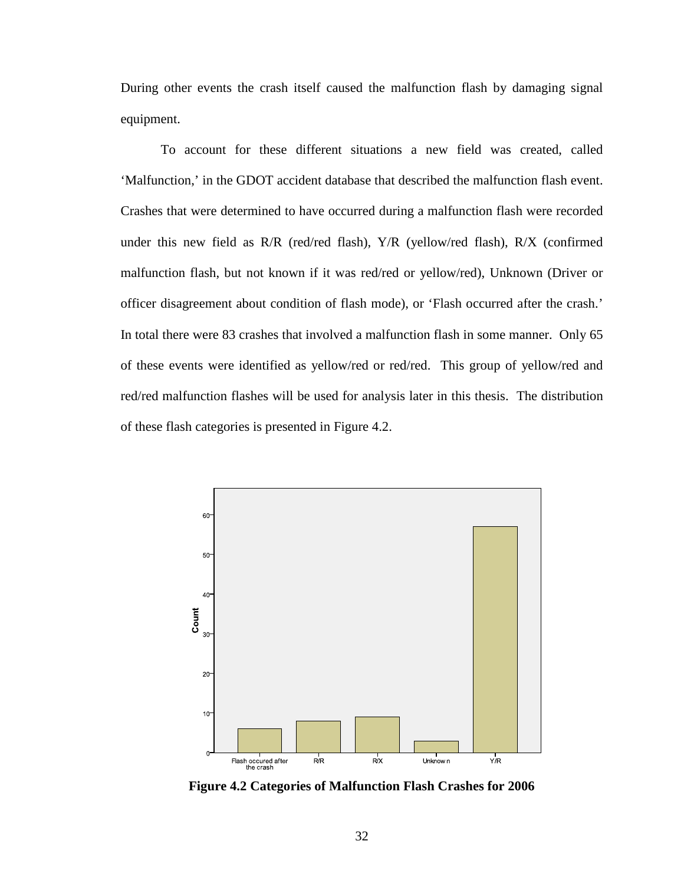During other events the crash itself caused the malfunction flash by damaging signal equipment.

 To account for these different situations a new field was created, called 'Malfunction,' in the GDOT accident database that described the malfunction flash event. Crashes that were determined to have occurred during a malfunction flash were recorded under this new field as R/R (red/red flash), Y/R (yellow/red flash), R/X (confirmed malfunction flash, but not known if it was red/red or yellow/red), Unknown (Driver or officer disagreement about condition of flash mode), or 'Flash occurred after the crash.' In total there were 83 crashes that involved a malfunction flash in some manner. Only 65 of these events were identified as yellow/red or red/red. This group of yellow/red and red/red malfunction flashes will be used for analysis later in this thesis. The distribution of these flash categories is presented in Figure 4.2.



**Figure 4.2 Categories of Malfunction Flash Crashes for 2006**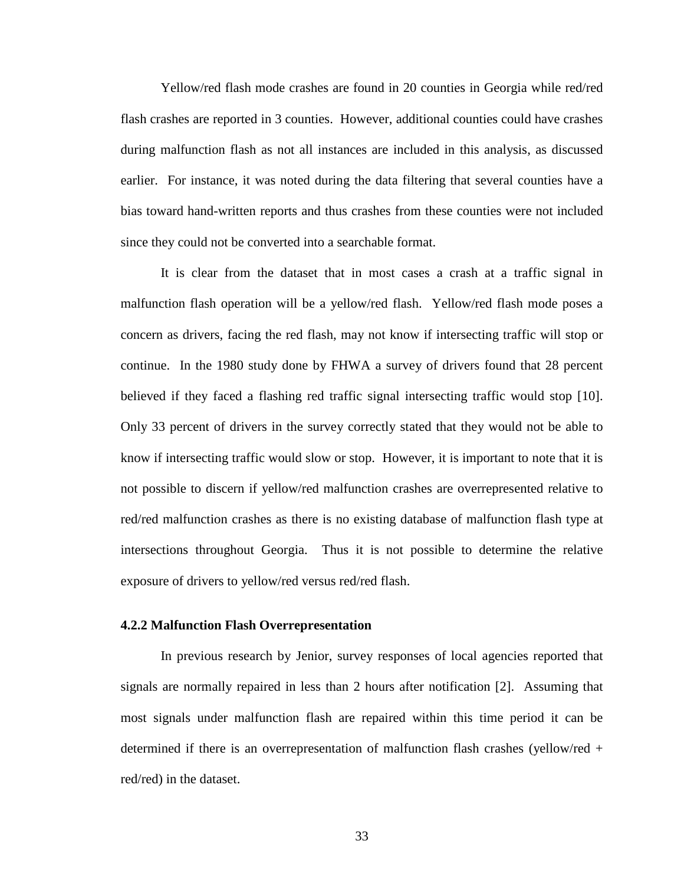Yellow/red flash mode crashes are found in 20 counties in Georgia while red/red flash crashes are reported in 3 counties. However, additional counties could have crashes during malfunction flash as not all instances are included in this analysis, as discussed earlier. For instance, it was noted during the data filtering that several counties have a bias toward hand-written reports and thus crashes from these counties were not included since they could not be converted into a searchable format.

 It is clear from the dataset that in most cases a crash at a traffic signal in malfunction flash operation will be a yellow/red flash. Yellow/red flash mode poses a concern as drivers, facing the red flash, may not know if intersecting traffic will stop or continue. In the 1980 study done by FHWA a survey of drivers found that 28 percent believed if they faced a flashing red traffic signal intersecting traffic would stop [10]. Only 33 percent of drivers in the survey correctly stated that they would not be able to know if intersecting traffic would slow or stop. However, it is important to note that it is not possible to discern if yellow/red malfunction crashes are overrepresented relative to red/red malfunction crashes as there is no existing database of malfunction flash type at intersections throughout Georgia. Thus it is not possible to determine the relative exposure of drivers to yellow/red versus red/red flash.

## **4.2.2 Malfunction Flash Overrepresentation**

 In previous research by Jenior, survey responses of local agencies reported that signals are normally repaired in less than 2 hours after notification [2]. Assuming that most signals under malfunction flash are repaired within this time period it can be determined if there is an overrepresentation of malfunction flash crashes (yellow/red + red/red) in the dataset.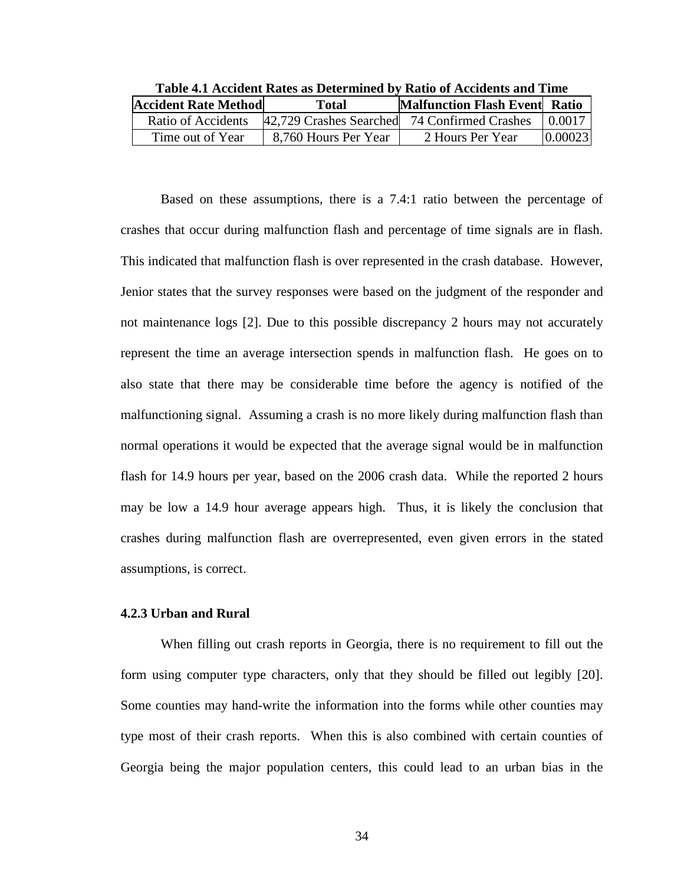|                             |                         | twole http://www.twoleta.com/distribute.com/and/catalogue.com/and/catalogue/ |          |
|-----------------------------|-------------------------|------------------------------------------------------------------------------|----------|
| <b>Accident Rate Method</b> | Total                   | <b>Malfunction Flash Event Ratio</b>                                         |          |
| Ratio of Accidents          | 42,729 Crashes Searched | 74 Confirmed Crashes                                                         | 1 0.0017 |
| Time out of Year            | 8,760 Hours Per Year    | 2 Hours Per Year                                                             | 0.00023  |

**Table 4.1 Accident Rates as Determined by Ratio of Accidents and Time** 

Based on these assumptions, there is a 7.4:1 ratio between the percentage of crashes that occur during malfunction flash and percentage of time signals are in flash. This indicated that malfunction flash is over represented in the crash database. However, Jenior states that the survey responses were based on the judgment of the responder and not maintenance logs [2]. Due to this possible discrepancy 2 hours may not accurately represent the time an average intersection spends in malfunction flash. He goes on to also state that there may be considerable time before the agency is notified of the malfunctioning signal. Assuming a crash is no more likely during malfunction flash than normal operations it would be expected that the average signal would be in malfunction flash for 14.9 hours per year, based on the 2006 crash data. While the reported 2 hours may be low a 14.9 hour average appears high. Thus, it is likely the conclusion that crashes during malfunction flash are overrepresented, even given errors in the stated assumptions, is correct.

## **4.2.3 Urban and Rural**

 When filling out crash reports in Georgia, there is no requirement to fill out the form using computer type characters, only that they should be filled out legibly [20]. Some counties may hand-write the information into the forms while other counties may type most of their crash reports. When this is also combined with certain counties of Georgia being the major population centers, this could lead to an urban bias in the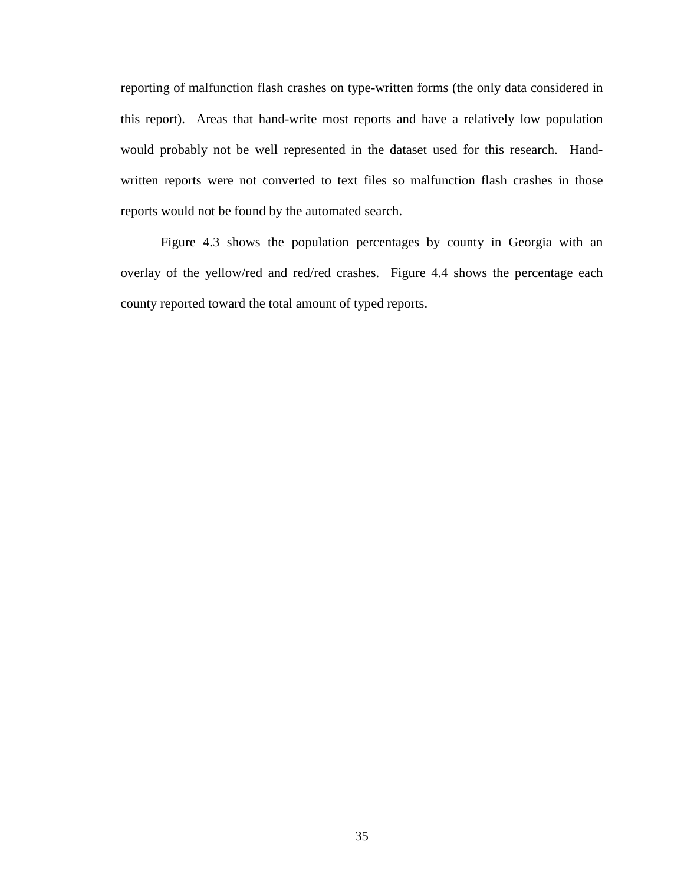reporting of malfunction flash crashes on type-written forms (the only data considered in this report). Areas that hand-write most reports and have a relatively low population would probably not be well represented in the dataset used for this research. Handwritten reports were not converted to text files so malfunction flash crashes in those reports would not be found by the automated search.

 Figure 4.3 shows the population percentages by county in Georgia with an overlay of the yellow/red and red/red crashes. Figure 4.4 shows the percentage each county reported toward the total amount of typed reports.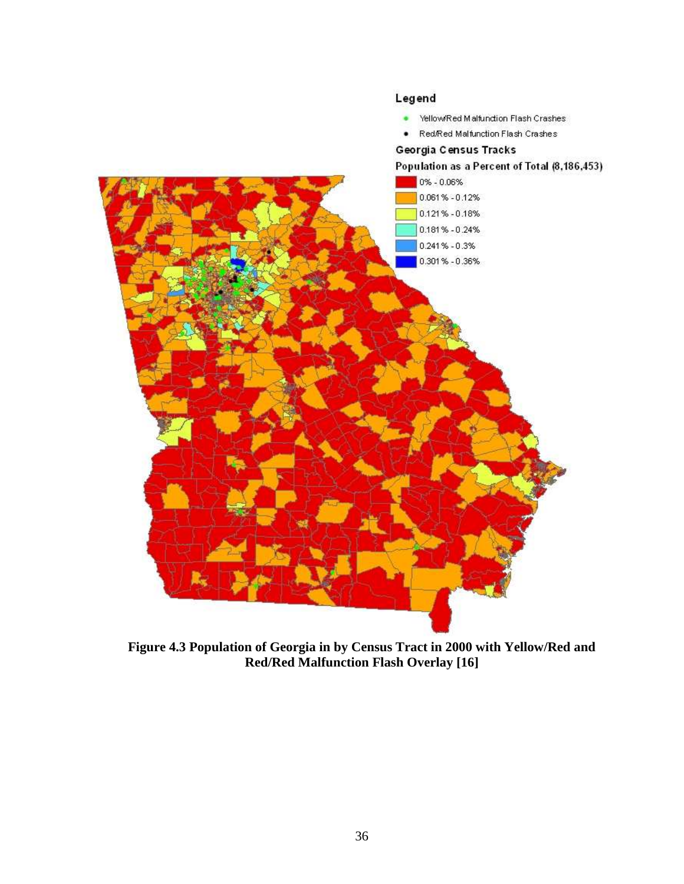

**Figure 4.3 Population of Georgia in by Census Tract in 2000 with Yellow/Red and Red/Red Malfunction Flash Overlay [16]**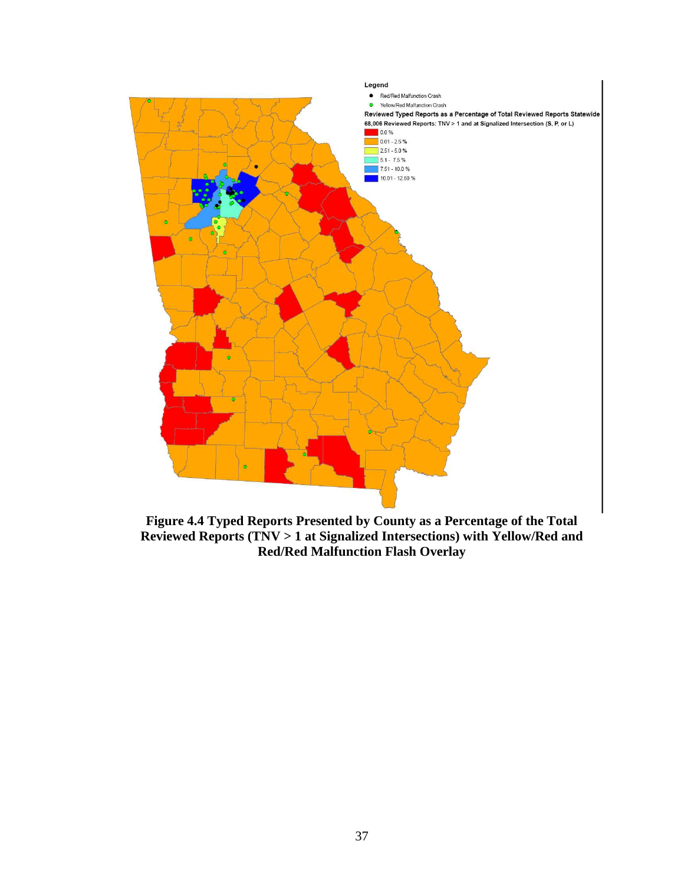

**Figure 4.4 Typed Reports Presented by County as a Percentage of the Total Reviewed Reports (TNV > 1 at Signalized Intersections) with Yellow/Red and Red/Red Malfunction Flash Overlay**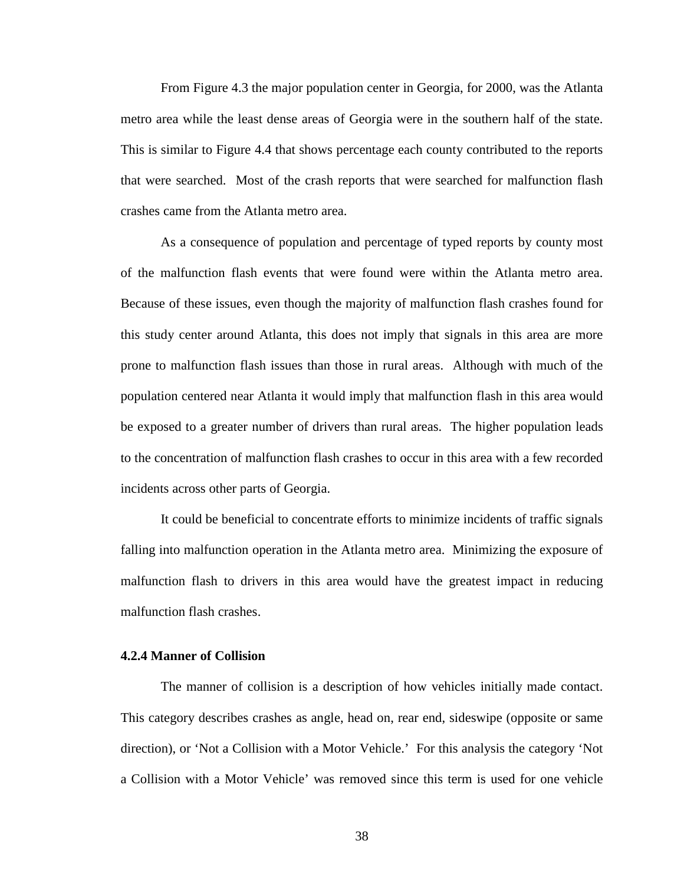From Figure 4.3 the major population center in Georgia, for 2000, was the Atlanta metro area while the least dense areas of Georgia were in the southern half of the state. This is similar to Figure 4.4 that shows percentage each county contributed to the reports that were searched. Most of the crash reports that were searched for malfunction flash crashes came from the Atlanta metro area.

As a consequence of population and percentage of typed reports by county most of the malfunction flash events that were found were within the Atlanta metro area. Because of these issues, even though the majority of malfunction flash crashes found for this study center around Atlanta, this does not imply that signals in this area are more prone to malfunction flash issues than those in rural areas. Although with much of the population centered near Atlanta it would imply that malfunction flash in this area would be exposed to a greater number of drivers than rural areas. The higher population leads to the concentration of malfunction flash crashes to occur in this area with a few recorded incidents across other parts of Georgia.

It could be beneficial to concentrate efforts to minimize incidents of traffic signals falling into malfunction operation in the Atlanta metro area. Minimizing the exposure of malfunction flash to drivers in this area would have the greatest impact in reducing malfunction flash crashes.

## **4.2.4 Manner of Collision**

The manner of collision is a description of how vehicles initially made contact. This category describes crashes as angle, head on, rear end, sideswipe (opposite or same direction), or 'Not a Collision with a Motor Vehicle.' For this analysis the category 'Not a Collision with a Motor Vehicle' was removed since this term is used for one vehicle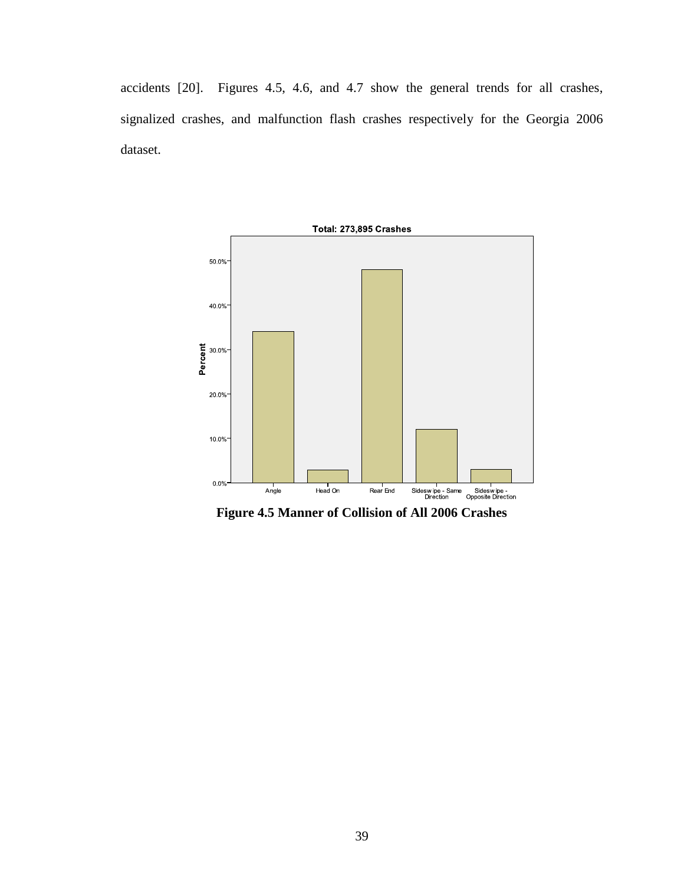accidents [20]. Figures 4.5, 4.6, and 4.7 show the general trends for all crashes, signalized crashes, and malfunction flash crashes respectively for the Georgia 2006 dataset.



**Figure 4.5 Manner of Collision of All 2006 Crashes**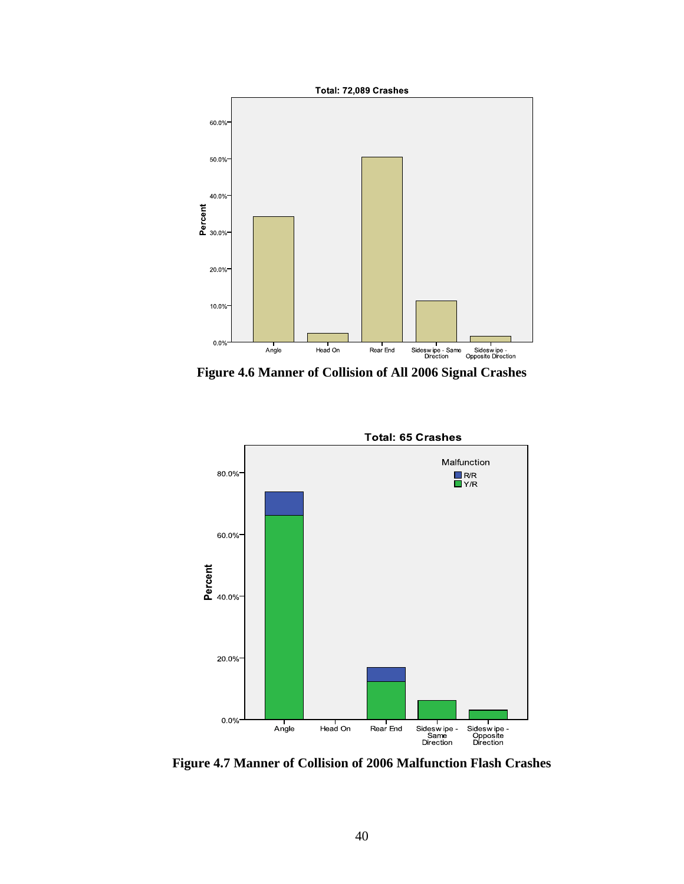

**Figure 4.6 Manner of Collision of All 2006 Signal Crashes** 



**Figure 4.7 Manner of Collision of 2006 Malfunction Flash Crashes**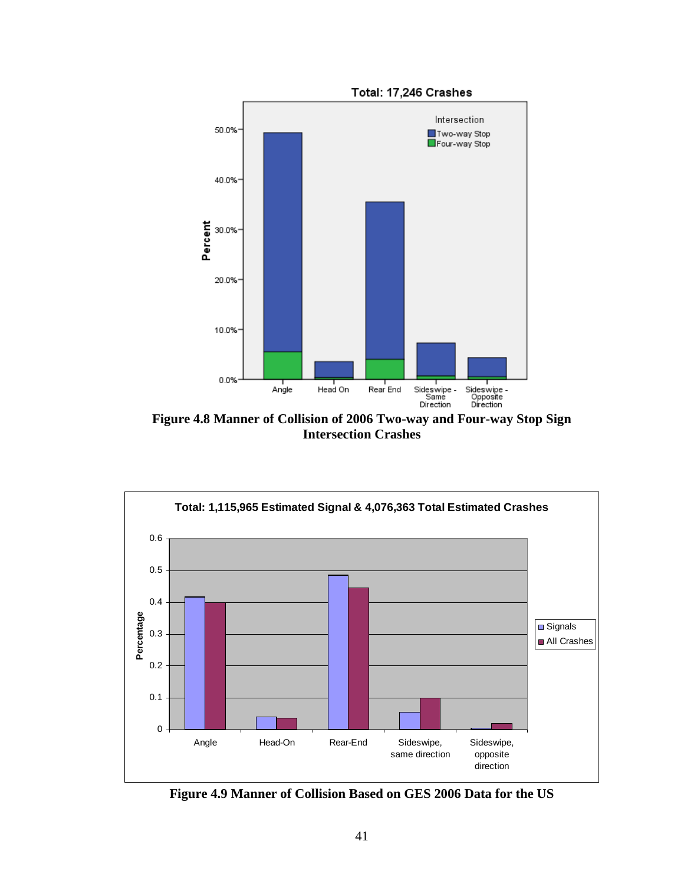

**Figure 4.8 Manner of Collision of 2006 Two-way and Four-way Stop Sign Intersection Crashes** 



**Figure 4.9 Manner of Collision Based on GES 2006 Data for the US**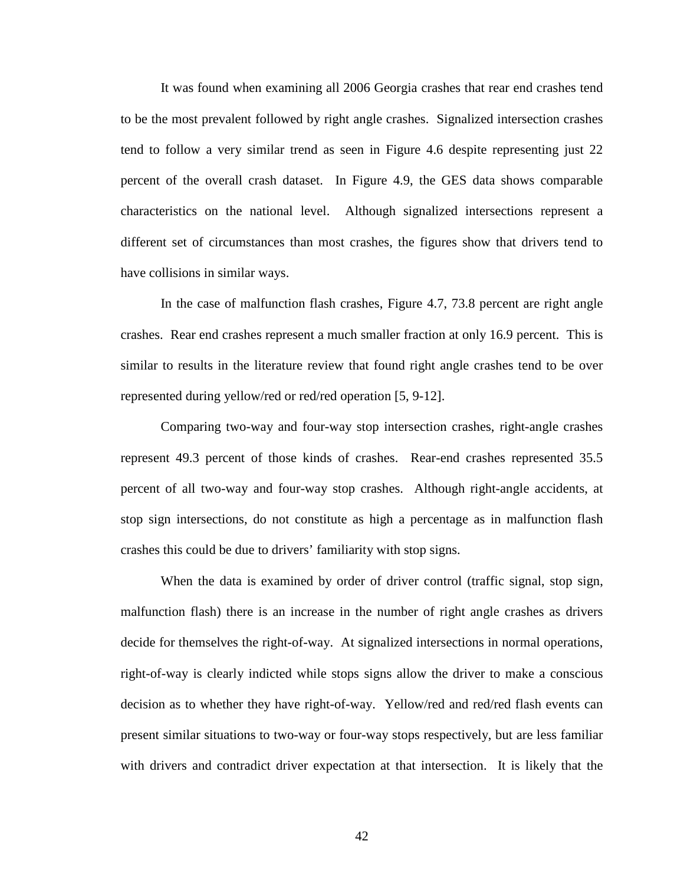It was found when examining all 2006 Georgia crashes that rear end crashes tend to be the most prevalent followed by right angle crashes. Signalized intersection crashes tend to follow a very similar trend as seen in Figure 4.6 despite representing just 22 percent of the overall crash dataset. In Figure 4.9, the GES data shows comparable characteristics on the national level. Although signalized intersections represent a different set of circumstances than most crashes, the figures show that drivers tend to have collisions in similar ways.

In the case of malfunction flash crashes, Figure 4.7, 73.8 percent are right angle crashes. Rear end crashes represent a much smaller fraction at only 16.9 percent. This is similar to results in the literature review that found right angle crashes tend to be over represented during yellow/red or red/red operation [5, 9-12].

Comparing two-way and four-way stop intersection crashes, right-angle crashes represent 49.3 percent of those kinds of crashes. Rear-end crashes represented 35.5 percent of all two-way and four-way stop crashes. Although right-angle accidents, at stop sign intersections, do not constitute as high a percentage as in malfunction flash crashes this could be due to drivers' familiarity with stop signs.

When the data is examined by order of driver control (traffic signal, stop sign, malfunction flash) there is an increase in the number of right angle crashes as drivers decide for themselves the right-of-way. At signalized intersections in normal operations, right-of-way is clearly indicted while stops signs allow the driver to make a conscious decision as to whether they have right-of-way. Yellow/red and red/red flash events can present similar situations to two-way or four-way stops respectively, but are less familiar with drivers and contradict driver expectation at that intersection. It is likely that the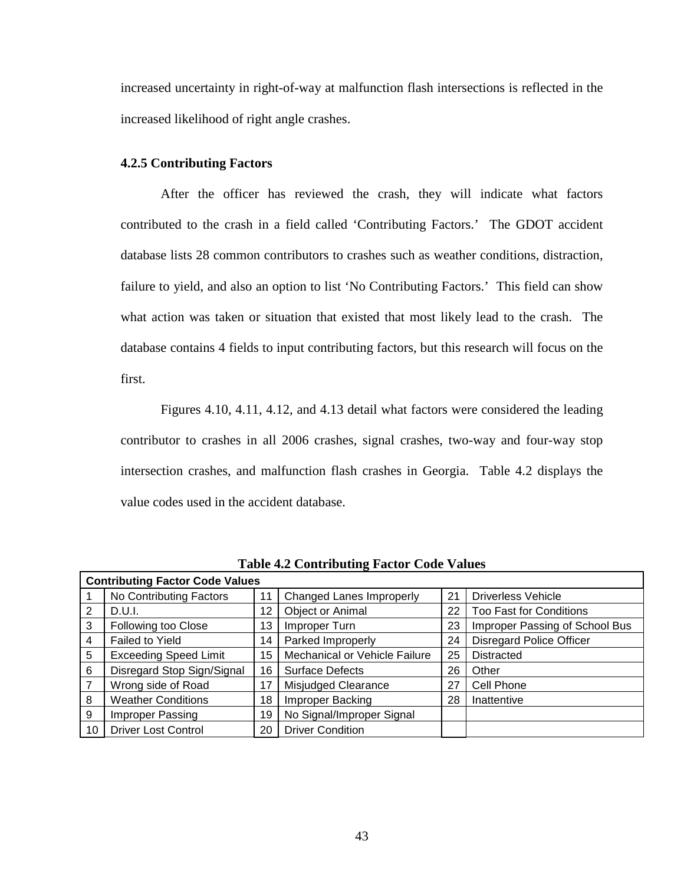increased uncertainty in right-of-way at malfunction flash intersections is reflected in the increased likelihood of right angle crashes.

## **4.2.5 Contributing Factors**

After the officer has reviewed the crash, they will indicate what factors contributed to the crash in a field called 'Contributing Factors.' The GDOT accident database lists 28 common contributors to crashes such as weather conditions, distraction, failure to yield, and also an option to list 'No Contributing Factors.' This field can show what action was taken or situation that existed that most likely lead to the crash. The database contains 4 fields to input contributing factors, but this research will focus on the first.

Figures 4.10, 4.11, 4.12, and 4.13 detail what factors were considered the leading contributor to crashes in all 2006 crashes, signal crashes, two-way and four-way stop intersection crashes, and malfunction flash crashes in Georgia. Table 4.2 displays the value codes used in the accident database.

|    | <b>Contributing Factor Code Values</b> |    |                               |    |                                 |
|----|----------------------------------------|----|-------------------------------|----|---------------------------------|
|    | No Contributing Factors                |    | Changed Lanes Improperly      | 21 | Driverless Vehicle              |
| 2  | D.U.l.                                 | 12 | Object or Animal              | 22 | <b>Too Fast for Conditions</b>  |
| 3  | Following too Close                    | 13 | Improper Turn                 | 23 | Improper Passing of School Bus  |
| 4  | Failed to Yield                        | 14 | Parked Improperly             | 24 | <b>Disregard Police Officer</b> |
| 5  | <b>Exceeding Speed Limit</b>           | 15 | Mechanical or Vehicle Failure | 25 | <b>Distracted</b>               |
| 6  | Disregard Stop Sign/Signal             | 16 | <b>Surface Defects</b>        | 26 | Other                           |
| 7  | Wrong side of Road                     | 17 | Misjudged Clearance           | 27 | Cell Phone                      |
| 8  | <b>Weather Conditions</b>              | 18 | <b>Improper Backing</b>       | 28 | Inattentive                     |
| 9  | Improper Passing                       | 19 | No Signal/Improper Signal     |    |                                 |
| 10 | <b>Driver Lost Control</b>             | 20 | <b>Driver Condition</b>       |    |                                 |

**Table 4.2 Contributing Factor Code Values**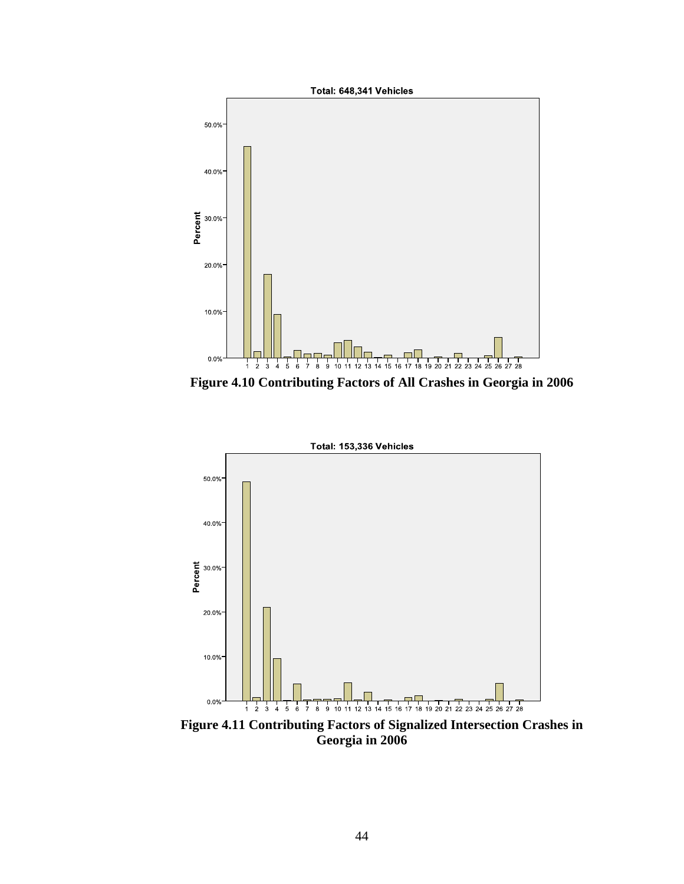

**Figure 4.10 Contributing Factors of All Crashes in Georgia in 2006** 



**Figure 4.11 Contributing Factors of Signalized Intersection Crashes in Georgia in 2006**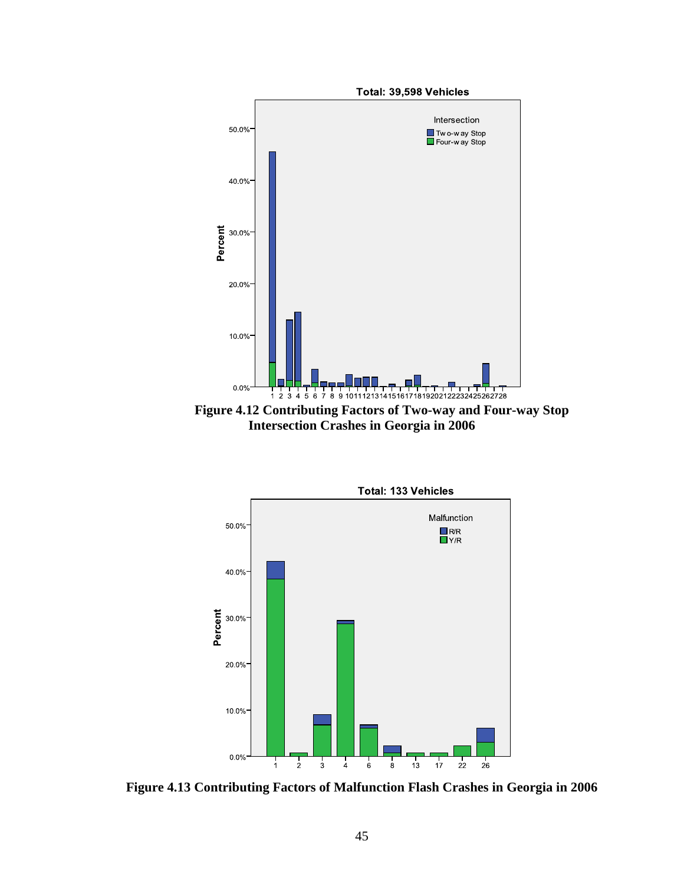

**Figure 4.12 Contributing Factors of Two-way and Four-way Stop Intersection Crashes in Georgia in 2006** 



**Figure 4.13 Contributing Factors of Malfunction Flash Crashes in Georgia in 2006**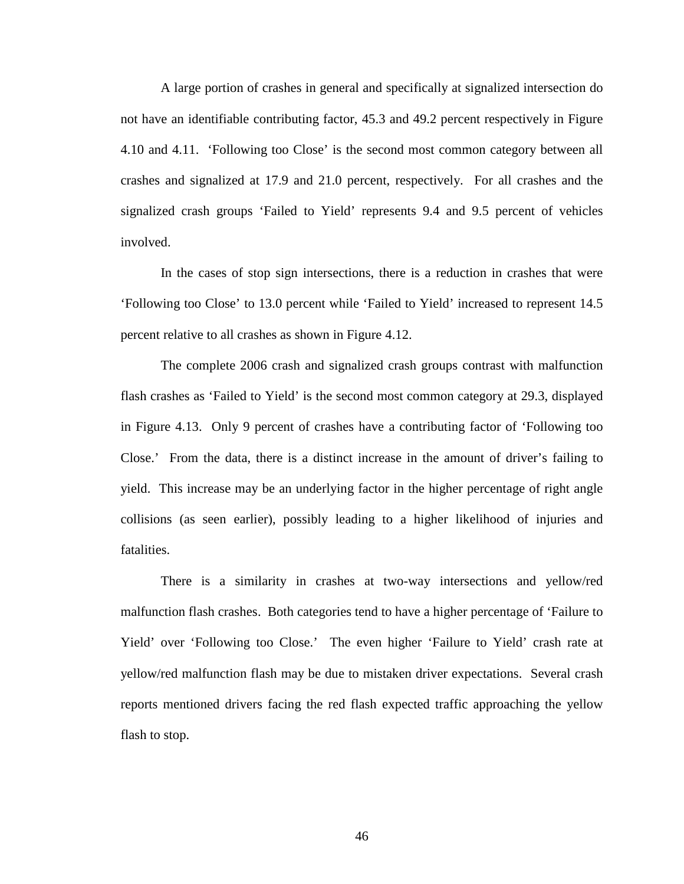A large portion of crashes in general and specifically at signalized intersection do not have an identifiable contributing factor, 45.3 and 49.2 percent respectively in Figure 4.10 and 4.11. 'Following too Close' is the second most common category between all crashes and signalized at 17.9 and 21.0 percent, respectively. For all crashes and the signalized crash groups 'Failed to Yield' represents 9.4 and 9.5 percent of vehicles involved.

In the cases of stop sign intersections, there is a reduction in crashes that were 'Following too Close' to 13.0 percent while 'Failed to Yield' increased to represent 14.5 percent relative to all crashes as shown in Figure 4.12.

The complete 2006 crash and signalized crash groups contrast with malfunction flash crashes as 'Failed to Yield' is the second most common category at 29.3, displayed in Figure 4.13. Only 9 percent of crashes have a contributing factor of 'Following too Close.' From the data, there is a distinct increase in the amount of driver's failing to yield. This increase may be an underlying factor in the higher percentage of right angle collisions (as seen earlier), possibly leading to a higher likelihood of injuries and fatalities.

 There is a similarity in crashes at two-way intersections and yellow/red malfunction flash crashes. Both categories tend to have a higher percentage of 'Failure to Yield' over 'Following too Close.' The even higher 'Failure to Yield' crash rate at yellow/red malfunction flash may be due to mistaken driver expectations. Several crash reports mentioned drivers facing the red flash expected traffic approaching the yellow flash to stop.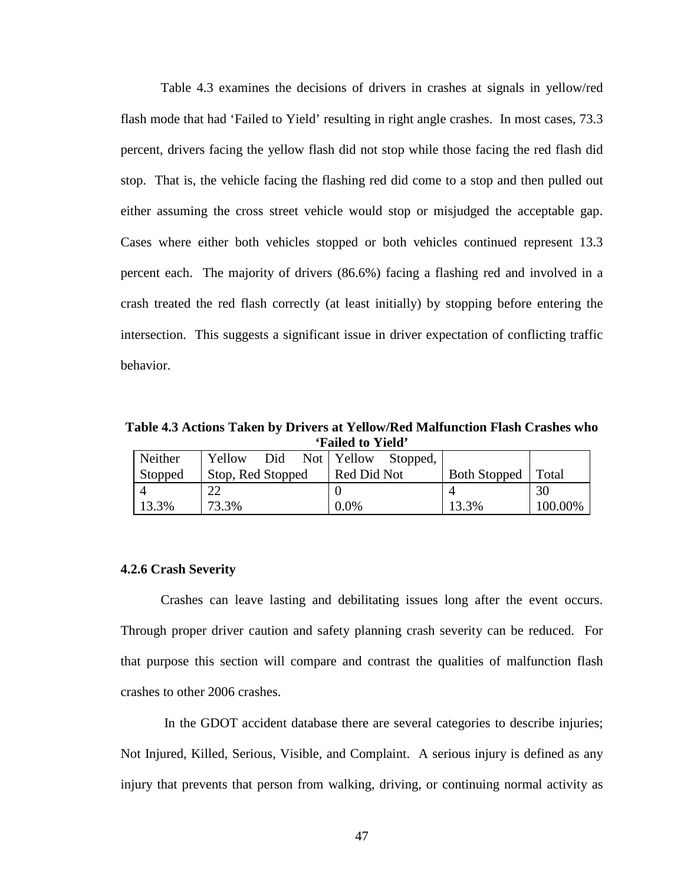Table 4.3 examines the decisions of drivers in crashes at signals in yellow/red flash mode that had 'Failed to Yield' resulting in right angle crashes. In most cases, 73.3 percent, drivers facing the yellow flash did not stop while those facing the red flash did stop. That is, the vehicle facing the flashing red did come to a stop and then pulled out either assuming the cross street vehicle would stop or misjudged the acceptable gap. Cases where either both vehicles stopped or both vehicles continued represent 13.3 percent each. The majority of drivers (86.6%) facing a flashing red and involved in a crash treated the red flash correctly (at least initially) by stopping before entering the intersection. This suggests a significant issue in driver expectation of conflicting traffic behavior.

**Table 4.3 Actions Taken by Drivers at Yellow/Red Malfunction Flash Crashes who 'Failed to Yield'** 

| Neither | Yellow            | Did | Not   Yellow | Stopped, |                     |         |
|---------|-------------------|-----|--------------|----------|---------------------|---------|
| Stopped | Stop, Red Stopped |     | Red Did Not  |          | <b>Both Stopped</b> | Total   |
|         | 22                |     |              |          |                     | 30      |
| 13.3%   | 73.3%             |     | 0.0%         |          | 13.3%               | 100.00% |

#### **4.2.6 Crash Severity**

Crashes can leave lasting and debilitating issues long after the event occurs. Through proper driver caution and safety planning crash severity can be reduced. For that purpose this section will compare and contrast the qualities of malfunction flash crashes to other 2006 crashes.

 In the GDOT accident database there are several categories to describe injuries; Not Injured, Killed, Serious, Visible, and Complaint. A serious injury is defined as any injury that prevents that person from walking, driving, or continuing normal activity as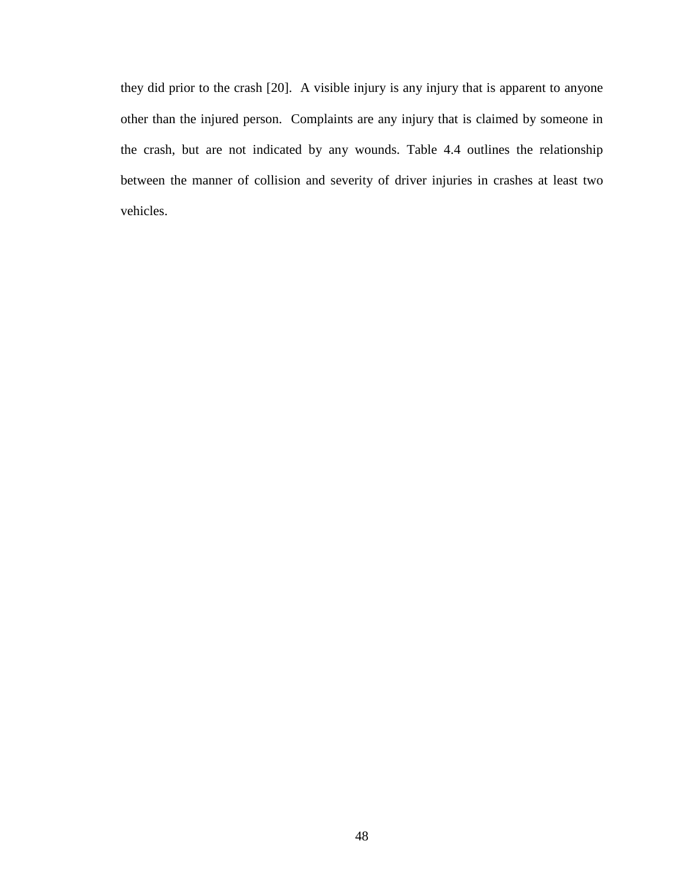they did prior to the crash [20]. A visible injury is any injury that is apparent to anyone other than the injured person. Complaints are any injury that is claimed by someone in the crash, but are not indicated by any wounds. Table 4.4 outlines the relationship between the manner of collision and severity of driver injuries in crashes at least two vehicles.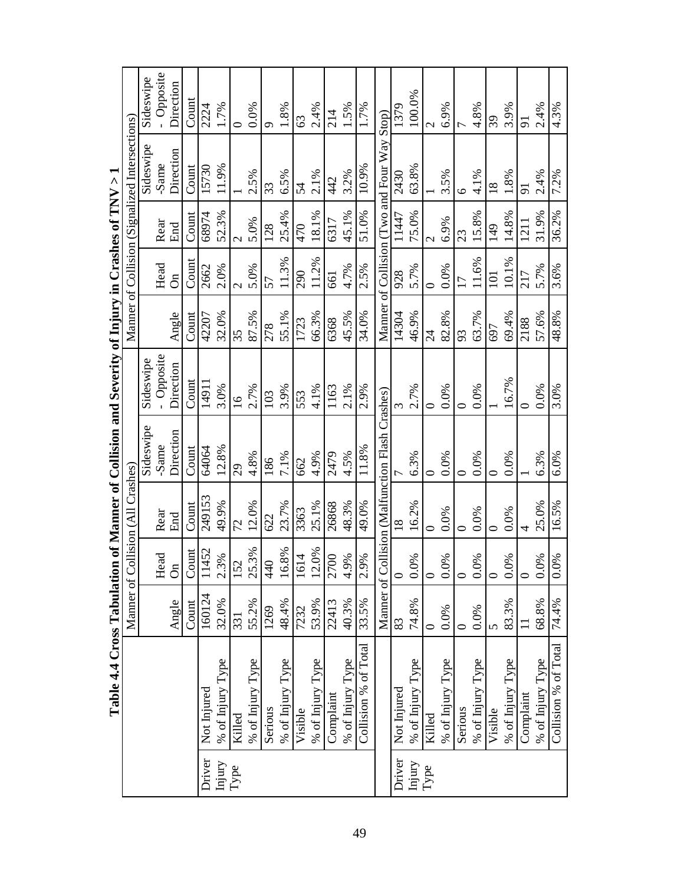|        | Table 4.4 Cross Tabulation of Manner of Collision and Severity of Injury in Crashes of TNV > 1 |             |           |                                   |                                       |                 |                |                |               |                                                |                  |
|--------|------------------------------------------------------------------------------------------------|-------------|-----------|-----------------------------------|---------------------------------------|-----------------|----------------|----------------|---------------|------------------------------------------------|------------------|
|        |                                                                                                |             |           | Manner of Collision (All Crashes) |                                       |                 |                |                |               | Manner of Collision (Signalized Intersections) |                  |
|        |                                                                                                |             |           |                                   | Sideswipe                             | Sideswipe       |                |                |               | Sideswipe                                      | Sideswipe        |
|        |                                                                                                |             | Head      | Rear                              | -Same                                 | - Opposite      |                | Head           | Rear          | -Same                                          | - Opposite       |
|        |                                                                                                | Angle       | $\delta'$ | End                               | Direction                             | Direction       | Angle          | $\delta$       | End           | Direction                                      | Direction        |
|        |                                                                                                | Count       | ount<br>Ŭ | Count                             | Count                                 | Count           | Count          | $_{\rm Count}$ | Count         | Count                                          | Count            |
| Driver | Not Injured                                                                                    | 160124      | 1452      | 249153                            | 64064                                 | 14911           | 42207          | 2662           | 68974         | 15730                                          | 2224             |
| Injury | % of Injury Type                                                                               | 32.0%       | 2.3%      | 49.9%                             | 12.8%                                 | 3.0%            | 32.0%          | 2.0%           | 52.3%         | 11.9%                                          | 1.7%             |
| Type   | Killed                                                                                         | 331         | 152       | 72                                | $\overline{6}$                        | $\overline{16}$ | 35             | $\mathbf 2$    | $\mathcal{L}$ |                                                | 0                |
|        | % of Injury Type                                                                               | 55.2%       | 25.3%     | 12.0%                             | 4.8%                                  | 2.7%            | 87.5%          | 5.0%           | 5.0%          | 2.5%                                           | 0.0%             |
|        | Serious                                                                                        | 1269        | 440       | 622                               | 186                                   | 103             | 278            | 57             | 128           | 33                                             | ⌒                |
|        | % of Injury Type                                                                               | 48.4%       | 16.8%     | 23.7%                             | 7.1%                                  | 3.9%            | 55.1%          | 11.3%          | 25.4%         | 6.5%                                           | 1.8%             |
|        | Visible                                                                                        | 7232        | 1614      | 3363                              | 662                                   | 553             | 1723           | 290            | 470           | 54                                             | 63               |
|        | % of Injury Type                                                                               | 53.9%       | 12.0%     | 25.1%                             | 4.9%                                  | 4.1%            | 66.3%          | 11.2%          | 18.1%         | 2.1%                                           | 2.4%             |
|        | Complaint                                                                                      | 22413       | 2700      | 26868                             | 2479                                  | 1163            | 6368           | 661            | 6317          | $\frac{42}{3}$                                 | 214              |
|        | % of Injury Type                                                                               | 40.3%       | 4.9%      | 48.3%                             | 4.5%                                  | 2.1%            | 45.5%          | 4.7%           | 45.1%         | 3.2%                                           | 1.5%             |
|        | Collision % of Total                                                                           | 33.5%       | 2.9%      | 49.0%                             | 11.8%                                 | 2.9%            | 34.0%          | 2.5%           | 51.0%         | 10.9%                                          | 1.7%             |
|        |                                                                                                | Manner of C |           |                                   | Collision (Malfunction Flash Crashes) |                 |                |                |               | Manner of Collision (Two and Four Way Stop)    |                  |
| Driver | Not Injured                                                                                    | 83          | $\circ$   | $\frac{8}{18}$                    |                                       |                 | 14304          | 928            | 1147          | 2430                                           | 1379             |
| Injury | % of Injury Type                                                                               | 74.8%       | $0.0\%$   | 16.2%                             | 6.3%                                  | 2.7%            | 46.9%          | 5.7%           | 75.0%         | 63.8%                                          | 100.0%           |
| Type   | Killed                                                                                         |             | $\circ$   |                                   | ⊂                                     | ⊂               | $\overline{c}$ | ⊂              | $\mathcal{C}$ |                                                | $\mathrel{\sim}$ |
|        | % of Injury Type                                                                               | 0.0%        | 0.0%      | 0.0%                              | 0.0%                                  | 0.0%            | 82.8%          | 0.0%           | 6.9%          | 3.5%                                           | 6.9%             |
|        | Serious                                                                                        |             | $\circ$   | ○                                 | 0                                     |                 | 93             | 17             | 23            | ৩                                              |                  |
|        | % of Injury Type                                                                               | 0.0%        | 0.0%      | 0.0%                              | 0.0%                                  | 0.0%            | 63.7%          | 11.6%          | 15.8%         | 4.1%                                           | 4.8%             |
|        | Visible                                                                                        | 5           | $\circ$   | ⊂                                 | ⊂                                     |                 | 697            | 101            | 149           | $\frac{8}{18}$                                 | 39               |
|        | % of Injury Type                                                                               | 83.3%       | 0.0%      | 0.0%                              | 0.0%                                  | 16.7%           | 69.4%          | 10.1%          | 14.8%         | 1.8%                                           | 3.9%             |
|        | Complaint                                                                                      |             | $\circ$   | 4                                 |                                       |                 | 2188           | 217            | 1211          | $\overline{5}$                                 | 5                |
|        | % of Injury Type                                                                               | 68.8%       | 0.0%      | 25.0%                             | 6.3%                                  | 0.0%            | 57.6%          | 5.7%           | 31.9%         | 2.4%                                           | 2.4%             |
|        | Collision % of Total                                                                           | 74.4%       | 0.0%      | 16.5%                             | 6.0%                                  | 3.0%            | 48.8%          | 3.6%           | 36.2%         | 7.2%                                           | 4.3%             |

 $\overline{\mathcal{C}}$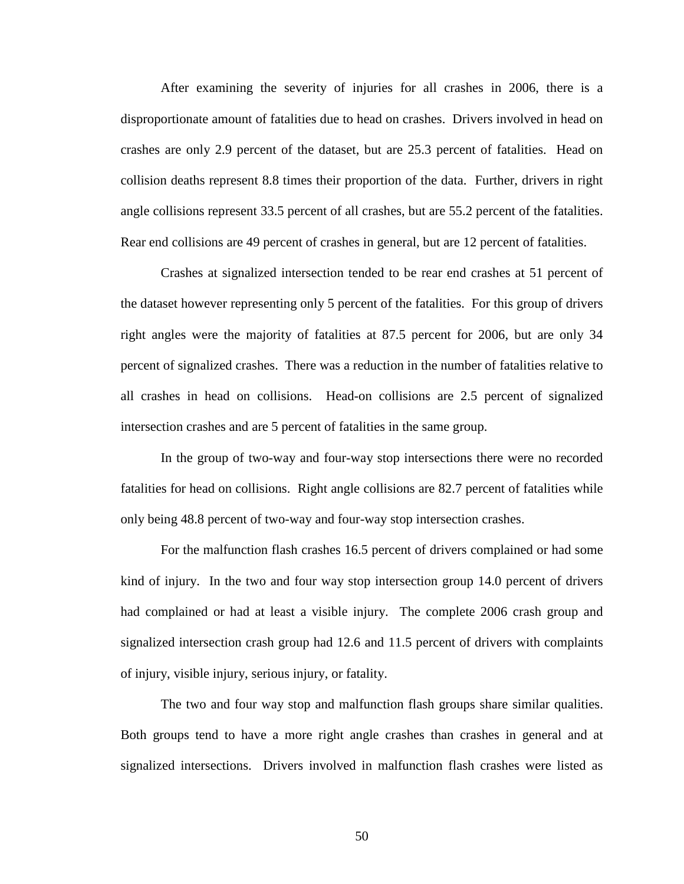After examining the severity of injuries for all crashes in 2006, there is a disproportionate amount of fatalities due to head on crashes. Drivers involved in head on crashes are only 2.9 percent of the dataset, but are 25.3 percent of fatalities. Head on collision deaths represent 8.8 times their proportion of the data. Further, drivers in right angle collisions represent 33.5 percent of all crashes, but are 55.2 percent of the fatalities. Rear end collisions are 49 percent of crashes in general, but are 12 percent of fatalities.

Crashes at signalized intersection tended to be rear end crashes at 51 percent of the dataset however representing only 5 percent of the fatalities. For this group of drivers right angles were the majority of fatalities at 87.5 percent for 2006, but are only 34 percent of signalized crashes. There was a reduction in the number of fatalities relative to all crashes in head on collisions. Head-on collisions are 2.5 percent of signalized intersection crashes and are 5 percent of fatalities in the same group.

In the group of two-way and four-way stop intersections there were no recorded fatalities for head on collisions. Right angle collisions are 82.7 percent of fatalities while only being 48.8 percent of two-way and four-way stop intersection crashes.

For the malfunction flash crashes 16.5 percent of drivers complained or had some kind of injury. In the two and four way stop intersection group 14.0 percent of drivers had complained or had at least a visible injury. The complete 2006 crash group and signalized intersection crash group had 12.6 and 11.5 percent of drivers with complaints of injury, visible injury, serious injury, or fatality.

The two and four way stop and malfunction flash groups share similar qualities. Both groups tend to have a more right angle crashes than crashes in general and at signalized intersections. Drivers involved in malfunction flash crashes were listed as

50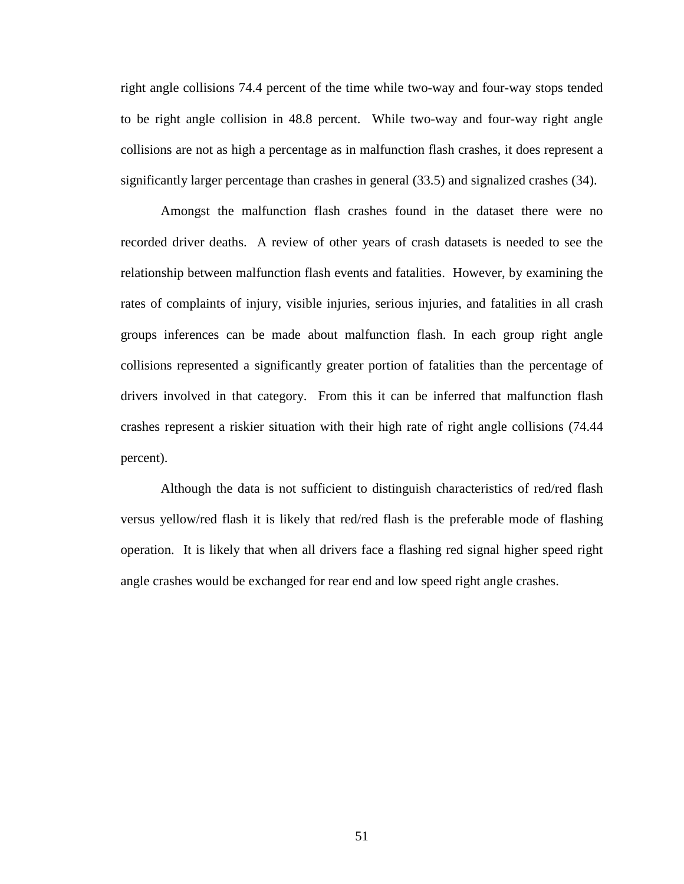right angle collisions 74.4 percent of the time while two-way and four-way stops tended to be right angle collision in 48.8 percent. While two-way and four-way right angle collisions are not as high a percentage as in malfunction flash crashes, it does represent a significantly larger percentage than crashes in general (33.5) and signalized crashes (34).

Amongst the malfunction flash crashes found in the dataset there were no recorded driver deaths. A review of other years of crash datasets is needed to see the relationship between malfunction flash events and fatalities. However, by examining the rates of complaints of injury, visible injuries, serious injuries, and fatalities in all crash groups inferences can be made about malfunction flash. In each group right angle collisions represented a significantly greater portion of fatalities than the percentage of drivers involved in that category. From this it can be inferred that malfunction flash crashes represent a riskier situation with their high rate of right angle collisions (74.44 percent).

Although the data is not sufficient to distinguish characteristics of red/red flash versus yellow/red flash it is likely that red/red flash is the preferable mode of flashing operation. It is likely that when all drivers face a flashing red signal higher speed right angle crashes would be exchanged for rear end and low speed right angle crashes.

51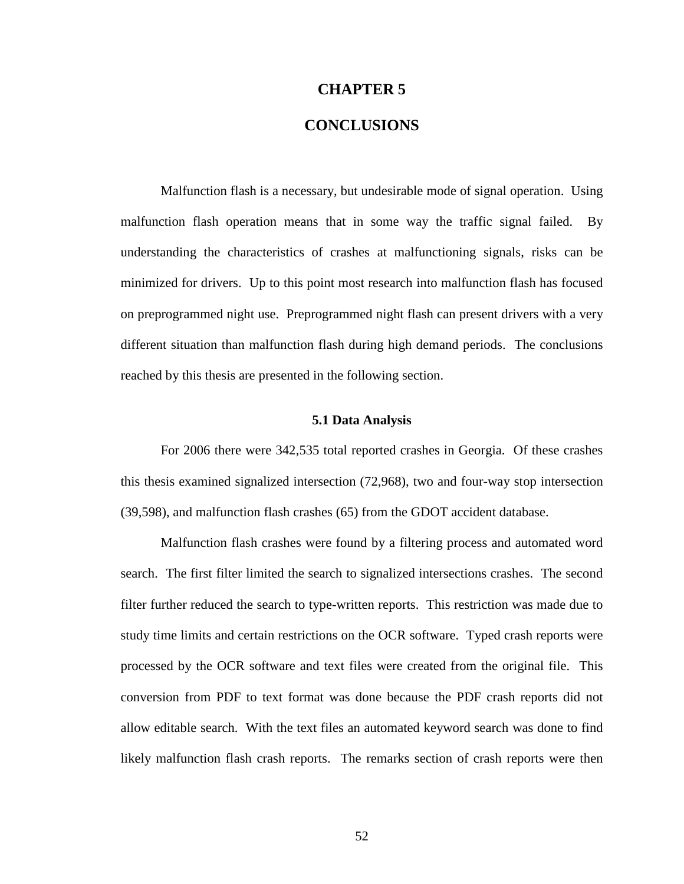## **CHAPTER 5**

## **CONCLUSIONS**

Malfunction flash is a necessary, but undesirable mode of signal operation. Using malfunction flash operation means that in some way the traffic signal failed. By understanding the characteristics of crashes at malfunctioning signals, risks can be minimized for drivers. Up to this point most research into malfunction flash has focused on preprogrammed night use. Preprogrammed night flash can present drivers with a very different situation than malfunction flash during high demand periods. The conclusions reached by this thesis are presented in the following section.

#### **5.1 Data Analysis**

For 2006 there were 342,535 total reported crashes in Georgia. Of these crashes this thesis examined signalized intersection (72,968), two and four-way stop intersection (39,598), and malfunction flash crashes (65) from the GDOT accident database.

Malfunction flash crashes were found by a filtering process and automated word search. The first filter limited the search to signalized intersections crashes. The second filter further reduced the search to type-written reports. This restriction was made due to study time limits and certain restrictions on the OCR software. Typed crash reports were processed by the OCR software and text files were created from the original file. This conversion from PDF to text format was done because the PDF crash reports did not allow editable search. With the text files an automated keyword search was done to find likely malfunction flash crash reports. The remarks section of crash reports were then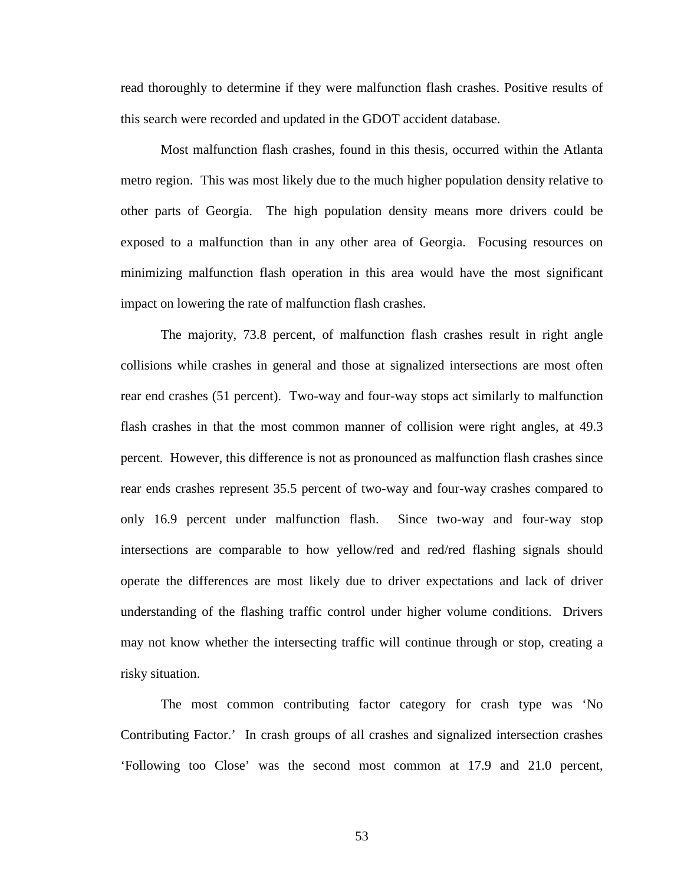read thoroughly to determine if they were malfunction flash crashes. Positive results of this search were recorded and updated in the GDOT accident database.

Most malfunction flash crashes, found in this thesis, occurred within the Atlanta metro region. This was most likely due to the much higher population density relative to other parts of Georgia. The high population density means more drivers could be exposed to a malfunction than in any other area of Georgia. Focusing resources on minimizing malfunction flash operation in this area would have the most significant impact on lowering the rate of malfunction flash crashes.

The majority, 73.8 percent, of malfunction flash crashes result in right angle collisions while crashes in general and those at signalized intersections are most often rear end crashes (51 percent). Two-way and four-way stops act similarly to malfunction flash crashes in that the most common manner of collision were right angles, at 49.3 percent. However, this difference is not as pronounced as malfunction flash crashes since rear ends crashes represent 35.5 percent of two-way and four-way crashes compared to only 16.9 percent under malfunction flash. Since two-way and four-way stop intersections are comparable to how yellow/red and red/red flashing signals should operate the differences are most likely due to driver expectations and lack of driver understanding of the flashing traffic control under higher volume conditions. Drivers may not know whether the intersecting traffic will continue through or stop, creating a risky situation.

The most common contributing factor category for crash type was 'No Contributing Factor.' In crash groups of all crashes and signalized intersection crashes 'Following too Close' was the second most common at 17.9 and 21.0 percent,

53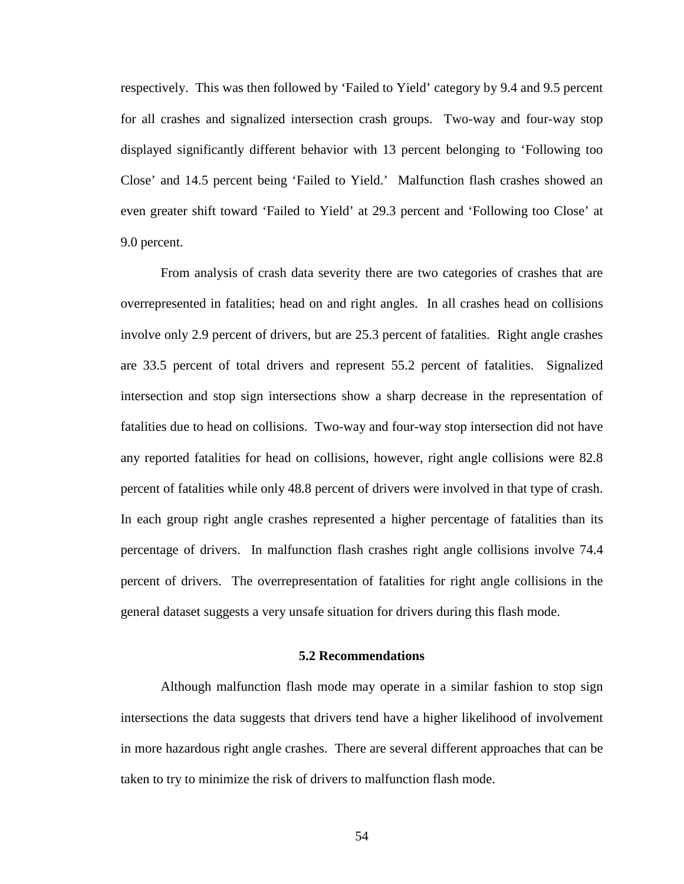respectively. This was then followed by 'Failed to Yield' category by 9.4 and 9.5 percent for all crashes and signalized intersection crash groups. Two-way and four-way stop displayed significantly different behavior with 13 percent belonging to 'Following too Close' and 14.5 percent being 'Failed to Yield.' Malfunction flash crashes showed an even greater shift toward 'Failed to Yield' at 29.3 percent and 'Following too Close' at 9.0 percent.

From analysis of crash data severity there are two categories of crashes that are overrepresented in fatalities; head on and right angles. In all crashes head on collisions involve only 2.9 percent of drivers, but are 25.3 percent of fatalities. Right angle crashes are 33.5 percent of total drivers and represent 55.2 percent of fatalities. Signalized intersection and stop sign intersections show a sharp decrease in the representation of fatalities due to head on collisions. Two-way and four-way stop intersection did not have any reported fatalities for head on collisions, however, right angle collisions were 82.8 percent of fatalities while only 48.8 percent of drivers were involved in that type of crash. In each group right angle crashes represented a higher percentage of fatalities than its percentage of drivers. In malfunction flash crashes right angle collisions involve 74.4 percent of drivers. The overrepresentation of fatalities for right angle collisions in the general dataset suggests a very unsafe situation for drivers during this flash mode.

#### **5.2 Recommendations**

Although malfunction flash mode may operate in a similar fashion to stop sign intersections the data suggests that drivers tend have a higher likelihood of involvement in more hazardous right angle crashes. There are several different approaches that can be taken to try to minimize the risk of drivers to malfunction flash mode.

54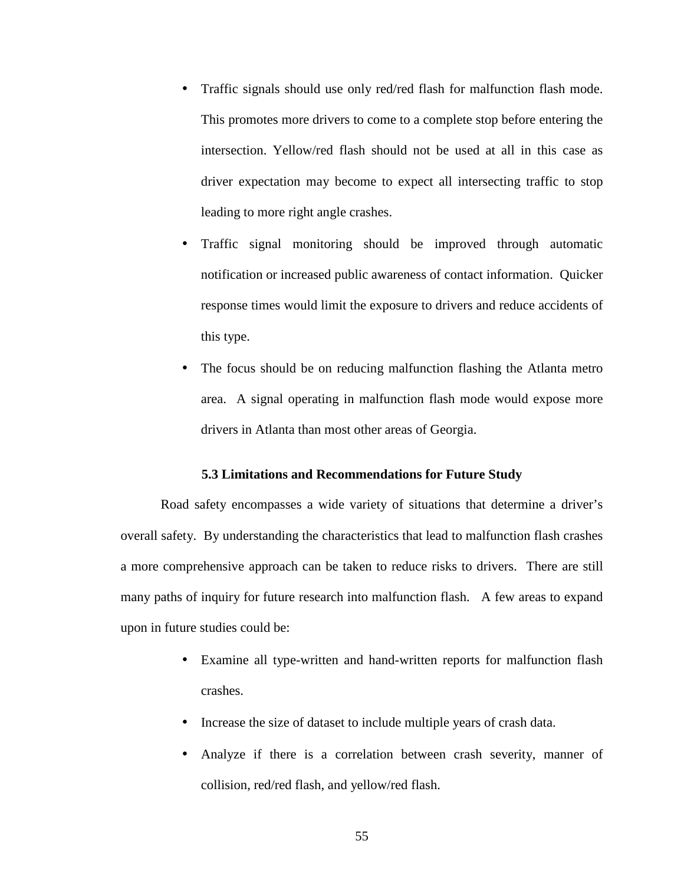- Traffic signals should use only red/red flash for malfunction flash mode. This promotes more drivers to come to a complete stop before entering the intersection. Yellow/red flash should not be used at all in this case as driver expectation may become to expect all intersecting traffic to stop leading to more right angle crashes.
- Traffic signal monitoring should be improved through automatic notification or increased public awareness of contact information. Quicker response times would limit the exposure to drivers and reduce accidents of this type.
- The focus should be on reducing malfunction flashing the Atlanta metro area. A signal operating in malfunction flash mode would expose more drivers in Atlanta than most other areas of Georgia.

#### **5.3 Limitations and Recommendations for Future Study**

Road safety encompasses a wide variety of situations that determine a driver's overall safety. By understanding the characteristics that lead to malfunction flash crashes a more comprehensive approach can be taken to reduce risks to drivers. There are still many paths of inquiry for future research into malfunction flash. A few areas to expand upon in future studies could be:

- Examine all type-written and hand-written reports for malfunction flash crashes.
- Increase the size of dataset to include multiple years of crash data.
- Analyze if there is a correlation between crash severity, manner of collision, red/red flash, and yellow/red flash.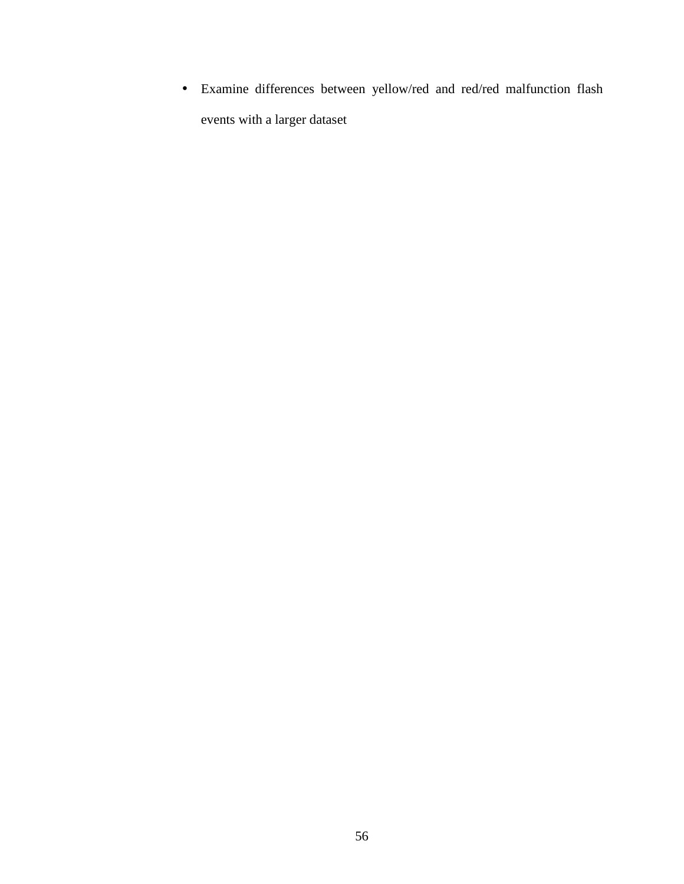• Examine differences between yellow/red and red/red malfunction flash events with a larger dataset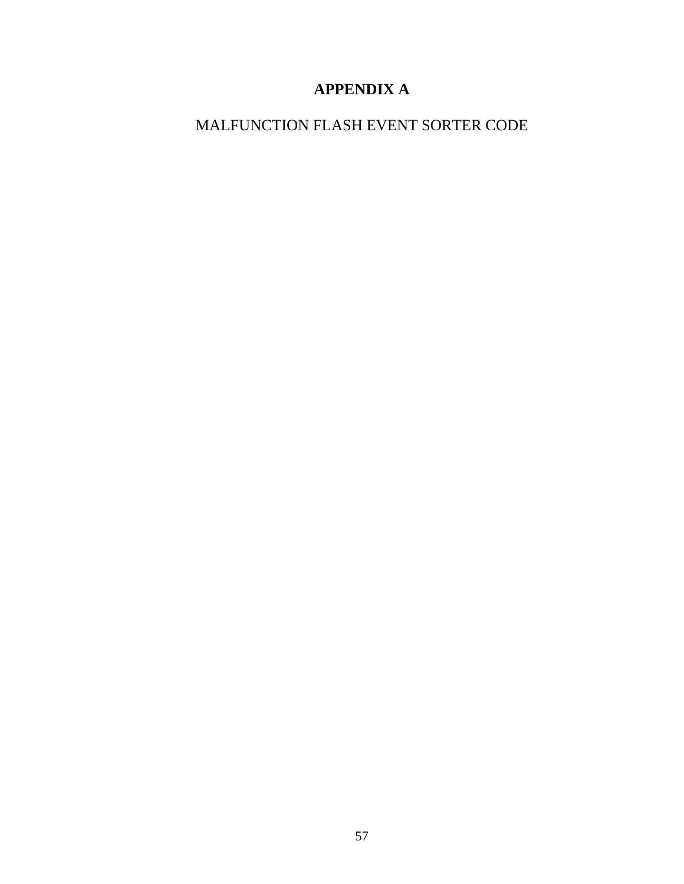# **APPENDIX A**

# MALFUNCTION FLASH EVENT SORTER CODE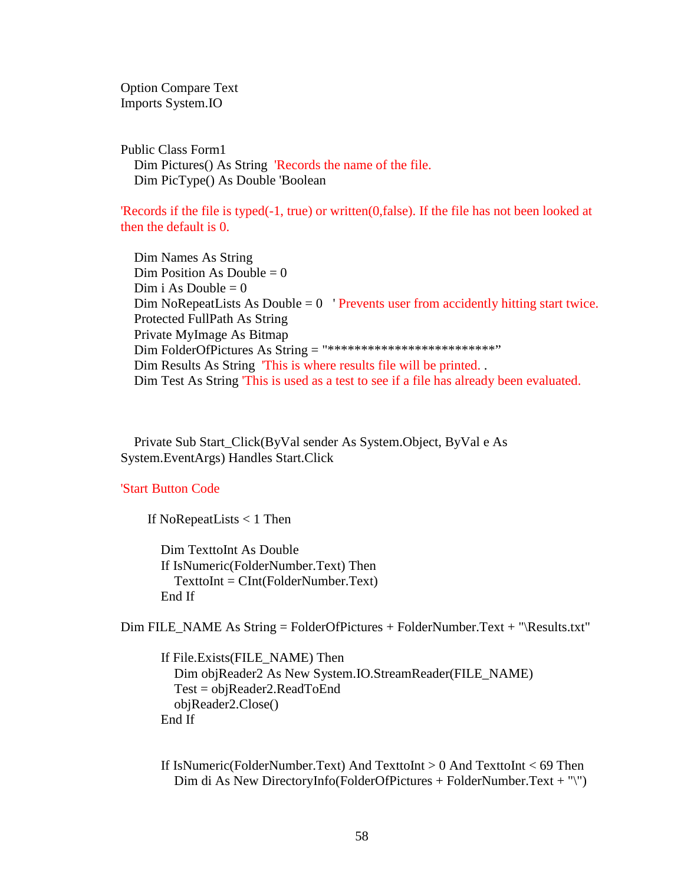Option Compare Text Imports System.IO

Public Class Form1 Dim Pictures() As String 'Records the name of the file. Dim PicType() As Double 'Boolean

'Records if the file is typed(-1, true) or written(0,false). If the file has not been looked at then the default is 0.

 Dim Names As String  $Dim$  Position As Double = 0 Dim i As Double  $= 0$ Dim NoRepeatLists As Double  $= 0$  'Prevents user from accidently hitting start twice. Protected FullPath As String Private MyImage As Bitmap Dim FolderOfPictures As String = "\*\*\*\*\*\*\*\*\*\*\*\*\*\*\*\*\*\*\*\*\*\*\*\*\*\*\*\*\*\*\* Dim Results As String 'This is where results file will be printed. . Dim Test As String 'This is used as a test to see if a file has already been evaluated.

 Private Sub Start\_Click(ByVal sender As System.Object, ByVal e As System.EventArgs) Handles Start.Click

## 'Start Button Code

If NoRepeatLists < 1 Then

 Dim TexttoInt As Double If IsNumeric(FolderNumber.Text) Then TexttoInt = CInt(FolderNumber.Text) End If

Dim FILE\_NAME As String = FolderOfPictures + FolderNumber.Text + "\Results.txt"

 If File.Exists(FILE\_NAME) Then Dim objReader2 As New System.IO.StreamReader(FILE\_NAME) Test = objReader2.ReadToEnd objReader2.Close() End If

 If IsNumeric(FolderNumber.Text) And TexttoInt > 0 And TexttoInt < 69 Then Dim di As New DirectoryInfo(FolderOfPictures + FolderNumber.Text + "\")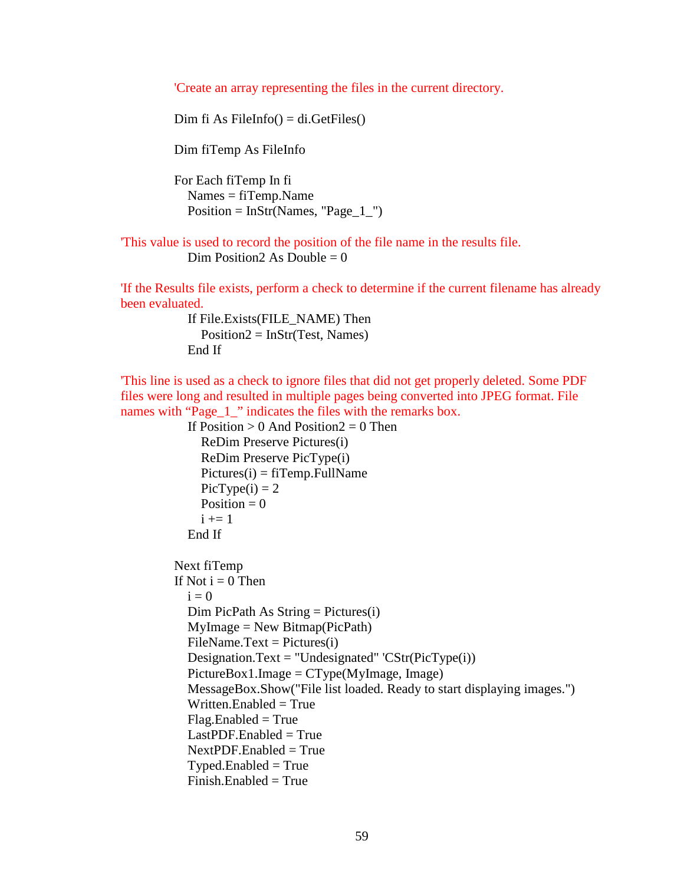'Create an array representing the files in the current directory.

Dim fi As FileInfo $() = di.GetFiles()$ 

Dim fiTemp As FileInfo

 For Each fiTemp In fi Names = fiTemp.Name  $Position = InStr(Names, "Page_1"')$ 

'This value is used to record the position of the file name in the results file. Dim Position 2As Double =  $0$ 

'If the Results file exists, perform a check to determine if the current filename has already been evaluated.

> If File.Exists(FILE\_NAME) Then  $Position2 = InStr(Test, Names)$ End If

'This line is used as a check to ignore files that did not get properly deleted. Some PDF files were long and resulted in multiple pages being converted into JPEG format. File names with "Page\_1\_" indicates the files with the remarks box.

```
If Position > 0 And Position 2 = 0 Then
     ReDim Preserve Pictures(i) 
     ReDim Preserve PicType(i) 
    Pictures(i) = fifTemp.FullNamePicType(i) = 2Position = 0i +1 End If 
 Next fiTemp 
If Not i = 0 Then
  i = 0Dim PicPath As String = Pictures(i)MyImage = New Bitmap(PicPath)FileName.Text = Pictures(i)Designation.Text = "Undesignated" \text{CStr}(\text{Pic}(\text{Type}(i))PictureBox1. Image = CType(MyImage, Image) MessageBox.Show("File list loaded. Ready to start displaying images.") 
  Written.Enabled = True
  Flag.Enabled = True
  LastPDF. Enabeled = TrueNextPDF. Enabeled = True
```
 $Tvoed.*Enabled* = True$  $Finish.Enabled = True$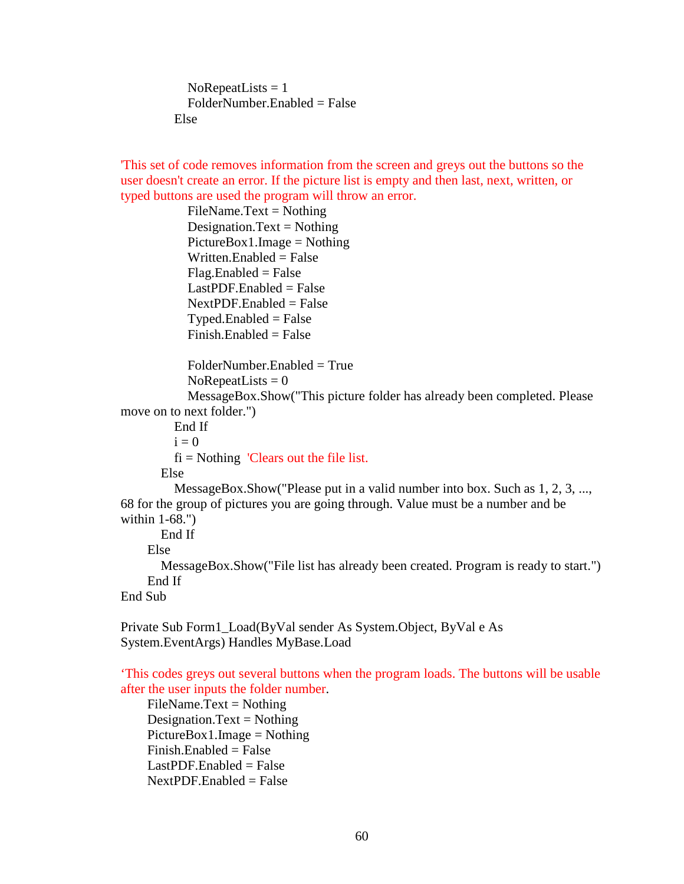$NoRepeatLists = 1$  $FolderNumber. Enahled = False$ Else

'This set of code removes information from the screen and greys out the buttons so the user doesn't create an error. If the picture list is empty and then last, next, written, or typed buttons are used the program will throw an error.

> $FileName.Text = Nothing$ Designation.Text = Nothing  $PictureBox1. Image = Nothing$  Written.Enabled = False  $Flag.Enabeled = False$  $LastPDF. Enabeled = False$  $NextPDF. Enabeled = False$  $T$ yped.Enabled = False  $Finish.Enabeled = False$

FolderNumber.Enabled = True

```
NoRepeatLists = 0
```
 MessageBox.Show("This picture folder has already been completed. Please move on to next folder.")

End If

 $i = 0$ 

 $fi = Notbing$  'Clears out the file list.

Else

 MessageBox.Show("Please put in a valid number into box. Such as 1, 2, 3, ..., 68 for the group of pictures you are going through. Value must be a number and be within 1-68.")

End If

Else

 MessageBox.Show("File list has already been created. Program is ready to start.") End If

End Sub

Private Sub Form1\_Load(ByVal sender As System.Object, ByVal e As System.EventArgs) Handles MyBase.Load

'This codes greys out several buttons when the program loads. The buttons will be usable after the user inputs the folder number.

 $FileName.Text = Nothing$ Designation.Text = Nothing  $PictureBox1. Image = Nothing$  Finish.Enabled = False  $LastPDF. Enabeled = False$  $NextPDF. Enabeled = False$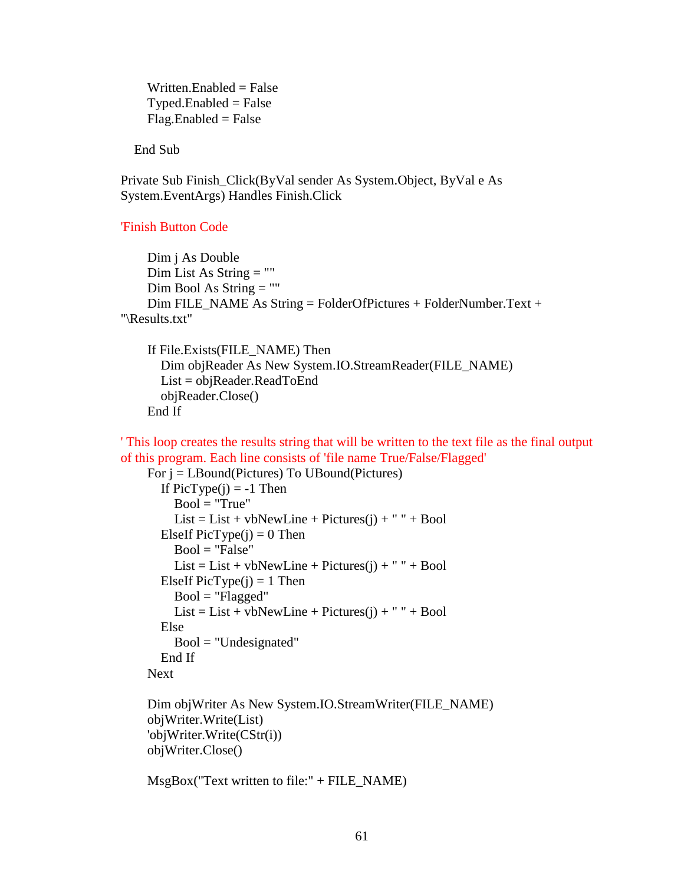Written.Enabled  $=$  False  $Type$ d.Enabled = False  $Flag.Enabeled = False$ 

End Sub

Private Sub Finish\_Click(ByVal sender As System.Object, ByVal e As System.EventArgs) Handles Finish.Click

## 'Finish Button Code

```
 Dim j As Double 
     Dim List As String = "" 
     Dim Bool As String = "" 
     Dim FILE_NAME As String = FolderOfPictures + FolderNumber.Text + 
"\Results.txt"
```

```
 If File.Exists(FILE_NAME) Then 
   Dim objReader As New System.IO.StreamReader(FILE_NAME) 
   List = objReader.ReadToEnd 
   objReader.Close() 
 End If
```
' This loop creates the results string that will be written to the text file as the final output of this program. Each line consists of 'file name True/False/Flagged'

```
 For j = LBound(Pictures) To UBound(Pictures) 
  If PicType(i) = -1 Then
    Bool = "True"List = List + vbNewLine + Pictures(j) + " " + Bool]ElseIf PicType(i) = 0 Then
     Bool = "False"
     List = List + vbNewLine + Pictures(j) + " " + BoolElseIf PicType(i) = 1 Then
     Bool = "Flagged"
     List = List + vbNewLine + Pictures(i) + " " + Bool Else 
     Bool = "Undesignated"
   End If 
 Next 
 Dim objWriter As New System.IO.StreamWriter(FILE_NAME) 
 objWriter.Write(List) 
 'objWriter.Write(CStr(i))
```
objWriter.Close()

MsgBox("Text written to file:" + FILE\_NAME)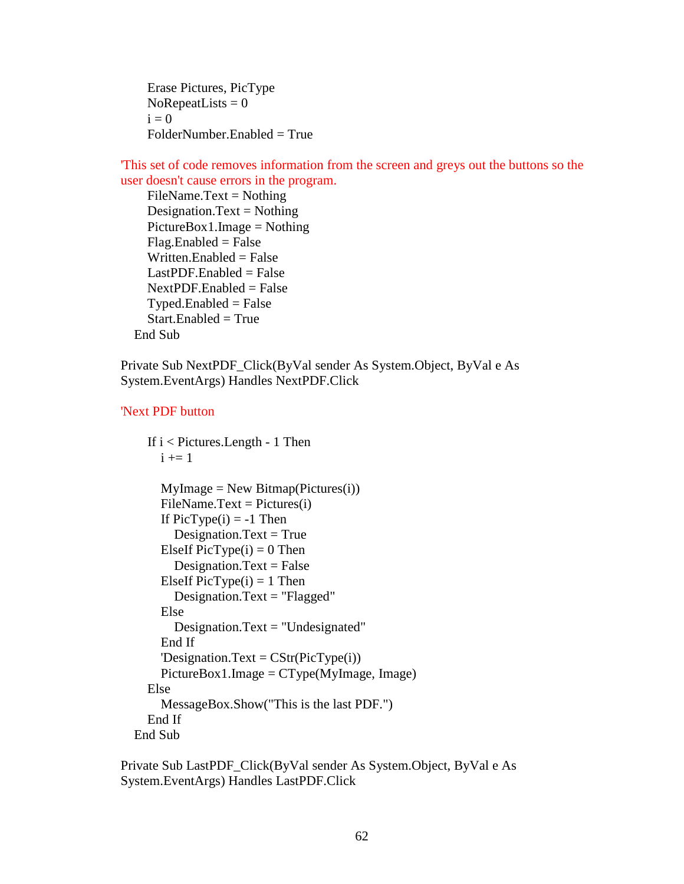Erase Pictures, PicType  $NoRepeatLists = 0$  $i = 0$ FolderNumber.Enabled = True

'This set of code removes information from the screen and greys out the buttons so the user doesn't cause errors in the program.

 $FileName.Text = Nothing$ Designation.Text = Nothing  $PictureBox1. Image = Nothing$  $Flag.Enabeled = False$ Written.Enabled  $=$  False  $LastPDF. Enabeled = False$  $NextPDF. Enabeled = False$  $Type$ d.Enabled = False  $Start. Enabled = True$ End Sub

Private Sub NextPDF\_Click(ByVal sender As System.Object, ByVal e As System.EventArgs) Handles NextPDF.Click

## 'Next PDF button

```
 If i < Pictures.Length - 1 Then 
    i \neq 1MyImage = New Bitmap(Pictures(i))FileName.Text = Pictures(i)If PicType(i) = -1 Then
       Designation.Text = TrueElseIf PicType(i) = 0 Then
       Designation.Text = False
    ElseIf PicType(i) = 1 Then
        Designation.Text = "Flagged" 
     Else 
        Designation.Text = "Undesignated" 
     End If 
     'Designation.Text = CStr(PicType(i)) PictureBox1.Image = CType(MyImage, Image) 
   Else 
      MessageBox.Show("This is the last PDF.") 
   End If 
 End Sub
```
Private Sub LastPDF\_Click(ByVal sender As System.Object, ByVal e As System.EventArgs) Handles LastPDF.Click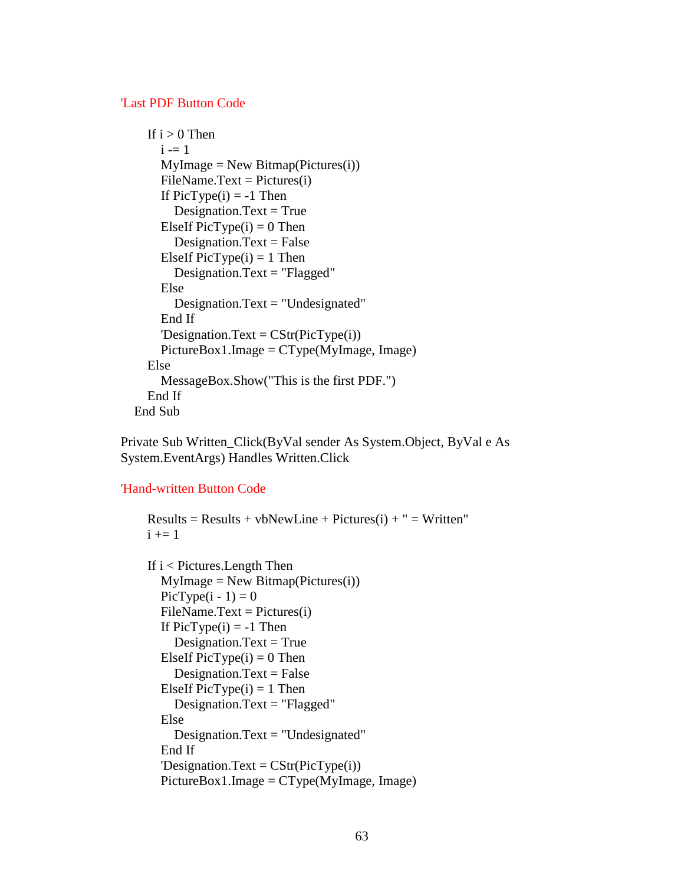### 'Last PDF Button Code

```
If i > 0 Then
    i = 1MyImage = New Bitmap(Pictures(i))FileName.Text = Pictures(i)If PicType(i) = -1 Then
       Designation.Text = True
    ElseIf PicType(i) = 0 Then
       Designation.Text = False
    ElseIf PicType(i) = 1 Then
        Designation.Text = "Flagged" 
     Else 
        Designation.Text = "Undesignated" 
     End If 
    'Designation.Text = CStr(PicType(i)) PictureBox1.Image = CType(MyImage, Image) 
   Else 
     MessageBox.Show("This is the first PDF.") 
   End If 
 End Sub
```
Private Sub Written\_Click(ByVal sender As System.Object, ByVal e As System.EventArgs) Handles Written.Click

## 'Hand-written Button Code

```
Results = Results + vbNewLine + Pictures(i) + " = Written"i \neq 1If i < Pictures. Length Then
  MyImage = New Bitmap(Pictures(i))PicType(i - 1) = 0FileName.Text = Pictures(i)If PicType(i) = -1 Then
    Designation.Text = True
  ElseIf PicType(i) = 0 Then
    Designation.Text = False
  ElseIf PicType(i) = 1 Then
     Designation.Text = "Flagged" 
   Else 
     Designation.Text = "Undesignated" 
   End If 
  'Designation.Text = CStr(PicType(i)) PictureBox1.Image = CType(MyImage, Image)
```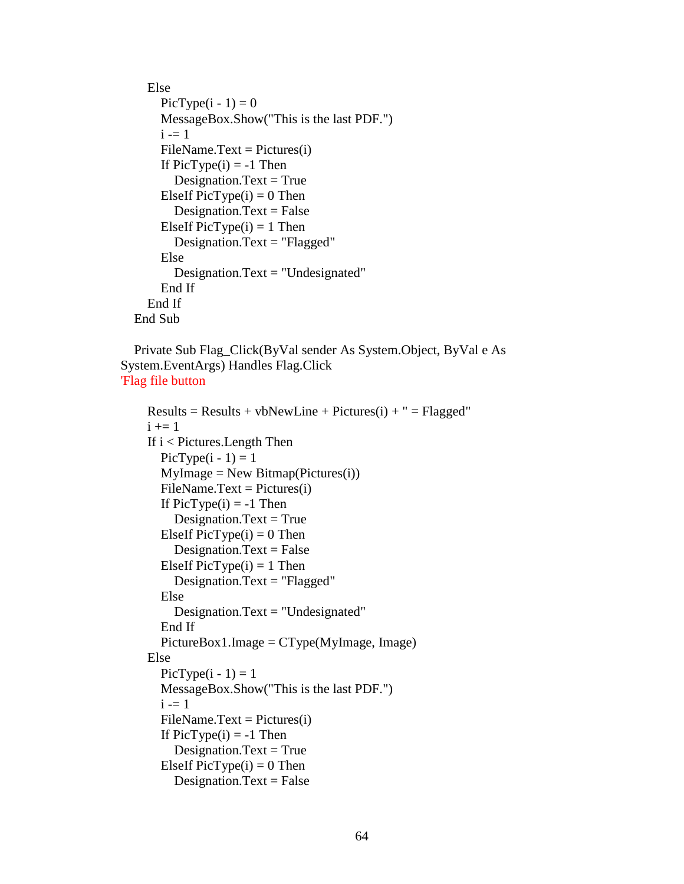```
 Else 
    PicType(i - 1) = 0 MessageBox.Show("This is the last PDF.") 
    i = 1FileName.Text = Pictures(i)If PicType(i) = -1 Then
       Designation.Text = TrueElseIf PicType(i) = 0 Then
       Designation.Text = False
    ElseIf PicType(i) = 1 Then
        Designation.Text = "Flagged" 
     Else 
        Designation.Text = "Undesignated" 
     End If 
   End If 
 End Sub
```

```
 Private Sub Flag_Click(ByVal sender As System.Object, ByVal e As 
System.EventArgs) Handles Flag.Click 
'Flag file button
```

```
Results = Results + vbNewLine + Pictures(i) + " = Flagged"i +1 If i < Pictures.Length Then 
  PicType(i - 1) = 1MyImage = New Bitmap(Pictures(i))FileName.Text = Pictures(i)If PicType(i) = -1 Then
    Designation.Text = TrueElseIf PicType(i) = 0 Then
    Designation.Text = False
  ElseIf PicType(i) = 1 Then
    Designation.Text = "Flagged"
   Else 
     Designation.Text = "Undesignated" 
   End If 
   PictureBox1.Image = CType(MyImage, Image) 
 Else 
  PicType(i - 1) = 1 MessageBox.Show("This is the last PDF.") 
  i = 1FileName.Text = Pictures(i)If PicType(i) = -1 Then
    Designation.Text = TrueElseIf PicType(i) = 0 Then
    Designation.Text = False
```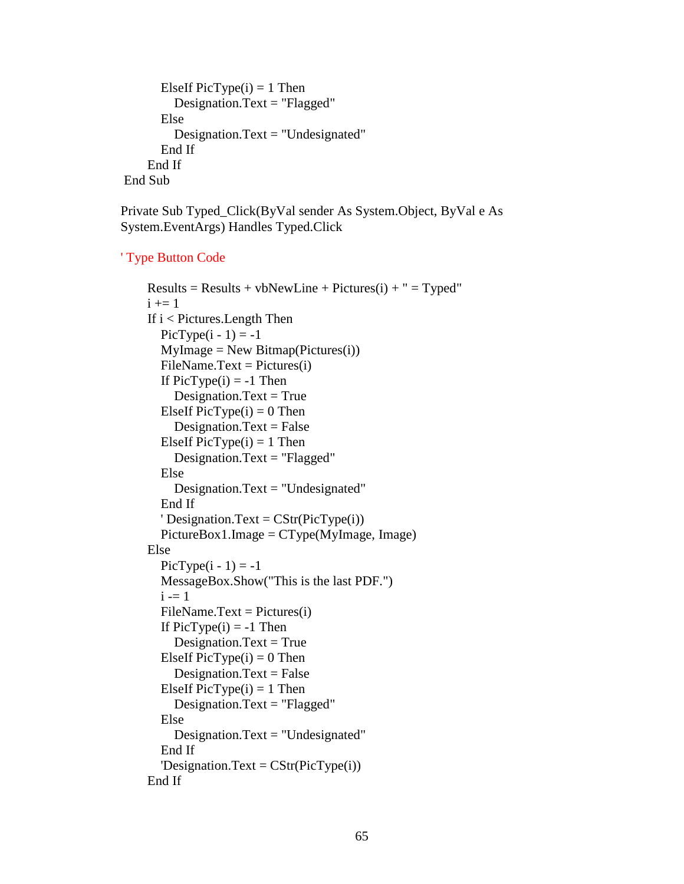```
ElseIf PicType(i) = 1 Then
          Designation.Text = "Flagged" 
       Else 
         Designation.Text = "Undesignated"
       End If 
     End If 
 End Sub
```
Private Sub Typed\_Click(ByVal sender As System.Object, ByVal e As System.EventArgs) Handles Typed.Click

### ' Type Button Code

```
Results = Results + vbNewLine + Pictures(i) + " = Typed"i +1 = 1 If i < Pictures.Length Then 
  PicType(i - 1) = -1MyImage = New Bitmap(Pictures(i))FileName.Text = Pictures(i)If PicType(i) = -1 Then
     Designation.Text = True
  ElseIf PicType(i) = 0 Then
     Designation.Text = False
  ElseIf PicType(i) = 1 Then
      Designation.Text = "Flagged" 
   Else 
     Designation.Text = "Undesignated"
   End If 
  ' Designation.Text = CStr(PicType(i)) PictureBox1.Image = CType(MyImage, Image) 
 Else 
  PicType(i - 1) = -1 MessageBox.Show("This is the last PDF.") 
  i = 1FileName.Text = Pictures(i)If PicType(i) = -1 Then
     Designation.Text = True
  ElseIf PicType(i) = 0 Then
     Designation.Text = False
  ElseIf PicType(i) = 1 Then
      Designation.Text = "Flagged" 
   Else 
      Designation.Text = "Undesignated" 
   End If 
  'Designation.Text = CStr(PicType(i)) End If
```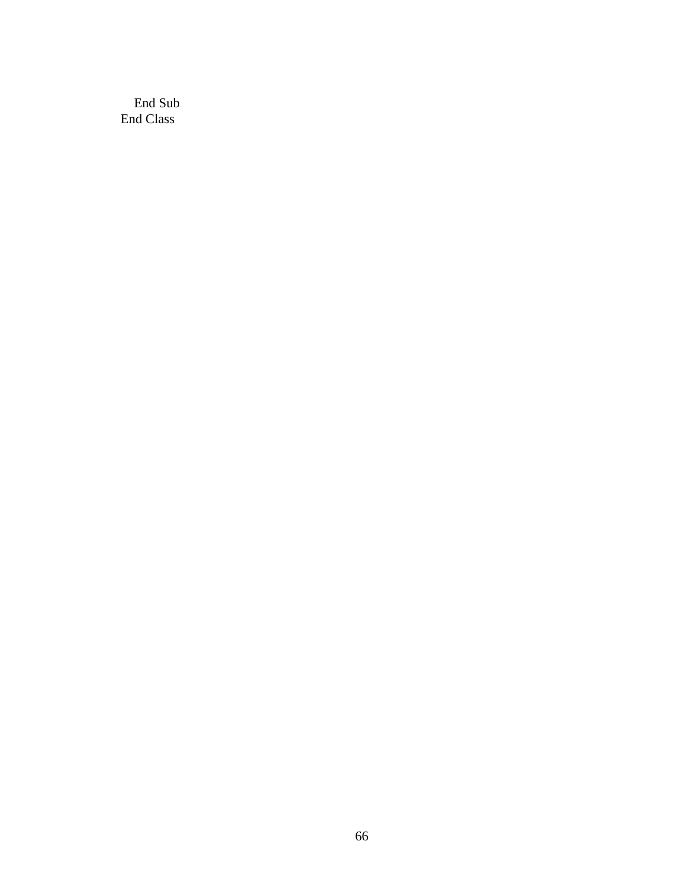End Sub End Class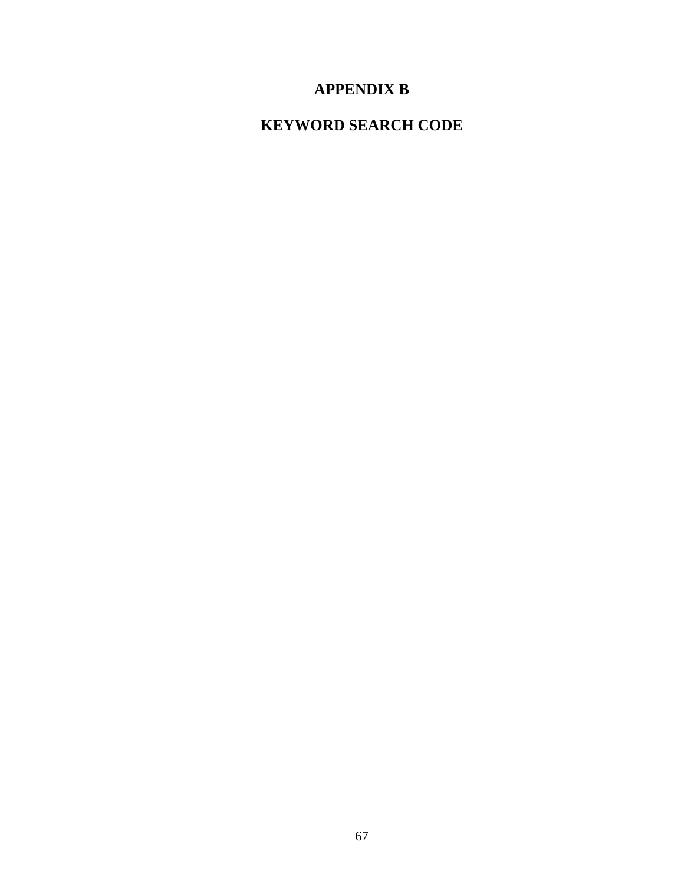# **APPENDIX B**

# **KEYWORD SEARCH CODE**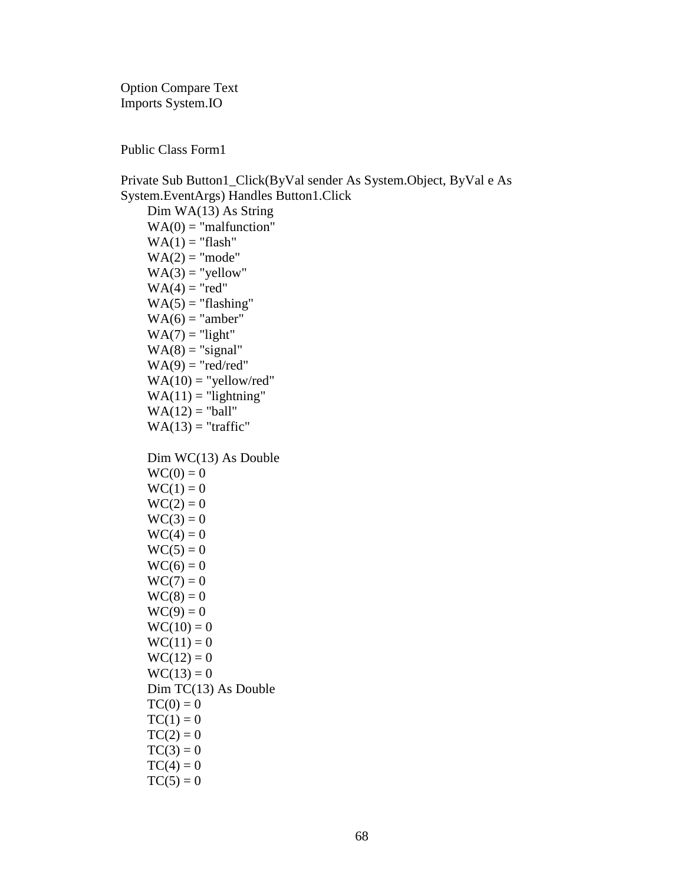Option Compare Text Imports System.IO

Public Class Form1

Private Sub Button1\_Click(ByVal sender As System.Object, ByVal e As System.EventArgs) Handles Button1.Click Dim WA(13) As String  $WA(0) = "malfunction"$  $WA(1) = "flash"$  $WA(2) = "mode"$  $WA(3) = "yellow"$  $WA(4) = "red"$  $WA(5) = "flashing"$  $WA(6) = "amber"$  $WA(7) = "light"$  $WA(8) = "signal"$  $WA(9) = "red/red"$  $WA(10) = "yellow/red"$  $WA(11) = "lightning"$  $WA(12) = "ball"$  $WA(13) = "traftic"$  Dim WC(13) As Double  $WC(0) = 0$  $WC(1) = 0$  $WC(2) = 0$  $WC(3) = 0$  $WC(4) = 0$  $WC(5) = 0$  $WC(6) = 0$  $WC(7) = 0$  $WC(8) = 0$  $WC(9) = 0$  $WC(10) = 0$  $WC(11) = 0$  $WC(12) = 0$  $WC(13) = 0$  Dim TC(13) As Double  $TC(0) = 0$  $TC(1) = 0$  $TC(2) = 0$  $TC(3) = 0$  $TC(4) = 0$ 

 $TC(5) = 0$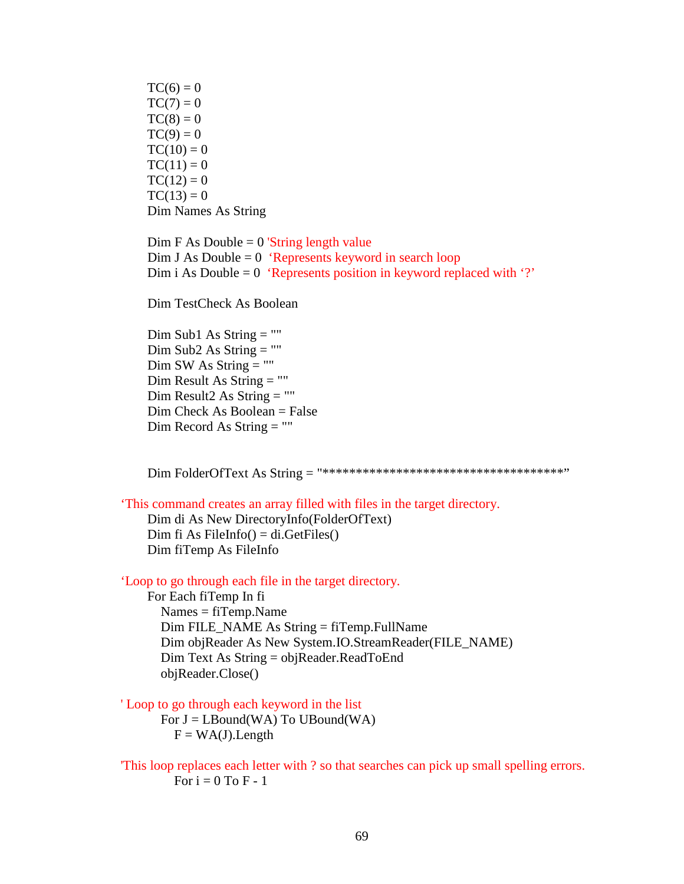$TC(6) = 0$  $TC(7) = 0$  $TC(8) = 0$  $TC(9) = 0$  $TC(10) = 0$  $TC(11) = 0$  $TC(12) = 0$  $TC(13) = 0$ Dim Names As String

 $Dim F As Double = 0$  'String length value Dim J As Double  $= 0$  'Represents keyword in search loop Dim i As Double  $= 0$  'Represents position in keyword replaced with '?'

Dim TestCheck As Boolean

 Dim Sub1 As String = "" Dim Sub2 As String = ""  $Dim SW As String = ""$  Dim Result As String = "" Dim Result2 As String  $=$  "" Dim Check As Boolean = False Dim Record As String = ""

Dim FolderOfText As String = "\*\*\*\*\*\*\*\*\*\*\*\*\*\*\*\*\*\*\*\*\*\*\*\*\*\*\*\*\*\*\*\*\*\*\*\*"

'This command creates an array filled with files in the target directory.

 Dim di As New DirectoryInfo(FolderOfText) Dim fi As FileInfo() =  $di.GetFiles()$ Dim fiTemp As FileInfo

'Loop to go through each file in the target directory.

 For Each fiTemp In fi Names = fiTemp.Name  $Dim$  FILE\_NAME As String = fiTemp.FullName Dim objReader As New System.IO.StreamReader(FILE\_NAME) Dim Text As String = objReader.ReadToEnd objReader.Close()

' Loop to go through each keyword in the list

For  $J = L$ Bound(WA) To UBound(WA)  $F = WA(J)$ . Length

'This loop replaces each letter with ? so that searches can pick up small spelling errors. For  $i = 0$  To F - 1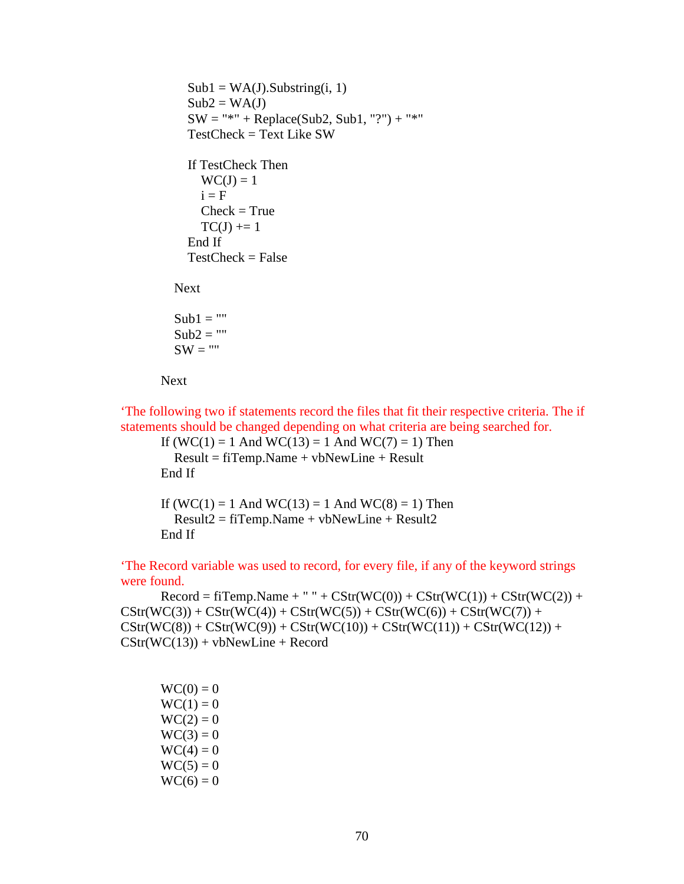```
Sub1 = WA(J).Substring(i, 1)Sub2 = WA(J)SW = "*" + Replace(Sub2, Sub1, "?") + "*"
   TestCheck = Text Like SW 
   If TestCheck Then 
    WC(J) = 1i = FCheck = TrueTC(J) += 1
   End If 
  TestCheck = False Next 
Sub1 = "Sub2 = ""
```

```
SW = "
```
#### Next

'The following two if statements record the files that fit their respective criteria. The if statements should be changed depending on what criteria are being searched for.

If  $(WC(1) = 1$  And  $WC(13) = 1$  And  $WC(7) = 1$ ) Then Result = fiTemp.Name + vbNewLine + Result End If

If  $(WC(1) = 1$  And  $WC(13) = 1$  And  $WC(8) = 1$ ) Then  $Result2 = fifTemp.Name + vbNewLine + Result2$ End If

'The Record variable was used to record, for every file, if any of the keyword strings were found.

 $\text{Record} = \text{fTemp}.\text{Name} + " " + \text{CStr}(\text{WC}(0)) + \text{CStr}(\text{WC}(1)) + \text{CStr}(\text{WC}(2)) +$  $CStr(WC(3)) + CStr(WC(4)) + CStr(WC(5)) + CStr(WC(6)) + CStr(WC(7)) +$  $CStr(WC(8)) + CStr(WC(9)) + CStr(WC(10)) + CStr(WC(11)) + CStr(WC(12)) +$  $CStr(WC(13)) + vbNewLine + Record$ 

 $WC(0) = 0$  $WC(1) = 0$  $WC(2) = 0$  $WC(3) = 0$  $WC(4) = 0$  $WC(5) = 0$  $WC(6) = 0$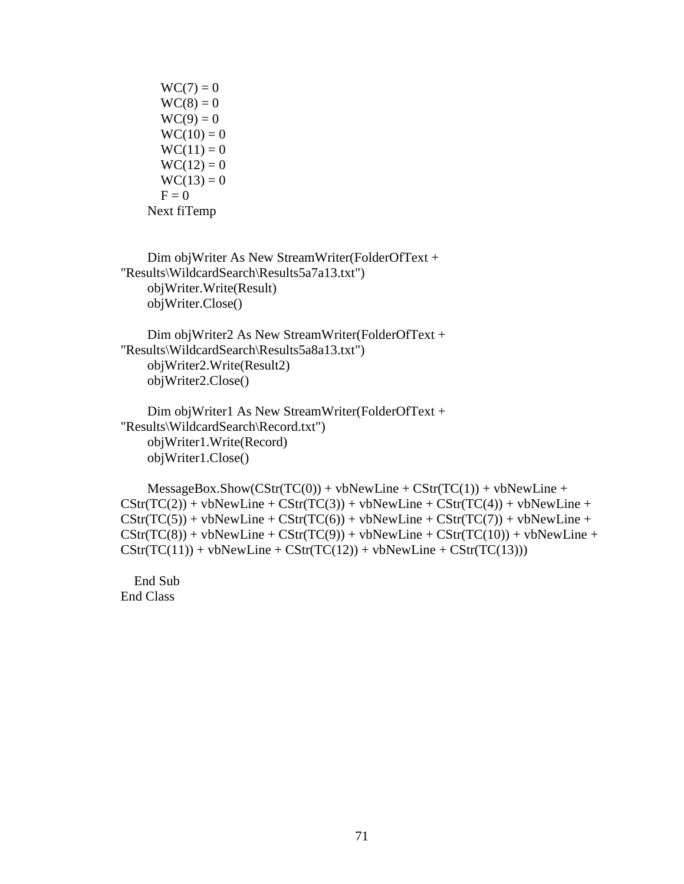$WC(7) = 0$  $WC(8) = 0$  $WC(9) = 0$  $WC(10) = 0$  $WC(11) = 0$  $WC(12) = 0$  $WC(13) = 0$  $F = 0$ Next fiTemp

```
 Dim objWriter As New StreamWriter(FolderOfText + 
"Results\WildcardSearch\Results5a7a13.txt") 
     objWriter.Write(Result) 
     objWriter.Close()
```
 Dim objWriter2 As New StreamWriter(FolderOfText + "Results\WildcardSearch\Results5a8a13.txt") objWriter2.Write(Result2) objWriter2.Close()

```
 Dim objWriter1 As New StreamWriter(FolderOfText + 
"Results\WildcardSearch\Record.txt") 
     objWriter1.Write(Record) 
     objWriter1.Close()
```

```
MessageBox.Show(CStr(TC(0)) + vbNewLine + CStr(TC(1)) + vbNewLine +CStr(TC(2)) + vbNewLine + CStr(TC(3)) + vbNewLine + CStr(TC(4)) + vbNewLine +
CStr(TC(5)) + vbNewLine + CStr(TC(6)) + vbNewLine + CStr(TC(7)) + vbNewLine +
CStr(TC(8)) + vblewLine + CStr(TC(9)) + vblewLine + CStr(TC(10)) + vblewLine +CStr(TC(11)) + vbNewLine + CStr(TC(12)) + vbNewLine + CStr(TC(13)))
```
 End Sub End Class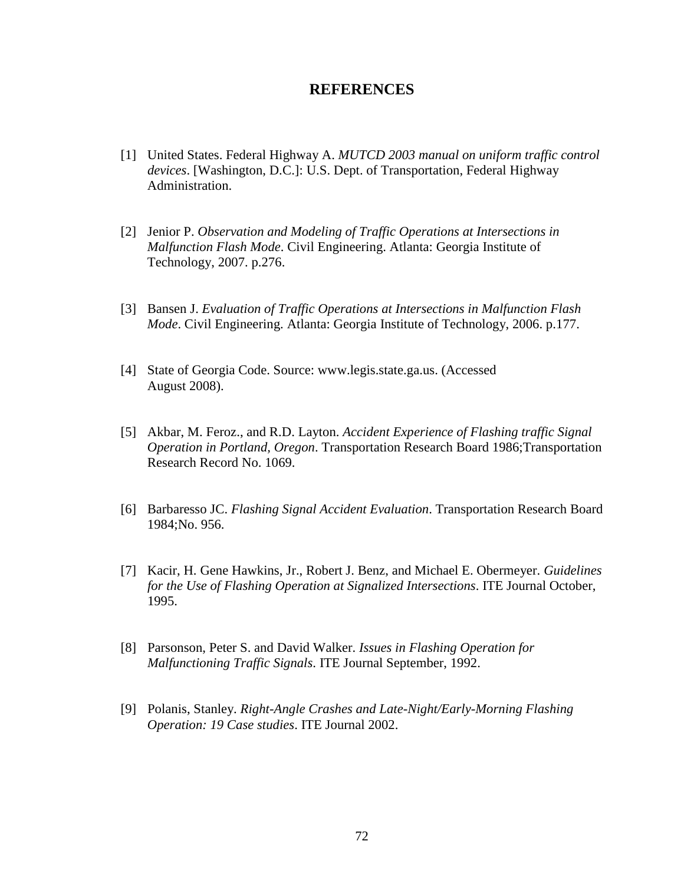## **REFERENCES**

- [1] United States. Federal Highway A. *MUTCD 2003 manual on uniform traffic control devices*. [Washington, D.C.]: U.S. Dept. of Transportation, Federal Highway Administration.
- [2] Jenior P. *Observation and Modeling of Traffic Operations at Intersections in Malfunction Flash Mode*. Civil Engineering. Atlanta: Georgia Institute of Technology, 2007. p.276.
- [3] Bansen J. *Evaluation of Traffic Operations at Intersections in Malfunction Flash Mode*. Civil Engineering. Atlanta: Georgia Institute of Technology, 2006. p.177.
- [4] State of Georgia Code. Source: www.legis.state.ga.us. (Accessed August 2008).
- [5] Akbar, M. Feroz., and R.D. Layton. *Accident Experience of Flashing traffic Signal Operation in Portland, Oregon*. Transportation Research Board 1986;Transportation Research Record No. 1069.
- [6] Barbaresso JC. *Flashing Signal Accident Evaluation*. Transportation Research Board 1984;No. 956.
- [7] Kacir, H. Gene Hawkins, Jr., Robert J. Benz, and Michael E. Obermeyer. *Guidelines for the Use of Flashing Operation at Signalized Intersections*. ITE Journal October, 1995.
- [8] Parsonson, Peter S. and David Walker. *Issues in Flashing Operation for Malfunctioning Traffic Signals*. ITE Journal September, 1992.
- [9] Polanis, Stanley. *Right-Angle Crashes and Late-Night/Early-Morning Flashing Operation: 19 Case studies*. ITE Journal 2002.